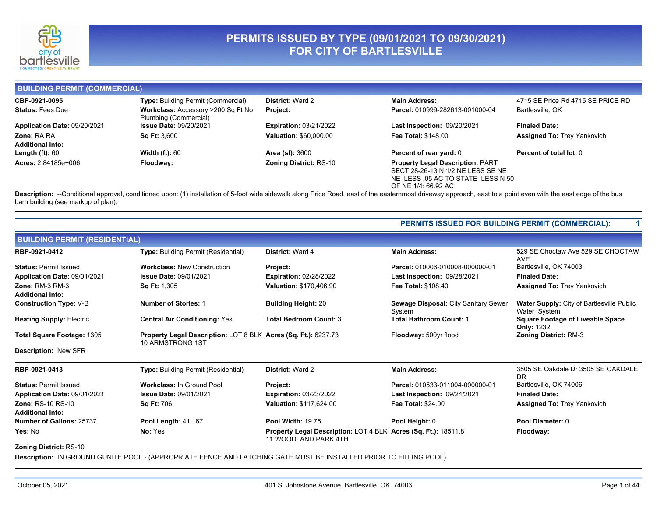

### **PERMITS ISSUED BY TYPE (09/01/2021 TO 09/30/2021) FOR CITY OF BARTLESVILLE**

**BUILDING PERMIT (COMMERCIAL)**

| CBP-0921-0095                | <b>Type: Building Permit (Commercial)</b> | <b>District: Ward 2</b>       | <b>Main Address:</b>                    | 4715 SE Price Rd 4715 SE PRICE RD  |
|------------------------------|-------------------------------------------|-------------------------------|-----------------------------------------|------------------------------------|
| <b>Status: Fees Due</b>      | Workclass: Accessory >200 Sq Ft No        | <b>Project:</b>               | Parcel: 010999-282613-001000-04         | Bartlesville, OK                   |
|                              | Plumbing (Commercial)                     |                               |                                         |                                    |
| Application Date: 09/20/2021 | <b>Issue Date: 09/20/2021</b>             | <b>Expiration: 03/21/2022</b> | <b>Last Inspection: 09/20/2021</b>      | <b>Finaled Date:</b>               |
| <b>Zone: RA RA</b>           | <b>Sq Ft: 3,600</b>                       | <b>Valuation: \$60,000.00</b> | <b>Fee Total: \$148.00</b>              | <b>Assigned To: Trey Yankovich</b> |
| <b>Additional Info:</b>      |                                           |                               |                                         |                                    |
| Length $(ft)$ : 60           | <b>Width (ft): <math>60</math></b>        | <b>Area (sf): 3600</b>        | <b>Percent of rear yard: 0</b>          | Percent of total lot: 0            |
| Acres: 2.84185e+006          | Floodway:                                 | <b>Zoning District: RS-10</b> | <b>Property Legal Description: PART</b> |                                    |
|                              |                                           |                               | SECT 28-26-13 N 1/2 NE LESS SE NE       |                                    |
|                              |                                           |                               | NE LESS 05 AC TO STATE LESS N 50        |                                    |
|                              |                                           |                               | OF NE 1/4: 66.92 AC                     |                                    |
|                              |                                           |                               |                                         |                                    |

Description: --Conditional approval, conditioned upon: (1) installation of 5-foot wide sidewalk along Price Road, east of the easternmost driveway approach, east to a point even with the east edge of the bus barn building (see markup of plan);

**PERMITS ISSUED FOR BUILDING PERMIT (COMMERCIAL): 1**

| <b>BUILDING PERMIT (RESIDENTIAL)</b>                |                                                                                           |                                                                                        |                                                       |                                                                  |  |  |
|-----------------------------------------------------|-------------------------------------------------------------------------------------------|----------------------------------------------------------------------------------------|-------------------------------------------------------|------------------------------------------------------------------|--|--|
| RBP-0921-0412                                       | <b>Type: Building Permit (Residential)</b>                                                | District: Ward 4                                                                       | <b>Main Address:</b>                                  | 529 SE Choctaw Ave 529 SE CHOCTAW<br><b>AVE</b>                  |  |  |
| <b>Status: Permit Issued</b>                        | <b>Workclass: New Construction</b>                                                        | Project:                                                                               | Parcel: 010006-010008-000000-01                       | Bartlesville, OK 74003                                           |  |  |
| Application Date: 09/01/2021                        | <b>Issue Date: 09/01/2021</b>                                                             | <b>Expiration: 02/28/2022</b>                                                          | <b>Last Inspection: 09/28/2021</b>                    | <b>Finaled Date:</b>                                             |  |  |
| <b>Zone: RM-3 RM-3</b><br><b>Additional Info:</b>   | <b>Sq Ft: 1,305</b>                                                                       | Valuation: \$170,406.90                                                                | Fee Total: \$108.40                                   | <b>Assigned To: Trey Yankovich</b>                               |  |  |
| <b>Construction Type: V-B</b>                       | <b>Number of Stories: 1</b>                                                               | <b>Building Height: 20</b>                                                             | <b>Sewage Disposal: City Sanitary Sewer</b><br>System | <b>Water Supply: City of Bartlesville Public</b><br>Water System |  |  |
| <b>Heating Supply: Electric</b>                     | <b>Central Air Conditioning: Yes</b>                                                      | <b>Total Bedroom Count: 3</b>                                                          | <b>Total Bathroom Count: 1</b>                        | <b>Square Footage of Liveable Space</b><br><b>Only: 1232</b>     |  |  |
| Total Square Footage: 1305                          | <b>Property Legal Description: LOT 8 BLK Acres (Sq. Ft.): 6237.73</b><br>10 ARMSTRONG 1ST |                                                                                        | Floodway: 500yr flood                                 | <b>Zoning District: RM-3</b>                                     |  |  |
| <b>Description: New SFR</b>                         |                                                                                           |                                                                                        |                                                       |                                                                  |  |  |
| RBP-0921-0413                                       | <b>Type:</b> Building Permit (Residential)                                                | <b>District: Ward 2</b>                                                                | <b>Main Address:</b>                                  | 3505 SE Oakdale Dr 3505 SE OAKDALE<br><b>DR</b>                  |  |  |
| <b>Status: Permit Issued</b>                        | <b>Workclass: In Ground Pool</b>                                                          | Project:                                                                               | Parcel: 010533-011004-000000-01                       | Bartlesville, OK 74006                                           |  |  |
| Application Date: 09/01/2021                        | Issue Date: 09/01/2021                                                                    | <b>Expiration: 03/23/2022</b>                                                          | <b>Last Inspection: 09/24/2021</b>                    | <b>Finaled Date:</b>                                             |  |  |
| <b>Zone: RS-10 RS-10</b><br><b>Additional Info:</b> | <b>Sq Ft: 706</b>                                                                         | Valuation: \$117,624.00                                                                | <b>Fee Total: \$24.00</b>                             | <b>Assigned To: Trey Yankovich</b>                               |  |  |
| Number of Gallons: 25737                            | Pool Length: 41.167                                                                       | <b>Pool Width: 19.75</b>                                                               | Pool Height: 0                                        | Pool Diameter: 0                                                 |  |  |
| Yes: No                                             | No: Yes                                                                                   | Property Legal Description: LOT 4 BLK Acres (Sq. Ft.): 18511.8<br>11 WOODLAND PARK 4TH |                                                       | Floodway:                                                        |  |  |
| <b>Zoning District: RS-10</b>                       |                                                                                           |                                                                                        |                                                       |                                                                  |  |  |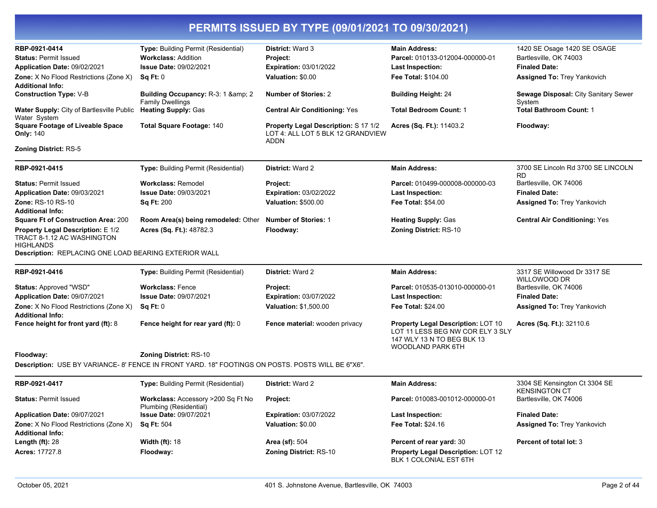| RBP-0921-0414                                                                              | Type: Building Permit (Residential)                                                               | District: Ward 3                                                                  | <b>Main Address:</b>                                                                                                             | 1420 SE Osage 1420 SE OSAGE                           |
|--------------------------------------------------------------------------------------------|---------------------------------------------------------------------------------------------------|-----------------------------------------------------------------------------------|----------------------------------------------------------------------------------------------------------------------------------|-------------------------------------------------------|
| <b>Status: Permit Issued</b>                                                               | <b>Workclass: Addition</b>                                                                        | Project:                                                                          | Parcel: 010133-012004-000000-01                                                                                                  | Bartlesville, OK 74003                                |
| Application Date: 09/02/2021                                                               | Issue Date: 09/02/2021                                                                            | Expiration: 03/01/2022                                                            | Last Inspection:                                                                                                                 | <b>Finaled Date:</b>                                  |
| Zone: X No Flood Restrictions (Zone X)<br><b>Additional Info:</b>                          | Sq Ft: 0                                                                                          | Valuation: \$0.00                                                                 | Fee Total: \$104.00                                                                                                              | Assigned To: Trey Yankovich                           |
| <b>Construction Type: V-B</b>                                                              | Building Occupancy: R-3: 1 & amp; 2<br><b>Family Dwellings</b>                                    | <b>Number of Stories: 2</b>                                                       | <b>Building Height: 24</b>                                                                                                       | Sewage Disposal: City Sanitary Sewer<br>System        |
| Water Supply: City of Bartlesville Public<br>Water System                                  | <b>Heating Supply: Gas</b>                                                                        | <b>Central Air Conditioning: Yes</b>                                              | <b>Total Bedroom Count: 1</b>                                                                                                    | <b>Total Bathroom Count: 1</b>                        |
| <b>Square Footage of Liveable Space</b><br><b>Only: 140</b>                                | <b>Total Square Footage: 140</b>                                                                  | Property Legal Description: S 17 1/2<br>LOT 4: ALL LOT 5 BLK 12 GRANDVIEW<br>ADDN | Acres (Sq. Ft.): 11403.2                                                                                                         | Floodway:                                             |
| <b>Zoning District: RS-5</b>                                                               |                                                                                                   |                                                                                   |                                                                                                                                  |                                                       |
| RBP-0921-0415                                                                              | <b>Type:</b> Building Permit (Residential)                                                        | District: Ward 2                                                                  | <b>Main Address:</b>                                                                                                             | 3700 SE Lincoln Rd 3700 SE LINCOLN<br>RD              |
| <b>Status: Permit Issued</b>                                                               | <b>Workclass: Remodel</b>                                                                         | Project:                                                                          | Parcel: 010499-000008-000000-03                                                                                                  | Bartlesville, OK 74006                                |
| <b>Application Date:</b> 09/03/2021                                                        | <b>Issue Date: 09/03/2021</b>                                                                     | <b>Expiration: 03/02/2022</b>                                                     | <b>Last Inspection:</b>                                                                                                          | <b>Finaled Date:</b>                                  |
| Zone: RS-10 RS-10<br><b>Additional Info:</b>                                               | <b>Sq Ft: 200</b>                                                                                 | <b>Valuation: \$500.00</b>                                                        | <b>Fee Total: \$54.00</b>                                                                                                        | <b>Assigned To: Trey Yankovich</b>                    |
| <b>Square Ft of Construction Area: 200</b>                                                 | Room Area(s) being remodeled: Other                                                               | <b>Number of Stories: 1</b>                                                       | <b>Heating Supply: Gas</b>                                                                                                       | <b>Central Air Conditioning: Yes</b>                  |
| <b>Property Legal Description: E 1/2</b><br>TRACT 8-1.12 AC WASHINGTON<br><b>HIGHLANDS</b> | Acres (Sq. Ft.): 48782.3                                                                          | Floodway:                                                                         | <b>Zoning District: RS-10</b>                                                                                                    |                                                       |
| Description: REPLACING ONE LOAD BEARING EXTERIOR WALL                                      |                                                                                                   |                                                                                   |                                                                                                                                  |                                                       |
| RBP-0921-0416                                                                              | <b>Type:</b> Building Permit (Residential)                                                        | District: Ward 2                                                                  | <b>Main Address:</b>                                                                                                             | 3317 SE Willowood Dr 3317 SE<br>WILLOWOOD DR          |
| <b>Status: Approved "WSD"</b>                                                              | <b>Workclass: Fence</b>                                                                           | Project:                                                                          | Parcel: 010535-013010-000000-01                                                                                                  | Bartlesville, OK 74006                                |
| Application Date: 09/07/2021                                                               | <b>Issue Date: 09/07/2021</b>                                                                     | Expiration: 03/07/2022                                                            | <b>Last Inspection:</b>                                                                                                          | <b>Finaled Date:</b>                                  |
| Zone: X No Flood Restrictions (Zone X)<br><b>Additional Info:</b>                          | Sq Ft: 0                                                                                          | Valuation: \$1,500.00                                                             | Fee Total: \$24.00                                                                                                               | <b>Assigned To: Trey Yankovich</b>                    |
| Fence height for front yard (ft): 8                                                        | Fence height for rear yard (ft): 0                                                                | Fence material: wooden privacy                                                    | <b>Property Legal Description: LOT 10</b><br>LOT 11 LESS BEG NW COR ELY 3 SLY<br>147 WLY 13 N TO BEG BLK 13<br>WOODLAND PARK 6TH | Acres (Sq. Ft.): 32110.6                              |
| Floodway:                                                                                  | <b>Zoning District: RS-10</b>                                                                     |                                                                                   |                                                                                                                                  |                                                       |
|                                                                                            | Description: USE BY VARIANCE- 8' FENCE IN FRONT YARD. 18" FOOTINGS ON POSTS. POSTS WILL BE 6"X6". |                                                                                   |                                                                                                                                  |                                                       |
| RBP-0921-0417                                                                              | Type: Building Permit (Residential)                                                               | District: Ward 2                                                                  | <b>Main Address:</b>                                                                                                             | 3304 SE Kensington Ct 3304 SE<br><b>KENSINGTON CT</b> |
| <b>Status: Permit Issued</b>                                                               | Workclass: Accessory >200 Sq Ft No<br>Plumbing (Residential)                                      | Project:                                                                          | Parcel: 010083-001012-000000-01                                                                                                  | Bartlesville, OK 74006                                |
| Application Date: 09/07/2021                                                               | <b>Issue Date: 09/07/2021</b>                                                                     | <b>Expiration: 03/07/2022</b>                                                     | Last Inspection:                                                                                                                 | <b>Finaled Date:</b>                                  |
| Zone: X No Flood Restrictions (Zone X)<br><b>Additional Info:</b>                          | <b>Sq Ft: 504</b>                                                                                 | Valuation: \$0.00                                                                 | <b>Fee Total: \$24.16</b>                                                                                                        | <b>Assigned To: Trey Yankovich</b>                    |
| Length (ft): 28                                                                            | <b>Width (ft): 18</b>                                                                             | <b>Area (sf): 504</b>                                                             | Percent of rear yard: 30                                                                                                         | <b>Percent of total lot: 3</b>                        |
| Acres: 17727.8                                                                             | Floodway:                                                                                         | Zoning District: RS-10                                                            | Property Legal Description: LOT 12<br>BLK 1 COLONIAL EST 6TH                                                                     |                                                       |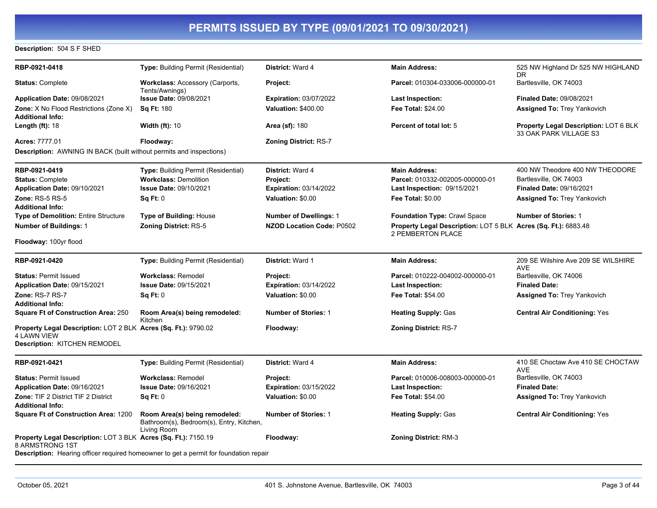#### **Description:** 504 S F SHED

| RBP-0921-0418                                                                     | <b>Type:</b> Building Permit (Residential)                                                   | <b>District: Ward 4</b>          | <b>Main Address:</b>                                                                       | 525 NW Highland Dr 525 NW HIGHLAND                              |
|-----------------------------------------------------------------------------------|----------------------------------------------------------------------------------------------|----------------------------------|--------------------------------------------------------------------------------------------|-----------------------------------------------------------------|
|                                                                                   |                                                                                              |                                  |                                                                                            | DR.                                                             |
| <b>Status: Complete</b>                                                           | <b>Workclass: Accessory (Carports,</b><br>Tents/Awnings)                                     | Project:                         | Parcel: 010304-033006-000000-01                                                            | Bartlesville, OK 74003                                          |
| <b>Application Date: 09/08/2021</b>                                               | <b>Issue Date: 09/08/2021</b>                                                                | <b>Expiration: 03/07/2022</b>    | Last Inspection:                                                                           | <b>Finaled Date: 09/08/2021</b>                                 |
| Zone: X No Flood Restrictions (Zone X)                                            | <b>Sq Ft: 180</b>                                                                            | <b>Valuation: \$400.00</b>       | <b>Fee Total: \$24.00</b>                                                                  | <b>Assigned To: Trey Yankovich</b>                              |
| <b>Additional Info:</b>                                                           |                                                                                              |                                  |                                                                                            |                                                                 |
| Length $(ft)$ : 18                                                                | <b>Width (ft): 10</b>                                                                        | <b>Area (sf): 180</b>            | Percent of total lot: 5                                                                    | Property Legal Description: LOT 6 BLK<br>33 OAK PARK VILLAGE S3 |
| Acres: 7777.01                                                                    | Floodway:                                                                                    | <b>Zoning District: RS-7</b>     |                                                                                            |                                                                 |
| <b>Description:</b> AWNING IN BACK (built without permits and inspections)        |                                                                                              |                                  |                                                                                            |                                                                 |
| RBP-0921-0419                                                                     | Type: Building Permit (Residential)                                                          | <b>District: Ward 4</b>          | <b>Main Address:</b>                                                                       | 400 NW Theodore 400 NW THEODORE                                 |
| <b>Status: Complete</b>                                                           | <b>Workclass: Demolition</b>                                                                 | Project:                         | Parcel: 010332-002005-000000-01                                                            | Bartlesville, OK 74003                                          |
| Application Date: 09/10/2021                                                      | <b>Issue Date: 09/10/2021</b>                                                                | <b>Expiration: 03/14/2022</b>    | <b>Last Inspection: 09/15/2021</b>                                                         | <b>Finaled Date: 09/16/2021</b>                                 |
| <b>Zone: RS-5 RS-5</b>                                                            | Sq Ft: 0                                                                                     | Valuation: \$0.00                | <b>Fee Total: \$0.00</b>                                                                   | <b>Assigned To: Trey Yankovich</b>                              |
| <b>Additional Info:</b>                                                           |                                                                                              |                                  |                                                                                            |                                                                 |
| <b>Type of Demolition: Entire Structure</b>                                       | <b>Type of Building: House</b>                                                               | <b>Number of Dwellings: 1</b>    | <b>Foundation Type: Crawl Space</b>                                                        | <b>Number of Stories: 1</b>                                     |
| <b>Number of Buildings: 1</b>                                                     | <b>Zoning District: RS-5</b>                                                                 | <b>NZOD Location Code: P0502</b> | <b>Property Legal Description: LOT 5 BLK Acres (Sq. Ft.): 6883.48</b><br>2 PEMBERTON PLACE |                                                                 |
| Floodway: 100yr flood                                                             |                                                                                              |                                  |                                                                                            |                                                                 |
| RBP-0921-0420                                                                     | Type: Building Permit (Residential)                                                          | <b>District: Ward 1</b>          | <b>Main Address:</b>                                                                       | 209 SE Wilshire Ave 209 SE WILSHIRE<br><b>AVE</b>               |
| <b>Status: Permit Issued</b>                                                      | <b>Workclass: Remodel</b>                                                                    | <b>Project:</b>                  | Parcel: 010222-004002-000000-01                                                            | Bartlesville, OK 74006                                          |
| Application Date: 09/15/2021                                                      | Issue Date: 09/15/2021                                                                       | <b>Expiration: 03/14/2022</b>    | <b>Last Inspection:</b>                                                                    | <b>Finaled Date:</b>                                            |
| Zone: RS-7 RS-7                                                                   | Sq Ft: 0                                                                                     | Valuation: \$0.00                | <b>Fee Total: \$54.00</b>                                                                  | <b>Assigned To: Trey Yankovich</b>                              |
| <b>Additional Info:</b>                                                           |                                                                                              |                                  |                                                                                            |                                                                 |
| <b>Square Ft of Construction Area: 250</b>                                        | Room Area(s) being remodeled:<br>Kitchen                                                     | <b>Number of Stories: 1</b>      | <b>Heating Supply: Gas</b>                                                                 | <b>Central Air Conditioning: Yes</b>                            |
| <b>Property Legal Description: LOT 2 BLK Acres (Sq. Ft.): 9790.02</b>             |                                                                                              | Floodway:                        | <b>Zoning District: RS-7</b>                                                               |                                                                 |
| <b>4 LAWN VIEW</b>                                                                |                                                                                              |                                  |                                                                                            |                                                                 |
| Description: KITCHEN REMODEL                                                      |                                                                                              |                                  |                                                                                            |                                                                 |
| RBP-0921-0421                                                                     | <b>Type:</b> Building Permit (Residential)                                                   | District: Ward 4                 | <b>Main Address:</b>                                                                       | 410 SE Choctaw Ave 410 SE CHOCTAW<br><b>AVE</b>                 |
| <b>Status: Permit Issued</b>                                                      | <b>Workclass: Remodel</b>                                                                    | Project:                         | Parcel: 010006-008003-000000-01                                                            | Bartlesville, OK 74003                                          |
| Application Date: 09/16/2021                                                      | Issue Date: 09/16/2021                                                                       | <b>Expiration: 03/15/2022</b>    | Last Inspection:                                                                           | <b>Finaled Date:</b>                                            |
| <b>Zone: TIF 2 District TIF 2 District</b><br><b>Additional Info:</b>             | Sq Ft: 0                                                                                     | Valuation: \$0.00                | <b>Fee Total: \$54.00</b>                                                                  | <b>Assigned To: Trey Yankovich</b>                              |
| <b>Square Ft of Construction Area: 1200</b>                                       | Room Area(s) being remodeled:<br>Bathroom(s), Bedroom(s), Entry, Kitchen,<br>Living Room     | <b>Number of Stories: 1</b>      | <b>Heating Supply: Gas</b>                                                                 | <b>Central Air Conditioning: Yes</b>                            |
| Property Legal Description: LOT 3 BLK Acres (Sq. Ft.): 7150.19<br>8 ARMSTRONG 1ST |                                                                                              | Floodway:                        | <b>Zoning District: RM-3</b>                                                               |                                                                 |
|                                                                                   | <b>Description:</b> Hearing officer required homeowner to get a permit for foundation repair |                                  |                                                                                            |                                                                 |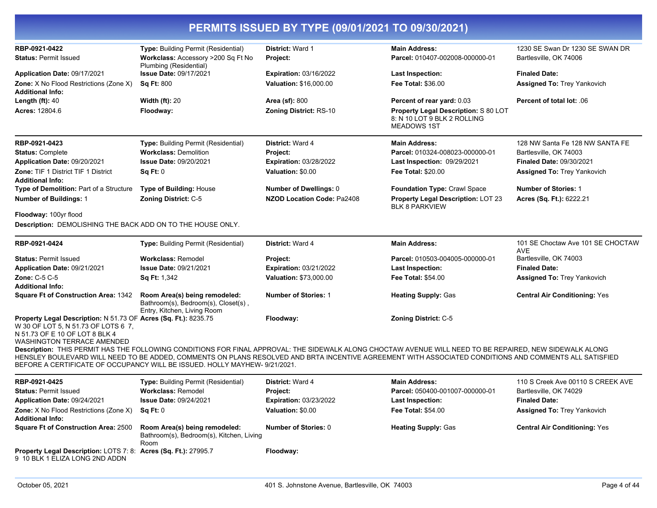|                                                                                                                                                                               |                                                                                                     | PERMITS ISSUED BY TYPE (09/01/2021 TO 09/30/2021) |                                                                                                                                                                                                                                                                                                                    |                                                 |  |  |  |
|-------------------------------------------------------------------------------------------------------------------------------------------------------------------------------|-----------------------------------------------------------------------------------------------------|---------------------------------------------------|--------------------------------------------------------------------------------------------------------------------------------------------------------------------------------------------------------------------------------------------------------------------------------------------------------------------|-------------------------------------------------|--|--|--|
| RBP-0921-0422                                                                                                                                                                 | Type: Building Permit (Residential)                                                                 | <b>District: Ward 1</b>                           | <b>Main Address:</b>                                                                                                                                                                                                                                                                                               | 1230 SE Swan Dr 1230 SE SWAN DR                 |  |  |  |
| <b>Status: Permit Issued</b>                                                                                                                                                  | Workclass: Accessory >200 Sq Ft No<br>Plumbing (Residential)                                        | Project:                                          | Parcel: 010407-002008-000000-01                                                                                                                                                                                                                                                                                    | Bartlesville, OK 74006                          |  |  |  |
| Application Date: 09/17/2021                                                                                                                                                  | <b>Issue Date: 09/17/2021</b>                                                                       | Expiration: 03/16/2022                            | <b>Last Inspection:</b>                                                                                                                                                                                                                                                                                            | <b>Finaled Date:</b>                            |  |  |  |
| Zone: X No Flood Restrictions (Zone X)<br><b>Additional Info:</b>                                                                                                             | <b>Sq Ft: 800</b>                                                                                   | Valuation: \$16,000.00                            | <b>Fee Total: \$36.00</b>                                                                                                                                                                                                                                                                                          | <b>Assigned To: Trey Yankovich</b>              |  |  |  |
| Length $(ft)$ : 40                                                                                                                                                            | <b>Width (ft): 20</b>                                                                               | Area (sf): 800                                    | Percent of rear yard: 0.03                                                                                                                                                                                                                                                                                         | Percent of total lot: .06                       |  |  |  |
| <b>Acres: 12804.6</b>                                                                                                                                                         | Floodway:                                                                                           | Zoning District: RS-10                            | Property Legal Description: S 80 LOT<br>8: N 10 LOT 9 BLK 2 ROLLING<br><b>MEADOWS 1ST</b>                                                                                                                                                                                                                          |                                                 |  |  |  |
| RBP-0921-0423                                                                                                                                                                 | Type: Building Permit (Residential)                                                                 | District: Ward 4                                  | <b>Main Address:</b>                                                                                                                                                                                                                                                                                               | 128 NW Santa Fe 128 NW SANTA FE                 |  |  |  |
| <b>Status: Complete</b>                                                                                                                                                       | <b>Workclass: Demolition</b>                                                                        | Project:                                          | Parcel: 010324-008023-000000-01                                                                                                                                                                                                                                                                                    | Bartlesville, OK 74003                          |  |  |  |
| Application Date: 09/20/2021                                                                                                                                                  | <b>Issue Date: 09/20/2021</b>                                                                       | <b>Expiration: 03/28/2022</b>                     | Last Inspection: 09/29/2021                                                                                                                                                                                                                                                                                        | <b>Finaled Date: 09/30/2021</b>                 |  |  |  |
| <b>Zone: TIF 1 District TIF 1 District</b><br><b>Additional Info:</b>                                                                                                         | Sq Ft: 0                                                                                            | Valuation: \$0.00                                 | <b>Fee Total: \$20.00</b>                                                                                                                                                                                                                                                                                          | <b>Assigned To: Trey Yankovich</b>              |  |  |  |
| Type of Demolition: Part of a Structure                                                                                                                                       | Type of Building: House                                                                             | Number of Dwellings: 0                            | Foundation Type: Crawl Space                                                                                                                                                                                                                                                                                       | <b>Number of Stories: 1</b>                     |  |  |  |
| <b>Number of Buildings: 1</b>                                                                                                                                                 | <b>Zoning District: C-5</b>                                                                         | NZOD Location Code: Pa2408                        | <b>Property Legal Description: LOT 23</b><br><b>BLK 8 PARKVIEW</b>                                                                                                                                                                                                                                                 | Acres (Sq. Ft.): 6222.21                        |  |  |  |
| Floodway: 100yr flood                                                                                                                                                         |                                                                                                     |                                                   |                                                                                                                                                                                                                                                                                                                    |                                                 |  |  |  |
| Description: DEMOLISHING THE BACK ADD ON TO THE HOUSE ONLY.                                                                                                                   |                                                                                                     |                                                   |                                                                                                                                                                                                                                                                                                                    |                                                 |  |  |  |
| RBP-0921-0424                                                                                                                                                                 | <b>Type: Building Permit (Residential)</b>                                                          | District: Ward 4                                  | <b>Main Address:</b>                                                                                                                                                                                                                                                                                               | 101 SE Choctaw Ave 101 SE CHOCTAW<br><b>AVE</b> |  |  |  |
| <b>Status: Permit Issued</b>                                                                                                                                                  | <b>Workclass: Remodel</b>                                                                           | Project:                                          | Parcel: 010503-004005-000000-01                                                                                                                                                                                                                                                                                    | Bartlesville, OK 74003                          |  |  |  |
| Application Date: 09/21/2021                                                                                                                                                  | <b>Issue Date: 09/21/2021</b>                                                                       | <b>Expiration: 03/21/2022</b>                     | <b>Last Inspection:</b>                                                                                                                                                                                                                                                                                            | <b>Finaled Date:</b>                            |  |  |  |
| Zone: C-5 C-5<br><b>Additional Info:</b>                                                                                                                                      | <b>Sq Ft: 1,342</b>                                                                                 | Valuation: \$73,000.00                            | <b>Fee Total: \$54.00</b>                                                                                                                                                                                                                                                                                          | <b>Assigned To: Trey Yankovich</b>              |  |  |  |
| <b>Square Ft of Construction Area: 1342</b>                                                                                                                                   | Room Area(s) being remodeled:<br>Bathroom(s), Bedroom(s), Closet(s),<br>Entry, Kitchen, Living Room | <b>Number of Stories: 1</b>                       | <b>Heating Supply: Gas</b>                                                                                                                                                                                                                                                                                         | <b>Central Air Conditioning: Yes</b>            |  |  |  |
| Property Legal Description: N 51.73 OF Acres (Sq. Ft.): 8235.75<br>W 30 OF LOT 5, N 51.73 OF LOTS 6 7,<br>N 51.73 OF E 10 OF LOT 8 BLK 4<br><b>WASHINGTON TERRACE AMENDED</b> |                                                                                                     | Floodway:                                         | Zoning District: C-5                                                                                                                                                                                                                                                                                               |                                                 |  |  |  |
|                                                                                                                                                                               | BEFORE A CERTIFICATE OF OCCUPANCY WILL BE ISSUED. HOLLY MAYHEW- 9/21/2021.                          |                                                   | Description: THIS PERMIT HAS THE FOLLOWING CONDITIONS FOR FINAL APPROVAL: THE SIDEWALK ALONG CHOCTAW AVENUE WILL NEED TO BE REPAIRED, NEW SIDEWALK ALONG<br>HENSLEY BOULEVARD WILL NEED TO BE ADDED, COMMENTS ON PLANS RESOLVED AND BRTA INCENTIVE AGREEMENT WITH ASSOCIATED CONDITIONS AND COMMENTS ALL SATISFIED |                                                 |  |  |  |
| RBP-0921-0425                                                                                                                                                                 | Type: Building Permit (Residential)                                                                 | <b>District: Ward 4</b>                           | <b>Main Address:</b>                                                                                                                                                                                                                                                                                               | 110 S Creek Ave 00110 S CREEK AVE               |  |  |  |
| <b>Status: Permit Issued</b>                                                                                                                                                  | <b>Workclass: Remodel</b>                                                                           | Project:                                          | Parcel: 050400-001007-000000-01                                                                                                                                                                                                                                                                                    | Bartlesville, OK 74029                          |  |  |  |
| Application Date: 09/24/2021                                                                                                                                                  | <b>Issue Date: 09/24/2021</b>                                                                       | <b>Expiration: 03/23/2022</b>                     | <b>Last Inspection:</b>                                                                                                                                                                                                                                                                                            | <b>Finaled Date:</b>                            |  |  |  |
| <b>Zone:</b> X No Flood Restrictions (Zone X)<br><b>Additional Info:</b>                                                                                                      | Sq Ft: 0                                                                                            | Valuation: \$0.00                                 | Fee Total: \$54.00                                                                                                                                                                                                                                                                                                 | <b>Assigned To: Trey Yankovich</b>              |  |  |  |
| <b>Square Ft of Construction Area: 2500</b>                                                                                                                                   | Room Area(s) being remodeled:<br>Bathroom(s), Bedroom(s), Kitchen, Living<br>Room                   | <b>Number of Stories: 0</b>                       | <b>Heating Supply: Gas</b>                                                                                                                                                                                                                                                                                         | <b>Central Air Conditioning: Yes</b>            |  |  |  |
| Property Legal Description: LOTS 7: 8: Acres (Sq. Ft.): 27995.7<br>9 10 BLK 1 ELIZA LONG 2ND ADDN                                                                             |                                                                                                     | Floodway:                                         |                                                                                                                                                                                                                                                                                                                    |                                                 |  |  |  |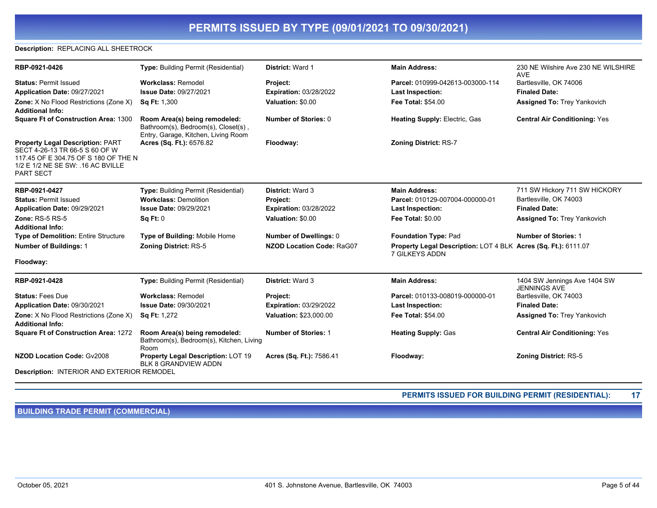#### **Description:** REPLACING ALL SHEETROCK

| RBP-0921-0426                                                                                                                                                               | Type: Building Permit (Residential)                                                                         | <b>District: Ward 1</b>       | <b>Main Address:</b>                                                             | 230 NE Wilshire Ave 230 NE WILSHIRE<br><b>AVE</b>   |
|-----------------------------------------------------------------------------------------------------------------------------------------------------------------------------|-------------------------------------------------------------------------------------------------------------|-------------------------------|----------------------------------------------------------------------------------|-----------------------------------------------------|
| <b>Status: Permit Issued</b>                                                                                                                                                | <b>Workclass: Remodel</b>                                                                                   | Project:                      | Parcel: 010999-042613-003000-114                                                 | Bartlesville, OK 74006                              |
| Application Date: 09/27/2021                                                                                                                                                | <b>Issue Date: 09/27/2021</b>                                                                               | <b>Expiration: 03/28/2022</b> | <b>Last Inspection:</b>                                                          | <b>Finaled Date:</b>                                |
| <b>Zone:</b> X No Flood Restrictions (Zone X)<br><b>Additional Info:</b>                                                                                                    | <b>Sq Ft: 1,300</b>                                                                                         | Valuation: \$0.00             | <b>Fee Total: \$54.00</b>                                                        | <b>Assigned To: Trey Yankovich</b>                  |
| Square Ft of Construction Area: 1300                                                                                                                                        | Room Area(s) being remodeled:<br>Bathroom(s), Bedroom(s), Closet(s),<br>Entry, Garage, Kitchen, Living Room | <b>Number of Stories: 0</b>   | <b>Heating Supply: Electric, Gas</b>                                             | <b>Central Air Conditioning: Yes</b>                |
| <b>Property Legal Description: PART</b><br>SECT 4-26-13 TR 66-5 S 60 OF W<br>117.45 OF E 304.75 OF S 180 OF THE N<br>1/2 E 1/2 NE SE SW: . 16 AC BVILLE<br><b>PART SECT</b> | Acres (Sq. Ft.): 6576.82                                                                                    | Floodway:                     | <b>Zoning District: RS-7</b>                                                     |                                                     |
| RBP-0921-0427                                                                                                                                                               | <b>Type: Building Permit (Residential)</b>                                                                  | <b>District: Ward 3</b>       | <b>Main Address:</b>                                                             | 711 SW Hickory 711 SW HICKORY                       |
| <b>Status: Permit Issued</b>                                                                                                                                                | <b>Workclass: Demolition</b>                                                                                | Project:                      | Parcel: 010129-007004-000000-01                                                  | Bartlesville, OK 74003                              |
| Application Date: 09/29/2021                                                                                                                                                | <b>Issue Date: 09/29/2021</b>                                                                               | <b>Expiration: 03/28/2022</b> | Last Inspection:                                                                 | <b>Finaled Date:</b>                                |
| <b>Zone: RS-5 RS-5</b>                                                                                                                                                      | Sq Ft: 0                                                                                                    | Valuation: \$0.00             | Fee Total: \$0.00                                                                | <b>Assigned To: Trey Yankovich</b>                  |
| <b>Additional Info:</b>                                                                                                                                                     |                                                                                                             |                               |                                                                                  |                                                     |
| <b>Type of Demolition: Entire Structure</b>                                                                                                                                 | Type of Building: Mobile Home                                                                               | <b>Number of Dwellings: 0</b> | <b>Foundation Type: Pad</b>                                                      | <b>Number of Stories: 1</b>                         |
| Number of Buildings: 1                                                                                                                                                      | <b>Zoning District: RS-5</b>                                                                                | NZOD Location Code: RaG07     | Property Legal Description: LOT 4 BLK Acres (Sq. Ft.): 6111.07<br>7 GILKEYS ADDN |                                                     |
| Floodway:                                                                                                                                                                   |                                                                                                             |                               |                                                                                  |                                                     |
| RBP-0921-0428                                                                                                                                                               | <b>Type: Building Permit (Residential)</b>                                                                  | <b>District: Ward 3</b>       | <b>Main Address:</b>                                                             | 1404 SW Jennings Ave 1404 SW<br><b>JENNINGS AVE</b> |
| <b>Status: Fees Due</b>                                                                                                                                                     | <b>Workclass: Remodel</b>                                                                                   | Project:                      | Parcel: 010133-008019-000000-01                                                  | Bartlesville, OK 74003                              |
| Application Date: 09/30/2021                                                                                                                                                | Issue Date: 09/30/2021                                                                                      | <b>Expiration: 03/29/2022</b> | Last Inspection:                                                                 | <b>Finaled Date:</b>                                |
| Zone: X No Flood Restrictions (Zone X)<br><b>Additional Info:</b>                                                                                                           | <b>Sq Ft: 1,272</b>                                                                                         | Valuation: \$23,000.00        | <b>Fee Total: \$54.00</b>                                                        | Assigned To: Trey Yankovich                         |
| <b>Square Ft of Construction Area: 1272</b>                                                                                                                                 | Room Area(s) being remodeled:<br>Bathroom(s), Bedroom(s), Kitchen, Living<br>Room                           | <b>Number of Stories: 1</b>   | <b>Heating Supply: Gas</b>                                                       | <b>Central Air Conditioning: Yes</b>                |
| <b>NZOD Location Code: Gv2008</b>                                                                                                                                           | Property Legal Description: LOT 19<br>BLK 8 GRANDVIEW ADDN                                                  | Acres (Sq. Ft.): 7586.41      | Floodway:                                                                        | <b>Zoning District: RS-5</b>                        |
| Description: INTERIOR AND EXTERIOR REMODEL                                                                                                                                  |                                                                                                             |                               |                                                                                  |                                                     |

**PERMITS ISSUED FOR BUILDING PERMIT (RESIDENTIAL): 17**

**BUILDING TRADE PERMIT (COMMERCIAL)**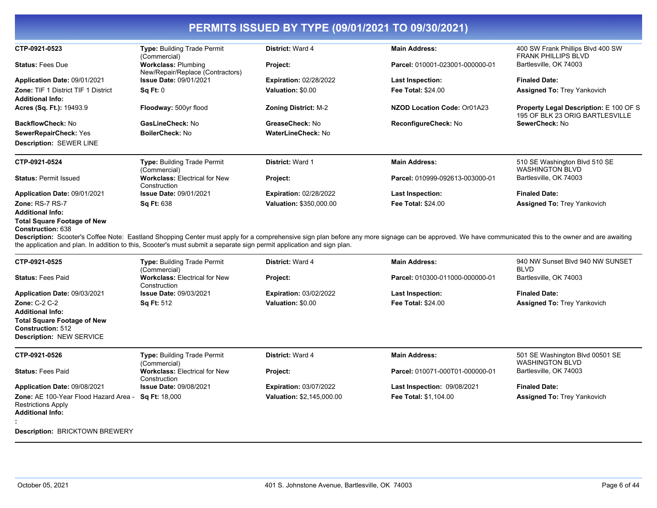| CTP-0921-0523                                                                                                                                                                                                       | Type: Building Trade Permit<br>(Commercial)                    | District: Ward 4              | <b>Main Address:</b>                                                                                                                                                                                   | 400 SW Frank Phillips Blvd 400 SW<br><b>FRANK PHILLIPS BLVD</b>                  |
|---------------------------------------------------------------------------------------------------------------------------------------------------------------------------------------------------------------------|----------------------------------------------------------------|-------------------------------|--------------------------------------------------------------------------------------------------------------------------------------------------------------------------------------------------------|----------------------------------------------------------------------------------|
| <b>Status: Fees Due</b>                                                                                                                                                                                             | <b>Workclass: Plumbing</b><br>New/Repair/Replace (Contractors) | Project:                      | Parcel: 010001-023001-000000-01                                                                                                                                                                        | Bartlesville, OK 74003                                                           |
| Application Date: 09/01/2021                                                                                                                                                                                        | <b>Issue Date: 09/01/2021</b>                                  | <b>Expiration: 02/28/2022</b> | <b>Last Inspection:</b>                                                                                                                                                                                | <b>Finaled Date:</b>                                                             |
| <b>Zone: TIF 1 District TIF 1 District</b>                                                                                                                                                                          | Sq Ft: 0                                                       | Valuation: \$0.00             | <b>Fee Total: \$24.00</b>                                                                                                                                                                              | <b>Assigned To: Trey Yankovich</b>                                               |
| <b>Additional Info:</b>                                                                                                                                                                                             |                                                                |                               |                                                                                                                                                                                                        |                                                                                  |
| Acres (Sq. Ft.): 19493.9                                                                                                                                                                                            | Floodway: 500yr flood                                          | <b>Zoning District: M-2</b>   | NZOD Location Code: Or01A23                                                                                                                                                                            | <b>Property Legal Description: E 100 OF S</b><br>195 OF BLK 23 ORIG BARTLESVILLE |
| <b>BackflowCheck: No</b>                                                                                                                                                                                            | GasLineCheck: No                                               | GreaseCheck: No               | ReconfigureCheck: No                                                                                                                                                                                   | SewerCheck: No                                                                   |
| SewerRepairCheck: Yes                                                                                                                                                                                               | BoilerCheck: No                                                | <b>WaterLineCheck: No</b>     |                                                                                                                                                                                                        |                                                                                  |
| <b>Description: SEWER LINE</b>                                                                                                                                                                                      |                                                                |                               |                                                                                                                                                                                                        |                                                                                  |
| CTP-0921-0524                                                                                                                                                                                                       | Type: Building Trade Permit<br>(Commercial)                    | District: Ward 1              | <b>Main Address:</b>                                                                                                                                                                                   | 510 SE Washington Blvd 510 SE<br><b>WASHINGTON BLVD</b>                          |
| <b>Status: Permit Issued</b>                                                                                                                                                                                        | <b>Workclass: Electrical for New</b><br>Construction           | Project:                      | Parcel: 010999-092613-003000-01                                                                                                                                                                        | Bartlesville, OK 74003                                                           |
| Application Date: 09/01/2021                                                                                                                                                                                        | Issue Date: 09/01/2021                                         | Expiration: 02/28/2022        | <b>Last Inspection:</b>                                                                                                                                                                                | <b>Finaled Date:</b>                                                             |
| <b>Zone: RS-7 RS-7</b>                                                                                                                                                                                              | <b>Sq Ft: 638</b>                                              | Valuation: \$350,000.00       | <b>Fee Total: \$24.00</b>                                                                                                                                                                              | <b>Assigned To: Trey Yankovich</b>                                               |
| <b>Additional Info:</b><br><b>Total Square Footage of New</b><br><b>Construction: 638</b><br>the application and plan. In addition to this, Scooter's must submit a separate sign permit application and sign plan. |                                                                |                               | Description: Scooter's Coffee Note: Eastland Shopping Center must apply for a comprehensive sign plan before any more signage can be approved. We have communicated this to the owner and are awaiting |                                                                                  |
| CTP-0921-0525                                                                                                                                                                                                       | Type: Building Trade Permit<br>(Commercial)                    | District: Ward 4              | <b>Main Address:</b>                                                                                                                                                                                   | 940 NW Sunset Blvd 940 NW SUNSET<br><b>BLVD</b>                                  |
| <b>Status: Fees Paid</b>                                                                                                                                                                                            | <b>Workclass: Electrical for New</b><br>Construction           | Project:                      | Parcel: 010300-011000-000000-01                                                                                                                                                                        | Bartlesville, OK 74003                                                           |
| Application Date: 09/03/2021                                                                                                                                                                                        | <b>Issue Date: 09/03/2021</b>                                  | <b>Expiration: 03/02/2022</b> | <b>Last Inspection:</b>                                                                                                                                                                                | <b>Finaled Date:</b>                                                             |
| Zone: C-2 C-2                                                                                                                                                                                                       | Sq Ft: 512                                                     | Valuation: \$0.00             | <b>Fee Total: \$24.00</b>                                                                                                                                                                              | Assigned To: Trey Yankovich                                                      |
| <b>Additional Info:</b>                                                                                                                                                                                             |                                                                |                               |                                                                                                                                                                                                        |                                                                                  |
| <b>Total Square Footage of New</b><br><b>Construction: 512</b><br>Description: NEW SERVICE                                                                                                                          |                                                                |                               |                                                                                                                                                                                                        |                                                                                  |
| CTP-0921-0526                                                                                                                                                                                                       | Type: Building Trade Permit<br>(Commercial)                    | District: Ward 4              | <b>Main Address:</b>                                                                                                                                                                                   | 501 SE Washington Blvd 00501 SE<br><b>WASHINGTON BLVD</b>                        |
| <b>Status: Fees Paid</b>                                                                                                                                                                                            | <b>Workclass: Electrical for New</b><br>Construction           | Project:                      | Parcel: 010071-000T01-000000-01                                                                                                                                                                        | Bartlesville, OK 74003                                                           |
| Application Date: 09/08/2021                                                                                                                                                                                        | <b>Issue Date: 09/08/2021</b>                                  | <b>Expiration: 03/07/2022</b> | <b>Last Inspection: 09/08/2021</b>                                                                                                                                                                     | <b>Finaled Date:</b>                                                             |
| Zone: AE 100-Year Flood Hazard Area -<br><b>Restrictions Apply</b>                                                                                                                                                  | <b>Sq Ft: 18,000</b>                                           | Valuation: \$2,145,000.00     | Fee Total: \$1,104.00                                                                                                                                                                                  | <b>Assigned To: Trey Yankovich</b>                                               |

**Description:** BRICKTOWN BREWERY

**Additional Info:**

**:**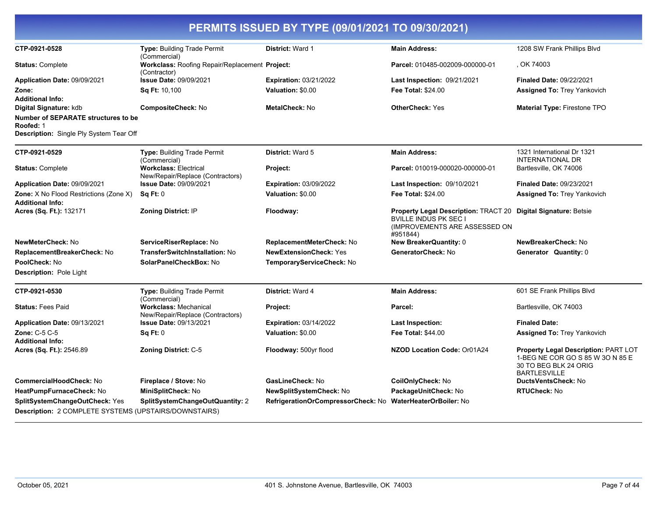| CTP-0921-0528                                                                               | Type: Building Trade Permit                                                      | District: Ward 1                   | <b>Main Address:</b>                                                                                                     | 1208 SW Frank Phillips Blvd                                                                                              |
|---------------------------------------------------------------------------------------------|----------------------------------------------------------------------------------|------------------------------------|--------------------------------------------------------------------------------------------------------------------------|--------------------------------------------------------------------------------------------------------------------------|
| <b>Status: Complete</b>                                                                     | (Commercial)<br>Workclass: Roofing Repair/Replacement Project:                   |                                    | Parcel: 010485-002009-000000-01                                                                                          | , OK 74003                                                                                                               |
|                                                                                             | (Contractor)                                                                     |                                    |                                                                                                                          |                                                                                                                          |
| Application Date: 09/09/2021                                                                | Issue Date: 09/09/2021                                                           | <b>Expiration: 03/21/2022</b>      | Last Inspection: 09/21/2021                                                                                              | <b>Finaled Date: 09/22/2021</b>                                                                                          |
| Zone:<br><b>Additional Info:</b>                                                            | Sq Ft: 10,100                                                                    | Valuation: \$0.00                  | <b>Fee Total: \$24.00</b>                                                                                                | <b>Assigned To: Trey Yankovich</b>                                                                                       |
| Digital Signature: kdb                                                                      | CompositeCheck: No                                                               | <b>MetalCheck: No</b>              | <b>OtherCheck: Yes</b>                                                                                                   | <b>Material Type: Firestone TPO</b>                                                                                      |
| Number of SEPARATE structures to be<br>Roofed: 1<br>Description: Single Ply System Tear Off |                                                                                  |                                    |                                                                                                                          |                                                                                                                          |
| CTP-0921-0529                                                                               | <b>Type: Building Trade Permit</b>                                               | District: Ward 5                   | <b>Main Address:</b>                                                                                                     | 1321 International Dr 1321                                                                                               |
| <b>Status: Complete</b>                                                                     | (Commercial)<br><b>Workclass: Electrical</b><br>New/Repair/Replace (Contractors) | Project:                           | Parcel: 010019-000020-000000-01                                                                                          | INTERNATIONAL DR<br>Bartlesville, OK 74006                                                                               |
| Application Date: 09/09/2021                                                                | Issue Date: 09/09/2021                                                           | <b>Expiration: 03/09/2022</b>      | Last Inspection: 09/10/2021                                                                                              | Finaled Date: 09/23/2021                                                                                                 |
| Zone: X No Flood Restrictions (Zone X)<br>Additional Info:                                  | Sq Ft: 0                                                                         | Valuation: \$0.00                  | <b>Fee Total: \$24.00</b>                                                                                                | <b>Assigned To: Trey Yankovich</b>                                                                                       |
| Acres (Sq. Ft.): 132171                                                                     | Zoning District: IP                                                              | Floodway:                          | <b>Property Legal Description: TRACT 20</b><br><b>BVILLE INDUS PK SEC I</b><br>(IMPROVEMENTS ARE ASSESSED ON<br>#951844) | <b>Digital Signature: Betsie</b>                                                                                         |
| NewMeterCheck: No                                                                           | ServiceRiserReplace: No                                                          | ReplacementMeterCheck: No          | New BreakerQuantity: 0                                                                                                   | NewBreakerCheck: No                                                                                                      |
| ReplacementBreakerCheck: No                                                                 | <b>TransferSwitchInstallation: No</b>                                            | <b>NewExtensionCheck: Yes</b>      | GeneratorCheck: No                                                                                                       | Generator Quantity: 0                                                                                                    |
| PoolCheck: No                                                                               | SolarPanelCheckBox: No                                                           | TemporaryServiceCheck: No          |                                                                                                                          |                                                                                                                          |
| Description: Pole Light                                                                     |                                                                                  |                                    |                                                                                                                          |                                                                                                                          |
| CTP-0921-0530                                                                               | Type: Building Trade Permit<br>(Commercial)                                      | District: Ward 4                   | <b>Main Address:</b>                                                                                                     | 601 SE Frank Phillips Blvd                                                                                               |
| <b>Status: Fees Paid</b>                                                                    | <b>Workclass: Mechanical</b><br>New/Repair/Replace (Contractors)                 | Project:                           | Parcel:                                                                                                                  | Bartlesville, OK 74003                                                                                                   |
| Application Date: 09/13/2021                                                                | <b>Issue Date: 09/13/2021</b>                                                    | <b>Expiration: 03/14/2022</b>      | Last Inspection:                                                                                                         | <b>Finaled Date:</b>                                                                                                     |
| <b>Zone: C-5 C-5</b><br>Additional Info:                                                    | Sq Ft: 0                                                                         | Valuation: \$0.00                  | <b>Fee Total: \$44.00</b>                                                                                                | <b>Assigned To: Trey Yankovich</b>                                                                                       |
| Acres (Sq. Ft.): 2546.89                                                                    | <b>Zoning District: C-5</b>                                                      | Floodway: 500yr flood              | NZOD Location Code: Or01A24                                                                                              | Property Legal Description: PART LOT<br>1-BEG NE COR GO S 85 W 30 N 85 E<br>30 TO BEG BLK 24 ORIG<br><b>BARTLESVILLE</b> |
| <b>CommercialHoodCheck: No</b>                                                              | Fireplace / Stove: No                                                            | GasLineCheck: No                   | CoilOnlyCheck: No                                                                                                        | <b>DuctsVentsCheck: No</b>                                                                                               |
| HeatPumpFurnaceCheck: No                                                                    | MiniSplitCheck: No                                                               | <b>NewSplitSystemCheck: No</b>     | PackageUnitCheck: No                                                                                                     | <b>RTUCheck: No</b>                                                                                                      |
| SplitSystemChangeOutCheck: Yes<br>Description: 2 COMPLETE SYSTEMS (UPSTAIRS/DOWNSTAIRS)     | SplitSystemChangeOutQuantity: 2                                                  | RefrigerationOrCompressorCheck: No | <b>WaterHeaterOrBoiler: No</b>                                                                                           |                                                                                                                          |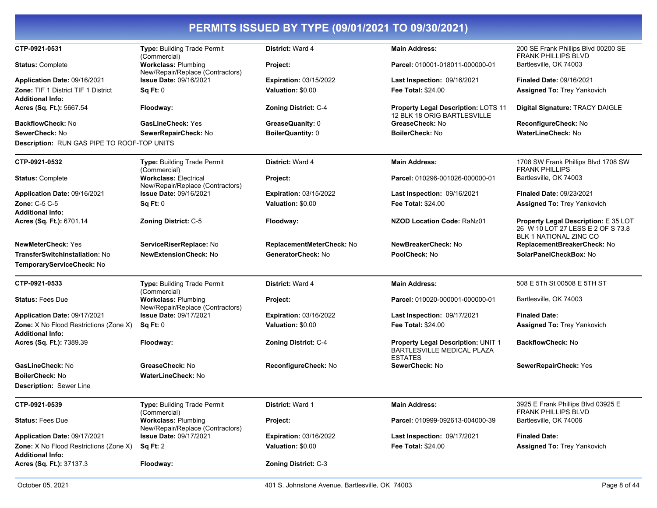| CTP-0921-0531                                                            |                                                                  | District: Ward 4              | <b>Main Address:</b>                                                               | 200 SE Frank Phillips Blvd 00200 SE                                                                 |
|--------------------------------------------------------------------------|------------------------------------------------------------------|-------------------------------|------------------------------------------------------------------------------------|-----------------------------------------------------------------------------------------------------|
|                                                                          | Type: Building Trade Permit<br>(Commercial)                      |                               |                                                                                    | <b>FRANK PHILLIPS BLVD</b>                                                                          |
| <b>Status: Complete</b>                                                  | <b>Workclass: Plumbing</b><br>New/Repair/Replace (Contractors)   | Project:                      | Parcel: 010001-018011-000000-01                                                    | Bartlesville, OK 74003                                                                              |
| Application Date: 09/16/2021                                             | Issue Date: 09/16/2021                                           | <b>Expiration: 03/15/2022</b> | Last Inspection: 09/16/2021                                                        | <b>Finaled Date: 09/16/2021</b>                                                                     |
| <b>Zone: TIF 1 District TIF 1 District</b>                               | Sq Ft: 0                                                         | Valuation: \$0.00             | <b>Fee Total: \$24.00</b>                                                          | <b>Assigned To: Trey Yankovich</b>                                                                  |
| <b>Additional Info:</b>                                                  |                                                                  |                               |                                                                                    |                                                                                                     |
| Acres (Sq. Ft.): 5667.54                                                 | Floodway:                                                        | Zoning District: C-4          | Property Legal Description: LOTS 11<br>12 BLK 18 ORIG BARTLESVILLE                 | Digital Signature: TRACY DAIGLE                                                                     |
| <b>BackflowCheck: No</b>                                                 | <b>GasLineCheck: Yes</b>                                         | GreaseQuanity: 0              | GreaseCheck: No                                                                    | ReconfigureCheck: No                                                                                |
| SewerCheck: No                                                           | SewerRepairCheck: No                                             | BoilerQuantity: 0             | <b>BoilerCheck: No</b>                                                             | <b>WaterLineCheck: No</b>                                                                           |
| <b>Description: RUN GAS PIPE TO ROOF-TOP UNITS</b>                       |                                                                  |                               |                                                                                    |                                                                                                     |
| CTP-0921-0532                                                            | Type: Building Trade Permit<br>(Commercial)                      | <b>District: Ward 4</b>       | <b>Main Address:</b>                                                               | 1708 SW Frank Phillips Blvd 1708 SW<br><b>FRANK PHILLIPS</b>                                        |
| <b>Status: Complete</b>                                                  | <b>Workclass: Electrical</b><br>New/Repair/Replace (Contractors) | Project:                      | Parcel: 010296-001026-000000-01                                                    | Bartlesville, OK 74003                                                                              |
| Application Date: 09/16/2021                                             | <b>Issue Date: 09/16/2021</b>                                    | <b>Expiration: 03/15/2022</b> | Last Inspection: 09/16/2021                                                        | <b>Finaled Date: 09/23/2021</b>                                                                     |
| <b>Zone: C-5 C-5</b>                                                     | Sq Ft: 0                                                         | Valuation: \$0.00             | <b>Fee Total: \$24.00</b>                                                          | <b>Assigned To: Trey Yankovich</b>                                                                  |
| <b>Additional Info:</b>                                                  |                                                                  |                               |                                                                                    |                                                                                                     |
| Acres (Sq. Ft.): 6701.14                                                 | <b>Zoning District: C-5</b>                                      | Floodway:                     | <b>NZOD Location Code: RaNz01</b>                                                  | Property Legal Description: E 35 LOT<br>26 W 10 LOT 27 LESS E 2 OF S 73.8<br>BLK 1 NATIONAL ZINC CO |
| <b>NewMeterCheck: Yes</b>                                                | ServiceRiserReplace: No                                          | ReplacementMeterCheck: No     | NewBreakerCheck: No                                                                | ReplacementBreakerCheck: No                                                                         |
| <b>TransferSwitchInstallation: No</b>                                    | <b>NewExtensionCheck: No</b>                                     | GeneratorCheck: No            | PoolCheck: No                                                                      | SolarPanelCheckBox: No                                                                              |
| TemporaryServiceCheck: No                                                |                                                                  |                               |                                                                                    |                                                                                                     |
| CTP-0921-0533                                                            | Type: Building Trade Permit<br>(Commercial)                      | District: Ward 4              | <b>Main Address:</b>                                                               | 508 E 5Th St 00508 E 5TH ST                                                                         |
| <b>Status: Fees Due</b>                                                  | <b>Workclass: Plumbing</b><br>New/Repair/Replace (Contractors)   | Project:                      | Parcel: 010020-000001-000000-01                                                    | Bartlesville, OK 74003                                                                              |
| Application Date: 09/17/2021                                             | <b>Issue Date: 09/17/2021</b>                                    | <b>Expiration: 03/16/2022</b> | Last Inspection: 09/17/2021                                                        | <b>Finaled Date:</b>                                                                                |
| <b>Zone:</b> X No Flood Restrictions (Zone X)<br><b>Additional Info:</b> | Sq Ft: 0                                                         | Valuation: \$0.00             | <b>Fee Total: \$24.00</b>                                                          | Assigned To: Trey Yankovich                                                                         |
| Acres (Sq. Ft.): 7389.39                                                 | Floodway:                                                        | Zoning District: C-4          | Property Legal Description: UNIT 1<br>BARTLESVILLE MEDICAL PLAZA<br><b>ESTATES</b> | <b>BackflowCheck: No</b>                                                                            |
| GasLineCheck: No                                                         | GreaseCheck: No                                                  | ReconfigureCheck: No          | SewerCheck: No                                                                     | SewerRepairCheck: Yes                                                                               |
| <b>BoilerCheck: No</b>                                                   | <b>WaterLineCheck: No</b>                                        |                               |                                                                                    |                                                                                                     |
| Description: Sewer Line                                                  |                                                                  |                               |                                                                                    |                                                                                                     |
| CTP-0921-0539                                                            | Type: Building Trade Permit<br>(Commercial)                      | <b>District: Ward 1</b>       | <b>Main Address:</b>                                                               | 3925 E Frank Phillips Blvd 03925 E<br><b>FRANK PHILLIPS BLVD</b>                                    |
| <b>Status: Fees Due</b>                                                  | <b>Workclass: Plumbing</b><br>New/Repair/Replace (Contractors)   | Project:                      | Parcel: 010999-092613-004000-39                                                    | Bartlesville, OK 74006                                                                              |
| Application Date: 09/17/2021                                             | <b>Issue Date: 09/17/2021</b>                                    | <b>Expiration: 03/16/2022</b> | Last Inspection: 09/17/2021                                                        | <b>Finaled Date:</b>                                                                                |
| Zone: X No Flood Restrictions (Zone X)<br><b>Additional Info:</b>        | Sq Ft: 2                                                         | Valuation: \$0.00             | Fee Total: \$24.00                                                                 | Assigned To: Trey Yankovich                                                                         |
| Acres (Sq. Ft.): 37137.3                                                 | Floodway:                                                        | Zoning District: C-3          |                                                                                    |                                                                                                     |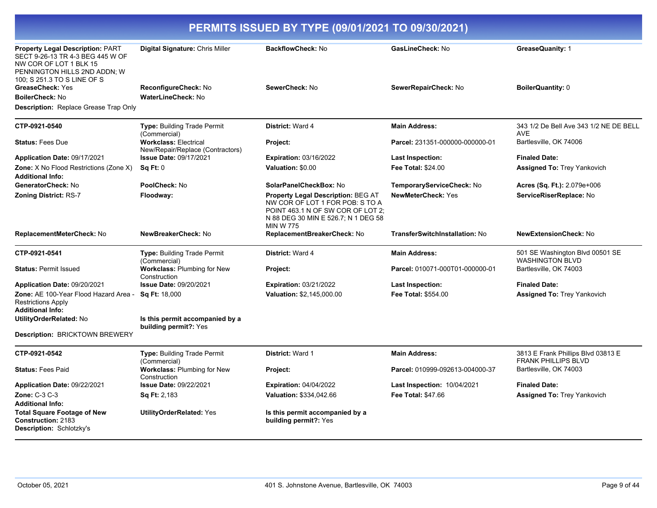| PERMITS ISSUED BY TYPE (09/01/2021 TO 09/30/2021)                                                                                                             |                                                                  |                                                                                                                                                                              |                                       |                                                                  |
|---------------------------------------------------------------------------------------------------------------------------------------------------------------|------------------------------------------------------------------|------------------------------------------------------------------------------------------------------------------------------------------------------------------------------|---------------------------------------|------------------------------------------------------------------|
| Property Legal Description: PART<br>SECT 9-26-13 TR 4-3 BEG 445 W OF<br>NW COR OF LOT 1 BLK 15<br>PENNINGTON HILLS 2ND ADDN: W<br>100; S 251.3 TO S LINE OF S | Digital Signature: Chris Miller                                  | BackflowCheck: No                                                                                                                                                            | GasLineCheck: No                      | GreaseQuanity: 1                                                 |
| <b>GreaseCheck: Yes</b>                                                                                                                                       | ReconfigureCheck: No                                             | SewerCheck: No                                                                                                                                                               | SewerRepairCheck: No                  | BoilerQuantity: 0                                                |
| <b>BoilerCheck: No</b>                                                                                                                                        | <b>WaterLineCheck: No</b>                                        |                                                                                                                                                                              |                                       |                                                                  |
| <b>Description:</b> Replace Grease Trap Only                                                                                                                  |                                                                  |                                                                                                                                                                              |                                       |                                                                  |
| CTP-0921-0540                                                                                                                                                 | <b>Type: Building Trade Permit</b><br>(Commercial)               | District: Ward 4                                                                                                                                                             | <b>Main Address:</b>                  | 343 1/2 De Bell Ave 343 1/2 NE DE BELL<br><b>AVE</b>             |
| <b>Status: Fees Due</b>                                                                                                                                       | <b>Workclass: Electrical</b><br>New/Repair/Replace (Contractors) | Project:                                                                                                                                                                     | Parcel: 231351-000000-000000-01       | Bartlesville, OK 74006                                           |
| Application Date: 09/17/2021                                                                                                                                  | <b>Issue Date: 09/17/2021</b>                                    | <b>Expiration: 03/16/2022</b>                                                                                                                                                | Last Inspection:                      | <b>Finaled Date:</b>                                             |
| <b>Zone:</b> X No Flood Restrictions (Zone X)<br><b>Additional Info:</b>                                                                                      | Sq Ft: 0                                                         | Valuation: \$0.00                                                                                                                                                            | <b>Fee Total: \$24.00</b>             | <b>Assigned To: Trey Yankovich</b>                               |
| GeneratorCheck: No                                                                                                                                            | PoolCheck: No                                                    | SolarPanelCheckBox: No                                                                                                                                                       | TemporaryServiceCheck: No             | Acres (Sq. Ft.): 2.079e+006                                      |
| <b>Zoning District: RS-7</b>                                                                                                                                  | Floodway:                                                        | <b>Property Legal Description: BEG AT</b><br>NW COR OF LOT 1 FOR POB: S TO A<br>POINT 463.1 N OF SW COR OF LOT 2:<br>N 88 DEG 30 MIN E 526.7; N 1 DEG 58<br><b>MIN W 775</b> | <b>NewMeterCheck: Yes</b>             | ServiceRiserReplace: No                                          |
| ReplacementMeterCheck: No                                                                                                                                     | NewBreakerCheck: No                                              | ReplacementBreakerCheck: No                                                                                                                                                  | <b>TransferSwitchInstallation: No</b> | <b>NewExtensionCheck: No</b>                                     |
| CTP-0921-0541                                                                                                                                                 | <b>Type: Building Trade Permit</b><br>(Commercial)               | <b>District: Ward 4</b>                                                                                                                                                      | <b>Main Address:</b>                  | 501 SE Washington Blvd 00501 SE<br><b>WASHINGTON BLVD</b>        |
| <b>Status: Permit Issued</b>                                                                                                                                  | <b>Workclass: Plumbing for New</b><br>Construction               | <b>Project:</b>                                                                                                                                                              | Parcel: 010071-000T01-000000-01       | Bartlesville, OK 74003                                           |
| Application Date: 09/20/2021                                                                                                                                  | <b>Issue Date: 09/20/2021</b>                                    | <b>Expiration: 03/21/2022</b>                                                                                                                                                | Last Inspection:                      | <b>Finaled Date:</b>                                             |
| Zone: AE 100-Year Flood Hazard Area -<br><b>Restrictions Apply</b><br><b>Additional Info:</b>                                                                 | Sq Ft: 18,000                                                    | Valuation: \$2,145,000.00                                                                                                                                                    | Fee Total: \$554.00                   | <b>Assigned To: Trey Yankovich</b>                               |
| UtilityOrderRelated: No                                                                                                                                       | Is this permit accompanied by a<br>building permit?: Yes         |                                                                                                                                                                              |                                       |                                                                  |
| Description: BRICKTOWN BREWERY                                                                                                                                |                                                                  |                                                                                                                                                                              |                                       |                                                                  |
| CTP-0921-0542                                                                                                                                                 | Type: Building Trade Permit<br>(Commercial)                      | <b>District: Ward 1</b>                                                                                                                                                      | <b>Main Address:</b>                  | 3813 E Frank Phillips Blvd 03813 E<br><b>FRANK PHILLIPS BLVD</b> |
| <b>Status: Fees Paid</b>                                                                                                                                      | <b>Workclass: Plumbing for New</b><br>Construction               | Project:                                                                                                                                                                     | Parcel: 010999-092613-004000-37       | Bartlesville, OK 74003                                           |
| <b>Application Date:</b> 09/22/2021                                                                                                                           | <b>Issue Date: 09/22/2021</b>                                    | <b>Expiration: 04/04/2022</b>                                                                                                                                                | Last Inspection: 10/04/2021           | <b>Finaled Date:</b>                                             |
| Zone: C-3 C-3                                                                                                                                                 | <b>Sq Ft: 2,183</b>                                              | Valuation: \$334,042.66                                                                                                                                                      | <b>Fee Total: \$47.66</b>             | <b>Assigned To: Trey Yankovich</b>                               |
| <b>Additional Info:</b>                                                                                                                                       |                                                                  |                                                                                                                                                                              |                                       |                                                                  |
| <b>Total Square Footage of New</b><br><b>Construction: 2183</b><br>Description: Schlotzky's                                                                   | <b>UtilityOrderRelated: Yes</b>                                  | Is this permit accompanied by a<br>building permit?: Yes                                                                                                                     |                                       |                                                                  |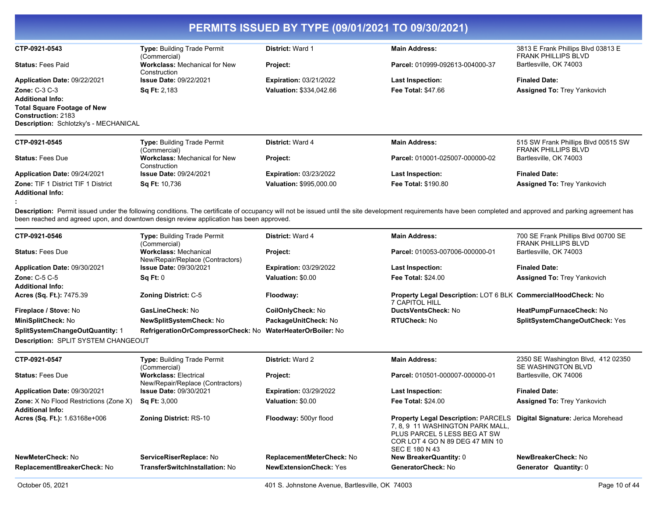| CTP-0921-0543                                | <b>Type: Building Trade Permit</b><br>(Commercial)   | <b>District: Ward 1</b>        | <b>Main Address:</b>            | 3813 E Frank Phillips Blvd 03813 E<br><b>FRANK PHILLIPS BLVD</b>  |
|----------------------------------------------|------------------------------------------------------|--------------------------------|---------------------------------|-------------------------------------------------------------------|
| <b>Status: Fees Paid</b>                     | <b>Workclass: Mechanical for New</b><br>Construction | Project:                       | Parcel: 010999-092613-004000-37 | Bartlesville, OK 74003                                            |
| Application Date: 09/22/2021                 | <b>Issue Date: 09/22/2021</b>                        | <b>Expiration: 03/21/2022</b>  | <b>Last Inspection:</b>         | <b>Finaled Date:</b>                                              |
| <b>Zone: C-3 C-3</b>                         | <b>Sq Ft: 2,183</b>                                  | <b>Valuation: \$334,042.66</b> | <b>Fee Total: \$47.66</b>       | <b>Assigned To: Trey Yankovich</b>                                |
| <b>Additional Info:</b>                      |                                                      |                                |                                 |                                                                   |
| <b>Total Square Footage of New</b>           |                                                      |                                |                                 |                                                                   |
| <b>Construction: 2183</b>                    |                                                      |                                |                                 |                                                                   |
| <b>Description: Schlotzky's - MECHANICAL</b> |                                                      |                                |                                 |                                                                   |
| CTP-0921-0545                                | <b>Type: Building Trade Permit</b><br>(Commercial)   | <b>District: Ward 4</b>        | <b>Main Address:</b>            | 515 SW Frank Phillips Blvd 00515 SW<br><b>FRANK PHILLIPS BLVD</b> |
| <b>Status: Fees Due</b>                      | <b>Workclass: Mechanical for New</b><br>Construction | <b>Project:</b>                | Parcel: 010001-025007-000000-02 | Bartlesville, OK 74003                                            |
| Application Date: 09/24/2021                 | <b>Issue Date: 09/24/2021</b>                        | <b>Expiration: 03/23/2022</b>  | <b>Last Inspection:</b>         | <b>Finaled Date:</b>                                              |

**:**  Description: Permit issued under the following conditions. The certificate of occupancy will not be issued until the site development requirements have been completed and approved and parking agreement has been reached and agreed upon, and downtown design review application has been approved.

**Fee Total:** \$190.80

**Valuation:** \$995,000.00

| CTP-0921-0546                                                            | Type: Building Trade Permit<br>(Commercial)                      | District: Ward 4              | <b>Main Address:</b>                                                                                                                                              | 700 SE Frank Phillips Blvd 00700 SE<br><b>FRANK PHILLIPS BLVD</b> |
|--------------------------------------------------------------------------|------------------------------------------------------------------|-------------------------------|-------------------------------------------------------------------------------------------------------------------------------------------------------------------|-------------------------------------------------------------------|
| <b>Status: Fees Due</b>                                                  | <b>Workclass: Mechanical</b><br>New/Repair/Replace (Contractors) | Project:                      | Parcel: 010053-007006-000000-01                                                                                                                                   | Bartlesville, OK 74003                                            |
| Application Date: 09/30/2021                                             | <b>Issue Date: 09/30/2021</b>                                    | <b>Expiration: 03/29/2022</b> | Last Inspection:                                                                                                                                                  | <b>Finaled Date:</b>                                              |
| <b>Zone: C-5 C-5</b><br><b>Additional Info:</b>                          | Sq Ft: 0                                                         | Valuation: \$0.00             | Fee Total: \$24.00                                                                                                                                                | Assigned To: Trey Yankovich                                       |
| Acres (Sq. Ft.): 7475.39                                                 | <b>Zoning District: C-5</b>                                      | Floodway:                     | <b>Property Legal Description: LOT 6 BLK CommercialHoodCheck: No</b><br><b>7 CAPITOL HILL</b>                                                                     |                                                                   |
| Fireplace / Stove: No                                                    | GasLineCheck: No                                                 | CoilOnlyCheck: No             | <b>DuctsVentsCheck: No</b>                                                                                                                                        | HeatPumpFurnaceCheck: No                                          |
| MiniSplitCheck: No                                                       | <b>NewSplitSystemCheck: No</b>                                   | PackageUnitCheck: No          | <b>RTUCheck: No</b>                                                                                                                                               | SplitSystemChangeOutCheck: Yes                                    |
| SplitSystemChangeOutQuantity: 1                                          | RefrigerationOrCompressorCheck: No                               | WaterHeaterOrBoiler: No       |                                                                                                                                                                   |                                                                   |
| <b>Description: SPLIT SYSTEM CHANGEOUT</b>                               |                                                                  |                               |                                                                                                                                                                   |                                                                   |
| CTP-0921-0547                                                            | <b>Type: Building Trade Permit</b><br>(Commercial)               | <b>District: Ward 2</b>       | <b>Main Address:</b>                                                                                                                                              | 2350 SE Washington Blvd, 412 02350<br>SE WASHINGTON BLVD          |
| <b>Status: Fees Due</b>                                                  | <b>Workclass: Electrical</b><br>New/Repair/Replace (Contractors) | Project:                      | Parcel: 010501-000007-000000-01                                                                                                                                   | Bartlesville, OK 74006                                            |
| Application Date: 09/30/2021                                             | <b>Issue Date: 09/30/2021</b>                                    | <b>Expiration: 03/29/2022</b> | <b>Last Inspection:</b>                                                                                                                                           | <b>Finaled Date:</b>                                              |
| <b>Zone:</b> X No Flood Restrictions (Zone X)<br><b>Additional Info:</b> | <b>Sq Ft: 3,000</b>                                              | Valuation: \$0.00             | <b>Fee Total: \$24.00</b>                                                                                                                                         | Assigned To: Trey Yankovich                                       |
| Acres (Sq. Ft.): 1.63168e+006                                            | <b>Zoning District: RS-10</b>                                    | Floodway: 500yr flood         | <b>Property Legal Description: PARCELS</b><br>7.8.9 11 WASHINGTON PARK MALL.<br>PLUS PARCEL 5 LESS BEG AT SW<br>COR LOT 4 GO N 89 DEG 47 MIN 10<br>SEC E 180 N 43 | Digital Signature: Jerica Morehead                                |
| NewMeterCheck: No                                                        | ServiceRiserReplace: No                                          | ReplacementMeterCheck: No     | <b>New BreakerQuantity: 0</b>                                                                                                                                     | NewBreakerCheck: No                                               |
| ReplacementBreakerCheck: No                                              | TransferSwitchInstallation: No                                   | <b>NewExtensionCheck: Yes</b> | GeneratorCheck: No                                                                                                                                                | Generator Quantity: 0                                             |
|                                                                          |                                                                  |                               |                                                                                                                                                                   |                                                                   |

**Zone:** TIF 1 District TIF 1 District

**Additional Info:**

**Sq Ft:** 10,736

**Assigned To:** Trey Yankovich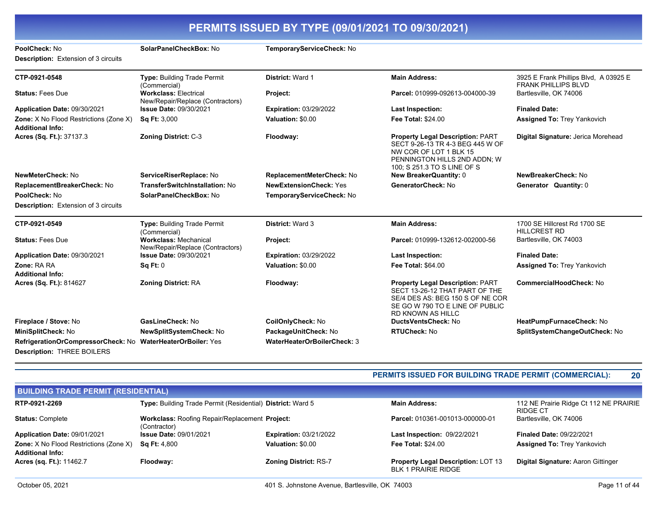| PoolCheck: No                                                     | SolarPanelCheckBox: No                                           | TemporaryServiceCheck: No     |                                                                                                                                                                       |                                                                     |
|-------------------------------------------------------------------|------------------------------------------------------------------|-------------------------------|-----------------------------------------------------------------------------------------------------------------------------------------------------------------------|---------------------------------------------------------------------|
| <b>Description:</b> Extension of 3 circuits                       |                                                                  |                               |                                                                                                                                                                       |                                                                     |
| CTP-0921-0548                                                     | Type: Building Trade Permit<br>(Commercial)                      | District: Ward 1              | <b>Main Address:</b>                                                                                                                                                  | 3925 E Frank Phillips Blvd, A 03925 E<br><b>FRANK PHILLIPS BLVD</b> |
| <b>Status: Fees Due</b>                                           | <b>Workclass: Electrical</b><br>New/Repair/Replace (Contractors) | Project:                      | Parcel: 010999-092613-004000-39                                                                                                                                       | Bartlesville, OK 74006                                              |
| Application Date: 09/30/2021                                      | <b>Issue Date: 09/30/2021</b>                                    | <b>Expiration: 03/29/2022</b> | <b>Last Inspection:</b>                                                                                                                                               | <b>Finaled Date:</b>                                                |
| Zone: X No Flood Restrictions (Zone X)<br><b>Additional Info:</b> | <b>Sq Ft: 3,000</b>                                              | Valuation: \$0.00             | <b>Fee Total: \$24.00</b>                                                                                                                                             | <b>Assigned To: Trey Yankovich</b>                                  |
| Acres (Sq. Ft.): 37137.3                                          | <b>Zoning District: C-3</b>                                      | Floodway:                     | <b>Property Legal Description: PART</b><br>SECT 9-26-13 TR 4-3 BEG 445 W OF<br>NW COR OF LOT 1 BLK 15<br>PENNINGTON HILLS 2ND ADDN; W<br>100; S 251.3 TO S LINE OF S  | Digital Signature: Jerica Morehead                                  |
| NewMeterCheck: No                                                 | ServiceRiserReplace: No                                          | ReplacementMeterCheck: No     | New BreakerQuantity: 0                                                                                                                                                | NewBreakerCheck: No                                                 |
| ReplacementBreakerCheck: No                                       | TransferSwitchInstallation: No                                   | <b>NewExtensionCheck: Yes</b> | GeneratorCheck: No                                                                                                                                                    | Generator Quantity: 0                                               |
| PoolCheck: No                                                     | SolarPanelCheckBox: No                                           | TemporaryServiceCheck: No     |                                                                                                                                                                       |                                                                     |
| <b>Description:</b> Extension of 3 circuits                       |                                                                  |                               |                                                                                                                                                                       |                                                                     |
| CTP-0921-0549                                                     | <b>Type: Building Trade Permit</b><br>(Commercial)               | District: Ward 3              | <b>Main Address:</b>                                                                                                                                                  | 1700 SE Hillcrest Rd 1700 SE<br><b>HILLCREST RD</b>                 |
| <b>Status: Fees Due</b>                                           | <b>Workclass: Mechanical</b><br>New/Repair/Replace (Contractors) | Project:                      | Parcel: 010999-132612-002000-56                                                                                                                                       | Bartlesville, OK 74003                                              |
| Application Date: 09/30/2021                                      | <b>Issue Date: 09/30/2021</b>                                    | <b>Expiration: 03/29/2022</b> | <b>Last Inspection:</b>                                                                                                                                               | <b>Finaled Date:</b>                                                |
| Zone: RA RA                                                       | Sq Ft: 0                                                         | Valuation: \$0.00             | <b>Fee Total: \$64.00</b>                                                                                                                                             | <b>Assigned To: Trey Yankovich</b>                                  |
| <b>Additional Info:</b>                                           |                                                                  |                               |                                                                                                                                                                       |                                                                     |
| Acres (Sq. Ft.): 814627                                           | <b>Zoning District: RA</b>                                       | Floodway:                     | <b>Property Legal Description: PART</b><br>SECT 13-26-12 THAT PART OF THE<br>SE/4 DES AS: BEG 150 S OF NE COR<br>SE GO W 790 TO E LINE OF PUBLIC<br>RD KNOWN AS HILLC | <b>CommercialHoodCheck: No</b>                                      |
| Fireplace / Stove: No                                             | GasLineCheck: No                                                 | CoilOnlyCheck: No             | <b>DuctsVentsCheck: No</b>                                                                                                                                            | HeatPumpFurnaceCheck: No                                            |
| MiniSplitCheck: No                                                | NewSplitSystemCheck: No                                          | PackageUnitCheck: No          | RTUCheck: No                                                                                                                                                          | SplitSystemChangeOutCheck: No                                       |
| RefrigerationOrCompressorCheck: No WaterHeaterOrBoiler: Yes       |                                                                  | WaterHeaterOrBoilerCheck: 3   |                                                                                                                                                                       |                                                                     |
| <b>Description: THREE BOILERS</b>                                 |                                                                  |                               |                                                                                                                                                                       |                                                                     |

### **PERMITS ISSUED FOR BUILDING TRADE PERMIT (COMMERCIAL): 20**

| <b>BUILDING TRADE PERMIT (RESIDENTIAL)</b>                               |                                                                |                               |                                                                  |                                                    |
|--------------------------------------------------------------------------|----------------------------------------------------------------|-------------------------------|------------------------------------------------------------------|----------------------------------------------------|
| RTP-0921-2269                                                            | Type: Building Trade Permit (Residential) District: Ward 5     |                               | <b>Main Address:</b>                                             | 112 NE Prairie Ridge Ct 112 NE PRAIRIE<br>RIDGE CT |
| <b>Status: Complete</b>                                                  | Workclass: Roofing Repair/Replacement Project:<br>(Contractor) |                               | Parcel: 010361-001013-000000-01                                  | Bartlesville, OK 74006                             |
| Application Date: 09/01/2021                                             | <b>Issue Date: 09/01/2021</b>                                  | <b>Expiration: 03/21/2022</b> | <b>Last Inspection: 09/22/2021</b>                               | <b>Finaled Date: 09/22/2021</b>                    |
| <b>Zone:</b> X No Flood Restrictions (Zone X)<br><b>Additional Info:</b> | <b>Sq Ft: 4,800</b>                                            | Valuation: \$0.00             | <b>Fee Total: \$24.00</b>                                        | <b>Assigned To: Trey Yankovich</b>                 |
| Acres (sq. Ft.): 11462.7                                                 | Floodway:                                                      | <b>Zoning District: RS-7</b>  | Property Legal Description: LOT 13<br><b>BLK 1 PRAIRIE RIDGE</b> | Digital Signature: Aaron Gittinger                 |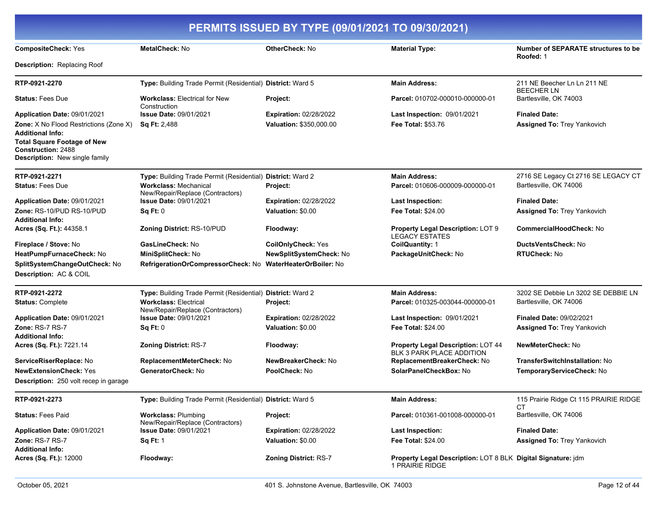|                                                                                                                                                                                      | PERMITS ISSUED BY TYPE (09/01/2021 TO 09/30/2021)                |                               |                                                                                 |                                                         |
|--------------------------------------------------------------------------------------------------------------------------------------------------------------------------------------|------------------------------------------------------------------|-------------------------------|---------------------------------------------------------------------------------|---------------------------------------------------------|
| <b>CompositeCheck: Yes</b><br><b>Description: Replacing Roof</b>                                                                                                                     | <b>MetalCheck: No</b>                                            | OtherCheck: No                | <b>Material Type:</b>                                                           | <b>Number of SEPARATE structures to be</b><br>Roofed: 1 |
|                                                                                                                                                                                      |                                                                  |                               |                                                                                 |                                                         |
| RTP-0921-2270                                                                                                                                                                        | Type: Building Trade Permit (Residential) District: Ward 5       |                               | <b>Main Address:</b>                                                            | 211 NE Beecher Ln Ln 211 NE<br>BEECHER LN               |
| <b>Status: Fees Due</b>                                                                                                                                                              | <b>Workclass: Electrical for New</b><br>Construction             | Project:                      | Parcel: 010702-000010-000000-01                                                 | Bartlesville, OK 74003                                  |
| Application Date: 09/01/2021                                                                                                                                                         | <b>Issue Date: 09/01/2021</b>                                    | <b>Expiration: 02/28/2022</b> | Last Inspection: 09/01/2021                                                     | <b>Finaled Date:</b>                                    |
| <b>Zone:</b> X No Flood Restrictions (Zone X)<br><b>Additional Info:</b><br><b>Total Square Footage of New</b><br><b>Construction: 2488</b><br><b>Description:</b> New single family | <b>Sq Ft: 2,488</b>                                              | Valuation: \$350,000.00       | <b>Fee Total: \$53.76</b>                                                       | <b>Assigned To: Trey Yankovich</b>                      |
| RTP-0921-2271                                                                                                                                                                        | Type: Building Trade Permit (Residential) District: Ward 2       |                               | <b>Main Address:</b>                                                            | 2716 SE Legacy Ct 2716 SE LEGACY CT                     |
| <b>Status: Fees Due</b>                                                                                                                                                              | <b>Workclass: Mechanical</b><br>New/Repair/Replace (Contractors) | Project:                      | Parcel: 010606-000009-000000-01                                                 | Bartlesville, OK 74006                                  |
| Application Date: 09/01/2021                                                                                                                                                         | <b>Issue Date: 09/01/2021</b>                                    | <b>Expiration: 02/28/2022</b> | <b>Last Inspection:</b>                                                         | <b>Finaled Date:</b>                                    |
| Zone: RS-10/PUD RS-10/PUD<br><b>Additional Info:</b>                                                                                                                                 | Sq Ft: 0                                                         | Valuation: \$0.00             | <b>Fee Total: \$24.00</b>                                                       | <b>Assigned To: Trey Yankovich</b>                      |
| Acres (Sq. Ft.): 44358.1                                                                                                                                                             | Zoning District: RS-10/PUD                                       | Floodway:                     | <b>Property Legal Description: LOT 9</b><br><b>LEGACY ESTATES</b>               | <b>CommercialHoodCheck: No</b>                          |
| Fireplace / Stove: No                                                                                                                                                                | GasLineCheck: No                                                 | <b>CoilOnlyCheck: Yes</b>     | <b>CollQuantity: 1</b>                                                          | DuctsVentsCheck: No                                     |
| HeatPumpFurnaceCheck: No                                                                                                                                                             | MiniSplitCheck: No                                               | NewSplitSystemCheck: No       | PackageUnitCheck: No                                                            | <b>RTUCheck: No</b>                                     |
| SplitSystemChangeOutCheck: No<br>Description: AC & COIL                                                                                                                              | RefrigerationOrCompressorCheck: No WaterHeaterOrBoiler: No       |                               |                                                                                 |                                                         |
| RTP-0921-2272                                                                                                                                                                        | Type: Building Trade Permit (Residential)                        | <b>District: Ward 2</b>       | <b>Main Address:</b>                                                            | 3202 SE Debbie Ln 3202 SE DEBBIE LN                     |
| <b>Status: Complete</b>                                                                                                                                                              | <b>Workclass: Electrical</b><br>New/Repair/Replace (Contractors) | Project:                      | Parcel: 010325-003044-000000-01                                                 | Bartlesville, OK 74006                                  |
| Application Date: 09/01/2021                                                                                                                                                         | <b>Issue Date: 09/01/2021</b>                                    | <b>Expiration: 02/28/2022</b> | Last Inspection: 09/01/2021                                                     | <b>Finaled Date: 09/02/2021</b>                         |
| Zone: RS-7 RS-7<br><b>Additional Info:</b>                                                                                                                                           | Sq Ft: 0                                                         | Valuation: \$0.00             | <b>Fee Total: \$24.00</b>                                                       | <b>Assigned To: Trey Yankovich</b>                      |
| Acres (Sq. Ft.): 7221.14                                                                                                                                                             | <b>Zoning District: RS-7</b>                                     | Floodway:                     | Property Legal Description: LOT 44<br>BLK 3 PARK PLACE ADDITION                 | NewMeterCheck: No                                       |
| ServiceRiserReplace: No                                                                                                                                                              | ReplacementMeterCheck: No                                        | NewBreakerCheck: No           | ReplacementBreakerCheck: No                                                     | TransferSwitchInstallation: No                          |
| <b>NewExtensionCheck: Yes</b>                                                                                                                                                        | GeneratorCheck: No                                               | PoolCheck: No                 | SolarPanelCheckBox: No                                                          | TemporaryServiceCheck: No                               |
| <b>Description:</b> 250 volt recep in garage                                                                                                                                         |                                                                  |                               |                                                                                 |                                                         |
| RTP-0921-2273                                                                                                                                                                        | Type: Building Trade Permit (Residential) District: Ward 5       |                               | <b>Main Address:</b>                                                            | 115 Prairie Ridge Ct 115 PRAIRIE RIDGE<br>СT            |
| <b>Status: Fees Paid</b>                                                                                                                                                             | <b>Workclass: Plumbing</b><br>New/Repair/Replace (Contractors)   | Project:                      | Parcel: 010361-001008-000000-01                                                 | Bartlesville, OK 74006                                  |
| Application Date: 09/01/2021                                                                                                                                                         | <b>Issue Date: 09/01/2021</b>                                    | <b>Expiration: 02/28/2022</b> | <b>Last Inspection:</b>                                                         | <b>Finaled Date:</b>                                    |
| <b>Zone: RS-7 RS-7</b><br><b>Additional Info:</b>                                                                                                                                    | <b>Sq Ft: 1</b>                                                  | Valuation: \$0.00             | Fee Total: \$24.00                                                              | <b>Assigned To: Trey Yankovich</b>                      |
| Acres (Sq. Ft.): 12000                                                                                                                                                               | Floodway:                                                        | <b>Zoning District: RS-7</b>  | Property Legal Description: LOT 8 BLK Digital Signature: jdm<br>1 PRAIRIE RIDGE |                                                         |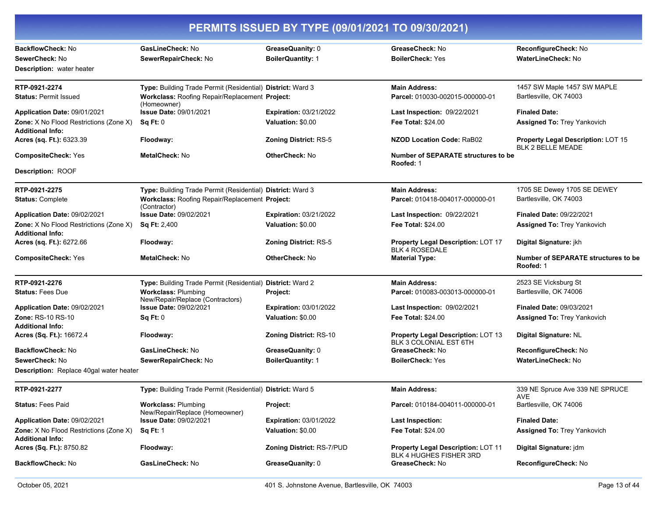|                                                                        | PERMITS ISSUED BY TYPE (09/01/2021 TO 09/30/2021)                                                                            |                                                    |                                                                             |                                                                |
|------------------------------------------------------------------------|------------------------------------------------------------------------------------------------------------------------------|----------------------------------------------------|-----------------------------------------------------------------------------|----------------------------------------------------------------|
| BackflowCheck: No<br>SewerCheck: No<br>Description: water heater       | GasLineCheck: No<br>SewerRepairCheck: No                                                                                     | GreaseQuanity: 0<br><b>BoilerQuantity: 1</b>       | GreaseCheck: No<br><b>BoilerCheck: Yes</b>                                  | ReconfigureCheck: No<br><b>WaterLineCheck: No</b>              |
| RTP-0921-2274<br><b>Status: Permit Issued</b>                          | Type: Building Trade Permit (Residential) District: Ward 3<br>Workclass: Roofing Repair/Replacement Project:<br>(Homeowner)  |                                                    | <b>Main Address:</b><br>Parcel: 010030-002015-000000-01                     | 1457 SW Maple 1457 SW MAPLE<br>Bartlesville, OK 74003          |
| Application Date: 09/01/2021<br>Zone: X No Flood Restrictions (Zone X) | <b>Issue Date: 09/01/2021</b><br>Sq Ft: 0                                                                                    | <b>Expiration: 03/21/2022</b><br>Valuation: \$0.00 | Last Inspection: 09/22/2021<br><b>Fee Total: \$24.00</b>                    | <b>Finaled Date:</b><br>Assigned To: Trey Yankovich            |
| <b>Additional Info:</b><br>Acres (sq. Ft.): 6323.39                    | Floodway:                                                                                                                    | <b>Zoning District: RS-5</b>                       | <b>NZOD Location Code: RaB02</b>                                            | Property Legal Description: LOT 15<br><b>BLK 2 BELLE MEADE</b> |
| <b>CompositeCheck: Yes</b>                                             | MetalCheck: No                                                                                                               | <b>OtherCheck: No</b>                              | <b>Number of SEPARATE structures to be</b><br>Roofed: 1                     |                                                                |
| Description: ROOF                                                      |                                                                                                                              |                                                    |                                                                             |                                                                |
| RTP-0921-2275<br><b>Status: Complete</b>                               | Type: Building Trade Permit (Residential) District: Ward 3<br>Workclass: Roofing Repair/Replacement Project:<br>(Contractor) |                                                    | <b>Main Address:</b><br>Parcel: 010418-004017-000000-01                     | 1705 SE Dewey 1705 SE DEWEY<br>Bartlesville, OK 74003          |
| Application Date: 09/02/2021                                           | <b>Issue Date: 09/02/2021</b>                                                                                                | <b>Expiration: 03/21/2022</b>                      | Last Inspection: 09/22/2021                                                 | <b>Finaled Date: 09/22/2021</b>                                |
| Zone: X No Flood Restrictions (Zone X)<br>Additional Info:             | <b>Sq Ft: 2,400</b>                                                                                                          | Valuation: \$0.00                                  | <b>Fee Total: \$24.00</b>                                                   | Assigned To: Trey Yankovich                                    |
| Acres (sq. Ft.): 6272.66                                               | Floodway:                                                                                                                    | <b>Zoning District: RS-5</b>                       | <b>Property Legal Description: LOT 17</b><br><b>BLK 4 ROSEDALE</b>          | Digital Signature: jkh                                         |
| <b>CompositeCheck: Yes</b>                                             | MetalCheck: No                                                                                                               | <b>OtherCheck: No</b>                              | <b>Material Type:</b>                                                       | Number of SEPARATE structures to be<br>Roofed: 1               |
| RTP-0921-2276                                                          | Type: Building Trade Permit (Residential) District: Ward 2                                                                   |                                                    | <b>Main Address:</b>                                                        | 2523 SE Vicksburg St                                           |
| <b>Status: Fees Due</b>                                                | <b>Workclass: Plumbing</b><br>New/Repair/Replace (Contractors)                                                               | Project:                                           | Parcel: 010083-003013-000000-01                                             | Bartlesville, OK 74006                                         |
| Application Date: 09/02/2021                                           | <b>Issue Date: 09/02/2021</b>                                                                                                | <b>Expiration: 03/01/2022</b>                      | Last Inspection: 09/02/2021                                                 | <b>Finaled Date: 09/03/2021</b>                                |
| <b>Zone: RS-10 RS-10</b>                                               | Sq Ft: 0                                                                                                                     | Valuation: \$0.00                                  | <b>Fee Total: \$24.00</b>                                                   | <b>Assigned To: Trey Yankovich</b>                             |
| Additional Info:<br>Acres (Sq. Ft.): 16672.4                           | Floodway:                                                                                                                    | <b>Zoning District: RS-10</b>                      | Property Legal Description: LOT 13<br>BLK 3 COLONIAL EST 6TH                | Digital Signature: NL                                          |
| <b>BackflowCheck: No</b>                                               | GasLineCheck: No                                                                                                             | GreaseQuanity: 0                                   | GreaseCheck: No                                                             | <b>ReconfigureCheck: No</b>                                    |
| SewerCheck: No                                                         | SewerRepairCheck: No                                                                                                         | <b>BoilerQuantity: 1</b>                           | <b>BoilerCheck: Yes</b>                                                     | <b>WaterLineCheck: No</b>                                      |
| Description: Replace 40gal water heater                                |                                                                                                                              |                                                    |                                                                             |                                                                |
| RTP-0921-2277                                                          | Type: Building Trade Permit (Residential) District: Ward 5                                                                   |                                                    | <b>Main Address:</b>                                                        | 339 NE Spruce Ave 339 NE SPRUCE<br>AVE                         |
| <b>Status: Fees Paid</b>                                               | <b>Workclass: Plumbing</b><br>New/Repair/Replace (Homeowner)                                                                 | <b>Project:</b>                                    | Parcel: 010184-004011-000000-01                                             | Bartlesville, OK 74006                                         |
| Application Date: 09/02/2021                                           | Issue Date: 09/02/2021                                                                                                       | <b>Expiration: 03/01/2022</b>                      | <b>Last Inspection:</b>                                                     | <b>Finaled Date:</b>                                           |
| <b>Zone:</b> X No Flood Restrictions (Zone X)<br>Additional Info:      | <b>Sq Ft: 1</b>                                                                                                              | Valuation: \$0.00                                  | <b>Fee Total: \$24.00</b>                                                   | Assigned To: Trey Yankovich                                    |
| Acres (Sq. Ft.): 8750.82                                               | Floodway:                                                                                                                    | Zoning District: RS-7/PUD                          | <b>Property Legal Description: LOT 11</b><br><b>BLK 4 HUGHES FISHER 3RD</b> | Digital Signature: jdm                                         |
| BackflowCheck: No                                                      | GasLineCheck: No                                                                                                             | GreaseQuanity: 0                                   | GreaseCheck: No                                                             | ReconfigureCheck: No                                           |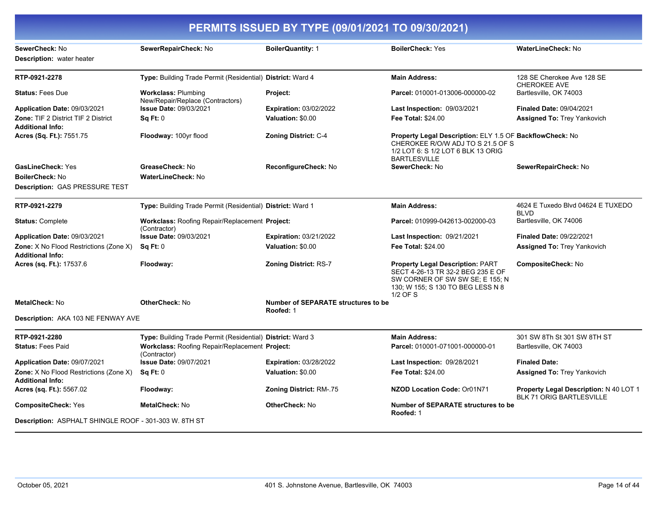|                                                                          |                                                                | PERMITS ISSUED BY TYPE (09/01/2021 TO 09/30/2021)       |                                                                                                                                                                  |                                                                           |
|--------------------------------------------------------------------------|----------------------------------------------------------------|---------------------------------------------------------|------------------------------------------------------------------------------------------------------------------------------------------------------------------|---------------------------------------------------------------------------|
| SewerCheck: No<br><b>Description:</b> water heater                       | SewerRepairCheck: No                                           | <b>BoilerQuantity: 1</b>                                | <b>BoilerCheck: Yes</b>                                                                                                                                          | WaterLineCheck: No                                                        |
| RTP-0921-2278                                                            | Type: Building Trade Permit (Residential) District: Ward 4     |                                                         | <b>Main Address:</b>                                                                                                                                             | 128 SE Cherokee Ave 128 SE<br><b>CHEROKEE AVE</b>                         |
| <b>Status: Fees Due</b>                                                  | <b>Workclass: Plumbing</b><br>New/Repair/Replace (Contractors) | Project:                                                | Parcel: 010001-013006-000000-02                                                                                                                                  | Bartlesville, OK 74003                                                    |
| Application Date: 09/03/2021                                             | <b>Issue Date: 09/03/2021</b>                                  | <b>Expiration: 03/02/2022</b>                           | <b>Last Inspection: 09/03/2021</b>                                                                                                                               | <b>Finaled Date: 09/04/2021</b>                                           |
| Zone: TIF 2 District TIF 2 District<br><b>Additional Info:</b>           | Sq Ft: 0                                                       | Valuation: \$0.00                                       | Fee Total: \$24.00                                                                                                                                               | <b>Assigned To: Trey Yankovich</b>                                        |
| Acres (Sq. Ft.): 7551.75                                                 | Floodway: 100yr flood                                          | <b>Zoning District: C-4</b>                             | Property Legal Description: ELY 1.5 OF BackflowCheck: No<br>CHEROKEE R/O/W ADJ TO S 21.5 OF S<br>1/2 LOT 6: S 1/2 LOT 6 BLK 13 ORIG<br><b>BARTLESVILLE</b>       |                                                                           |
| <b>GasLineCheck: Yes</b>                                                 | GreaseCheck: No                                                | ReconfigureCheck: No                                    | SewerCheck: No                                                                                                                                                   | SewerRepairCheck: No                                                      |
| <b>BoilerCheck: No</b>                                                   | WaterLineCheck: No                                             |                                                         |                                                                                                                                                                  |                                                                           |
| <b>Description: GAS PRESSURE TEST</b>                                    |                                                                |                                                         |                                                                                                                                                                  |                                                                           |
| RTP-0921-2279                                                            | Type: Building Trade Permit (Residential) District: Ward 1     |                                                         | <b>Main Address:</b>                                                                                                                                             | 4624 E Tuxedo Blvd 04624 E TUXEDO<br><b>BLVD</b>                          |
| <b>Status: Complete</b>                                                  | Workclass: Roofing Repair/Replacement Project:<br>(Contractor) |                                                         | Parcel: 010999-042613-002000-03                                                                                                                                  | Bartlesville, OK 74006                                                    |
| Application Date: 09/03/2021                                             | <b>Issue Date: 09/03/2021</b>                                  | <b>Expiration: 03/21/2022</b>                           | <b>Last Inspection: 09/21/2021</b>                                                                                                                               | <b>Finaled Date: 09/22/2021</b>                                           |
| Zone: X No Flood Restrictions (Zone X)<br><b>Additional Info:</b>        | Sq Ft: 0                                                       | Valuation: \$0.00                                       | Fee Total: \$24.00                                                                                                                                               | <b>Assigned To: Trey Yankovich</b>                                        |
| Acres (sq. Ft.): 17537.6                                                 | Floodway:                                                      | <b>Zoning District: RS-7</b>                            | <b>Property Legal Description: PART</b><br>SECT 4-26-13 TR 32-2 BEG 235 E OF<br>SW CORNER OF SW SW SE; E 155; N<br>130; W 155; S 130 TO BEG LESS N 8<br>1/2 OF S | <b>CompositeCheck: No</b>                                                 |
| MetalCheck: No                                                           | <b>OtherCheck: No</b>                                          | <b>Number of SEPARATE structures to be</b><br>Roofed: 1 |                                                                                                                                                                  |                                                                           |
| Description: AKA 103 NE FENWAY AVE                                       |                                                                |                                                         |                                                                                                                                                                  |                                                                           |
| RTP-0921-2280                                                            | Type: Building Trade Permit (Residential) District: Ward 3     |                                                         | <b>Main Address:</b>                                                                                                                                             | 301 SW 8Th St 301 SW 8TH ST                                               |
| <b>Status: Fees Paid</b>                                                 | Workclass: Roofing Repair/Replacement Project:<br>(Contractor) |                                                         | Parcel: 010001-071001-000000-01                                                                                                                                  | Bartlesville, OK 74003                                                    |
| Application Date: 09/07/2021                                             | <b>Issue Date: 09/07/2021</b>                                  | <b>Expiration: 03/28/2022</b>                           | Last Inspection: 09/28/2021                                                                                                                                      | <b>Finaled Date:</b>                                                      |
| <b>Zone:</b> X No Flood Restrictions (Zone X)<br><b>Additional Info:</b> | Sq Ft: 0                                                       | Valuation: \$0.00                                       | Fee Total: \$24.00                                                                                                                                               | Assigned To: Trey Yankovich                                               |
| Acres (sq. Ft.): 5567.02                                                 | Floodway:                                                      | Zoning District: RM-.75                                 | NZOD Location Code: Or01N71                                                                                                                                      | <b>Property Legal Description: N 40 LOT 1</b><br>BLK 71 ORIG BARTLESVILLE |
| <b>CompositeCheck: Yes</b>                                               | <b>MetalCheck: No</b>                                          | <b>OtherCheck: No</b>                                   | <b>Number of SEPARATE structures to be</b><br>Roofed: 1                                                                                                          |                                                                           |
| Description: ASPHALT SHINGLE ROOF - 301-303 W. 8TH ST                    |                                                                |                                                         |                                                                                                                                                                  |                                                                           |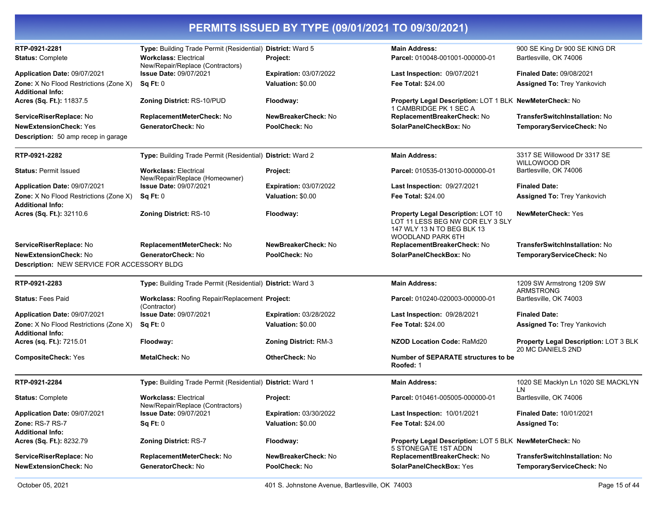| PERMITS ISSUED BY TYPE (09/01/2021 TO 09/30/2021)                 |                                                                  |                               |                                                                                                                           |                                                            |
|-------------------------------------------------------------------|------------------------------------------------------------------|-------------------------------|---------------------------------------------------------------------------------------------------------------------------|------------------------------------------------------------|
| RTP-0921-2281                                                     | Type: Building Trade Permit (Residential) District: Ward 5       |                               | <b>Main Address:</b>                                                                                                      | 900 SE King Dr 900 SE KING DR                              |
| <b>Status: Complete</b>                                           | <b>Workclass: Electrical</b><br>New/Repair/Replace (Contractors) | Project:                      | Parcel: 010048-001001-000000-01                                                                                           | Bartlesville, OK 74006                                     |
| <b>Application Date: 09/07/2021</b>                               | <b>Issue Date: 09/07/2021</b>                                    | <b>Expiration: 03/07/2022</b> | Last Inspection: 09/07/2021                                                                                               | <b>Finaled Date: 09/08/2021</b>                            |
| Zone: X No Flood Restrictions (Zone X)<br><b>Additional Info:</b> | Sq Ft: 0                                                         | Valuation: \$0.00             | <b>Fee Total: \$24.00</b>                                                                                                 | <b>Assigned To: Trey Yankovich</b>                         |
| <b>Acres (Sq. Ft.):</b> 11837.5                                   | Zoning District: RS-10/PUD                                       | Floodway:                     | Property Legal Description: LOT 1 BLK NewMeterCheck: No<br>1 CAMBRIDGE PK 1 SEC A                                         |                                                            |
| ServiceRiserReplace: No                                           | ReplacementMeterCheck: No                                        | NewBreakerCheck: No           | ReplacementBreakerCheck: No                                                                                               | TransferSwitchInstallation: No                             |
| <b>NewExtensionCheck: Yes</b>                                     | GeneratorCheck: No                                               | PoolCheck: No                 | SolarPanelCheckBox: No                                                                                                    | TemporaryServiceCheck: No                                  |
| <b>Description:</b> 50 amp recep in garage                        |                                                                  |                               |                                                                                                                           |                                                            |
| RTP-0921-2282                                                     | Type: Building Trade Permit (Residential) District: Ward 2       |                               | <b>Main Address:</b>                                                                                                      | 3317 SE Willowood Dr 3317 SE<br>WILLOWOOD DR               |
| <b>Status: Permit Issued</b>                                      | <b>Workclass: Electrical</b><br>New/Repair/Replace (Homeowner)   | Project:                      | Parcel: 010535-013010-000000-01                                                                                           | Bartlesville, OK 74006                                     |
| Application Date: 09/07/2021                                      | <b>Issue Date: 09/07/2021</b>                                    | <b>Expiration: 03/07/2022</b> | <b>Last Inspection: 09/27/2021</b>                                                                                        | <b>Finaled Date:</b>                                       |
| Zone: X No Flood Restrictions (Zone X)<br><b>Additional Info:</b> | Sq Ft: 0                                                         | Valuation: \$0.00             | <b>Fee Total: \$24.00</b>                                                                                                 | <b>Assigned To: Trey Yankovich</b>                         |
| Acres (Sq. Ft.): 32110.6                                          | <b>Zoning District: RS-10</b>                                    | Floodway:                     | Property Legal Description: LOT 10<br>LOT 11 LESS BEG NW COR ELY 3 SLY<br>147 WLY 13 N TO BEG BLK 13<br>WOODLAND PARK 6TH | <b>NewMeterCheck: Yes</b>                                  |
| <b>ServiceRiserReplace:</b> No                                    | ReplacementMeterCheck: No                                        | NewBreakerCheck: No           | ReplacementBreakerCheck: No                                                                                               | <b>TransferSwitchInstallation: No</b>                      |
| NewExtensionCheck: No                                             | GeneratorCheck: No                                               | PoolCheck: No                 | SolarPanelCheckBox: No                                                                                                    | TemporaryServiceCheck: No                                  |
| Description: NEW SERVICE FOR ACCESSORY BLDG                       |                                                                  |                               |                                                                                                                           |                                                            |
| RTP-0921-2283                                                     | Type: Building Trade Permit (Residential) District: Ward 3       |                               | <b>Main Address:</b>                                                                                                      | 1209 SW Armstrong 1209 SW<br>ARMSTRONG                     |
| <b>Status:</b> Fees Paid                                          | Workclass: Roofing Repair/Replacement Project:<br>(Contractor)   |                               | Parcel: 010240-020003-000000-01                                                                                           | Bartlesville, OK 74003                                     |
| Application Date: 09/07/2021                                      | <b>Issue Date: 09/07/2021</b>                                    | <b>Expiration: 03/28/2022</b> | Last Inspection: 09/28/2021                                                                                               | <b>Finaled Date:</b>                                       |
| Zone: X No Flood Restrictions (Zone X)<br><b>Additional Info:</b> | Sq Ft: 0                                                         | Valuation: \$0.00             | <b>Fee Total: \$24.00</b>                                                                                                 | <b>Assigned To: Trey Yankovich</b>                         |
| <b>Acres (sq. Ft.):</b> 7215.01                                   | Floodway:                                                        | <b>Zoning District: RM-3</b>  | NZOD Location Code: RaMd20                                                                                                | Property Legal Description: LOT 3 BLK<br>20 MC DANIELS 2ND |
| <b>CompositeCheck: Yes</b>                                        | MetalCheck: No                                                   | <b>OtherCheck: No</b>         | Number of SEPARATE structures to be<br>Roofed: 1                                                                          |                                                            |
| RTP-0921-2284                                                     | Type: Building Trade Permit (Residential) District: Ward 1       |                               | <b>Main Address:</b>                                                                                                      | 1020 SE Macklyn Ln 1020 SE MACKLYN<br>LN                   |
| <b>Status: Complete</b>                                           | <b>Workclass: Electrical</b><br>New/Repair/Replace (Contractors) | Project:                      | Parcel: 010461-005005-000000-01                                                                                           | Bartlesville, OK 74006                                     |
| Application Date: 09/07/2021                                      | <b>Issue Date: 09/07/2021</b>                                    | <b>Expiration: 03/30/2022</b> | Last Inspection: 10/01/2021                                                                                               | <b>Finaled Date: 10/01/2021</b>                            |
| Zone: RS-7 RS-7                                                   | Sq Ft: 0                                                         | Valuation: \$0.00             | <b>Fee Total: \$24.00</b>                                                                                                 | <b>Assigned To:</b>                                        |
| <b>Additional Info:</b>                                           |                                                                  |                               |                                                                                                                           |                                                            |
| <b>Acres (Sq. Ft.):</b> 8232.79                                   | Zoning District: RS-7                                            | Floodway:                     | Property Legal Description: LOT 5 BLK NewMeterCheck: No<br>5 STONEGATE 1ST ADDN                                           |                                                            |
| ServiceRiserReplace: No                                           | ReplacementMeterCheck: No                                        | NewBreakerCheck: No           | ReplacementBreakerCheck: No                                                                                               | <b>TransferSwitchInstallation: No</b>                      |
| NewExtensionCheck: No                                             | GeneratorCheck: No                                               | PoolCheck: No                 | <b>SolarPanelCheckBox: Yes</b>                                                                                            | TemporaryServiceCheck: No                                  |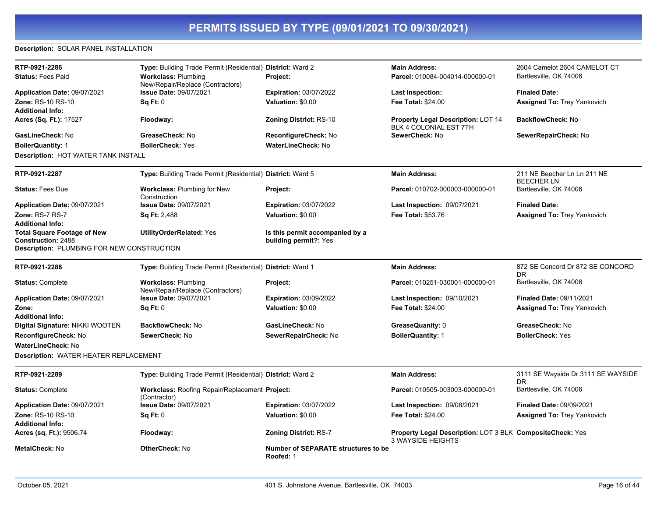#### **Description:** SOLAR PANEL INSTALLATION

| RTP-0921-2286                                     | Type: Building Trade Permit (Residential) District: Ward 2     |                                                         | <b>Main Address:</b>                                                                  | 2604 Camelot 2604 CAMELOT CT                     |
|---------------------------------------------------|----------------------------------------------------------------|---------------------------------------------------------|---------------------------------------------------------------------------------------|--------------------------------------------------|
| <b>Status: Fees Paid</b>                          | <b>Workclass: Plumbing</b><br>New/Repair/Replace (Contractors) | Project:                                                | Parcel: 010084-004014-000000-01                                                       | Bartlesville, OK 74006                           |
| Application Date: 09/07/2021                      | <b>Issue Date: 09/07/2021</b>                                  | <b>Expiration: 03/07/2022</b>                           | <b>Last Inspection:</b>                                                               | <b>Finaled Date:</b>                             |
| <b>Zone: RS-10 RS-10</b>                          | Sq Ft: 0                                                       | Valuation: \$0.00                                       | Fee Total: \$24.00                                                                    | <b>Assigned To: Trey Yankovich</b>               |
| <b>Additional Info:</b>                           |                                                                |                                                         |                                                                                       |                                                  |
| Acres (Sq. Ft.): 17527                            | Floodway:                                                      | <b>Zoning District: RS-10</b>                           | <b>Property Legal Description: LOT 14</b><br>BLK 4 COLONIAL EST 7TH                   | <b>BackflowCheck: No</b>                         |
| GasLineCheck: No                                  | GreaseCheck: No                                                | ReconfigureCheck: No                                    | SewerCheck: No                                                                        | SewerRepairCheck: No                             |
| <b>BoilerQuantity: 1</b>                          | <b>BoilerCheck: Yes</b>                                        | <b>WaterLineCheck: No</b>                               |                                                                                       |                                                  |
| Description: HOT WATER TANK INSTALL               |                                                                |                                                         |                                                                                       |                                                  |
| RTP-0921-2287                                     | Type: Building Trade Permit (Residential) District: Ward 5     |                                                         | <b>Main Address:</b>                                                                  | 211 NE Beecher Ln Ln 211 NE<br><b>BEECHER LN</b> |
| <b>Status: Fees Due</b>                           | <b>Workclass: Plumbing for New</b><br>Construction             | Project:                                                | Parcel: 010702-000003-000000-01                                                       | Bartlesville, OK 74006                           |
| Application Date: 09/07/2021                      | <b>Issue Date: 09/07/2021</b>                                  | <b>Expiration: 03/07/2022</b>                           | <b>Last Inspection: 09/07/2021</b>                                                    | <b>Finaled Date:</b>                             |
| Zone: RS-7 RS-7                                   | <b>Sq Ft: 2,488</b>                                            | Valuation: \$0.00                                       | Fee Total: \$53.76                                                                    | <b>Assigned To: Trey Yankovich</b>               |
| <b>Additional Info:</b>                           |                                                                |                                                         |                                                                                       |                                                  |
| <b>Total Square Footage of New</b>                | <b>UtilityOrderRelated: Yes</b>                                | Is this permit accompanied by a                         |                                                                                       |                                                  |
| <b>Construction: 2488</b>                         |                                                                | building permit?: Yes                                   |                                                                                       |                                                  |
| <b>Description: PLUMBING FOR NEW CONSTRUCTION</b> |                                                                |                                                         |                                                                                       |                                                  |
| RTP-0921-2288                                     | Type: Building Trade Permit (Residential) District: Ward 1     |                                                         | <b>Main Address:</b>                                                                  | 872 SE Concord Dr 872 SE CONCORD<br><b>DR</b>    |
| <b>Status: Complete</b>                           | <b>Workclass: Plumbing</b><br>New/Repair/Replace (Contractors) | Project:                                                | Parcel: 010251-030001-000000-01                                                       | Bartlesville, OK 74006                           |
| Application Date: 09/07/2021                      | Issue Date: 09/07/2021                                         | <b>Expiration: 03/09/2022</b>                           | Last Inspection: 09/10/2021                                                           | <b>Finaled Date: 09/11/2021</b>                  |
| Zone:                                             | Sq Ft: 0                                                       | Valuation: \$0.00                                       | <b>Fee Total: \$24.00</b>                                                             | <b>Assigned To: Trey Yankovich</b>               |
| <b>Additional Info:</b>                           |                                                                |                                                         |                                                                                       |                                                  |
| Digital Signature: NIKKI WOOTEN                   | <b>BackflowCheck: No</b>                                       | GasLineCheck: No                                        | GreaseQuanity: 0                                                                      | GreaseCheck: No                                  |
| ReconfigureCheck: No                              | SewerCheck: No                                                 | SewerRepairCheck: No                                    | <b>BoilerQuantity: 1</b>                                                              | <b>BoilerCheck: Yes</b>                          |
| <b>WaterLineCheck: No</b>                         |                                                                |                                                         |                                                                                       |                                                  |
| <b>Description: WATER HEATER REPLACEMENT</b>      |                                                                |                                                         |                                                                                       |                                                  |
| RTP-0921-2289                                     | Type: Building Trade Permit (Residential) District: Ward 2     |                                                         | <b>Main Address:</b>                                                                  | 3111 SE Wayside Dr 3111 SE WAYSIDE<br>DR         |
| <b>Status: Complete</b>                           | Workclass: Roofing Repair/Replacement Project:<br>(Contractor) |                                                         | Parcel: 010505-003003-000000-01                                                       | Bartlesville, OK 74006                           |
| Application Date: 09/07/2021                      | <b>Issue Date: 09/07/2021</b>                                  | <b>Expiration: 03/07/2022</b>                           | Last Inspection: 09/08/2021                                                           | <b>Finaled Date: 09/09/2021</b>                  |
| <b>Zone: RS-10 RS-10</b>                          | Sq Ft: 0                                                       | Valuation: \$0.00                                       | Fee Total: \$24.00                                                                    | <b>Assigned To: Trey Yankovich</b>               |
| <b>Additional Info:</b>                           |                                                                |                                                         |                                                                                       |                                                  |
| Acres (sq. Ft.): 9506.74                          | Floodway:                                                      | <b>Zoning District: RS-7</b>                            | Property Legal Description: LOT 3 BLK CompositeCheck: Yes<br><b>3 WAYSIDE HEIGHTS</b> |                                                  |
| <b>MetalCheck: No</b>                             | <b>OtherCheck: No</b>                                          | <b>Number of SEPARATE structures to be</b><br>Roofed: 1 |                                                                                       |                                                  |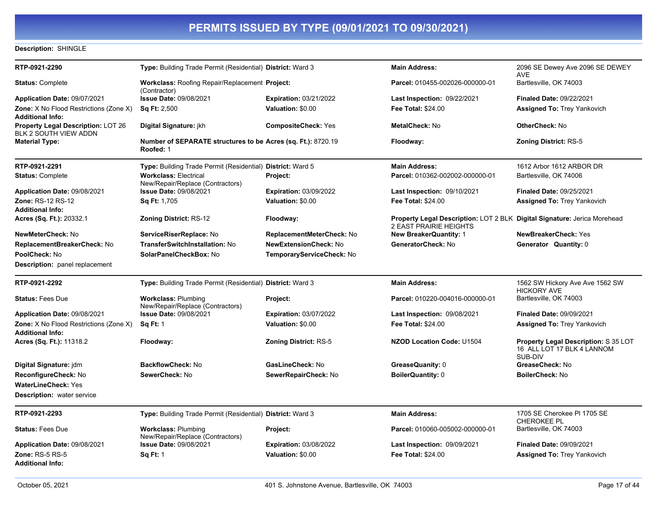#### **Description:** SHINGLE

| RTP-0921-2290                                                            | Type: Building Trade Permit (Residential) District: Ward 3                |                               | <b>Main Address:</b>                                                                               | 2096 SE Dewey Ave 2096 SE DEWEY<br>AVE                                        |
|--------------------------------------------------------------------------|---------------------------------------------------------------------------|-------------------------------|----------------------------------------------------------------------------------------------------|-------------------------------------------------------------------------------|
| <b>Status: Complete</b>                                                  | <b>Workclass: Roofing Repair/Replacement Project:</b><br>(Contractor)     |                               | Parcel: 010455-002026-000000-01                                                                    | Bartlesville, OK 74003                                                        |
| Application Date: 09/07/2021                                             | <b>Issue Date: 09/08/2021</b>                                             | <b>Expiration: 03/21/2022</b> | Last Inspection: 09/22/2021                                                                        | <b>Finaled Date: 09/22/2021</b>                                               |
| <b>Zone:</b> X No Flood Restrictions (Zone X)                            | <b>Sq Ft: 2,500</b>                                                       | Valuation: \$0.00             | Fee Total: \$24.00                                                                                 | <b>Assigned To: Trey Yankovich</b>                                            |
| <b>Additional Info:</b>                                                  |                                                                           |                               |                                                                                                    |                                                                               |
| <b>Property Legal Description: LOT 26</b><br>BLK 2 SOUTH VIEW ADDN       | Digital Signature: jkh                                                    | <b>CompositeCheck: Yes</b>    | MetalCheck: No                                                                                     | OtherCheck: No                                                                |
| <b>Material Type:</b>                                                    | Number of SEPARATE structures to be Acres (sq. Ft.): 8720.19<br>Roofed: 1 |                               | Floodway:                                                                                          | <b>Zoning District: RS-5</b>                                                  |
| RTP-0921-2291                                                            | Type: Building Trade Permit (Residential) District: Ward 5                |                               | <b>Main Address:</b>                                                                               | 1612 Arbor 1612 ARBOR DR                                                      |
| <b>Status: Complete</b>                                                  | <b>Workclass: Electrical</b><br>New/Repair/Replace (Contractors)          | Project:                      | Parcel: 010362-002002-000000-01                                                                    | Bartlesville, OK 74006                                                        |
| <b>Application Date: 09/08/2021</b>                                      | <b>Issue Date: 09/08/2021</b>                                             | <b>Expiration: 03/09/2022</b> | <b>Last Inspection: 09/10/2021</b>                                                                 | <b>Finaled Date: 09/25/2021</b>                                               |
| Zone: RS-12 RS-12                                                        | <b>Sq Ft: 1,705</b>                                                       | Valuation: \$0.00             | <b>Fee Total: \$24.00</b>                                                                          | <b>Assigned To: Trey Yankovich</b>                                            |
| <b>Additional Info:</b>                                                  |                                                                           |                               |                                                                                                    |                                                                               |
| Acres (Sq. Ft.): 20332.1                                                 | <b>Zoning District: RS-12</b>                                             | Floodway:                     | Property Legal Description: LOT 2 BLK Digital Signature: Jerica Morehead<br>2 EAST PRAIRIE HEIGHTS |                                                                               |
| NewMeterCheck: No                                                        | ServiceRiserReplace: No                                                   | ReplacementMeterCheck: No     | <b>New BreakerQuantity: 1</b>                                                                      | NewBreakerCheck: Yes                                                          |
| ReplacementBreakerCheck: No                                              | <b>TransferSwitchInstallation: No</b>                                     | <b>NewExtensionCheck: No</b>  | GeneratorCheck: No                                                                                 | Generator Quantity: 0                                                         |
| PoolCheck: No                                                            | SolarPanelCheckBox: No                                                    | TemporaryServiceCheck: No     |                                                                                                    |                                                                               |
| <b>Description:</b> panel replacement                                    |                                                                           |                               |                                                                                                    |                                                                               |
| RTP-0921-2292                                                            | Type: Building Trade Permit (Residential) District: Ward 3                |                               | <b>Main Address:</b>                                                                               | 1562 SW Hickory Ave Ave 1562 SW<br><b>HICKORY AVE</b>                         |
| <b>Status: Fees Due</b>                                                  | <b>Workclass: Plumbing</b><br>New/Repair/Replace (Contractors)            | Project:                      | Parcel: 010220-004016-000000-01                                                                    | Bartlesville, OK 74003                                                        |
| Application Date: 09/08/2021                                             | <b>Issue Date: 09/08/2021</b>                                             | <b>Expiration: 03/07/2022</b> | Last Inspection: 09/08/2021                                                                        | <b>Finaled Date: 09/09/2021</b>                                               |
| <b>Zone:</b> X No Flood Restrictions (Zone X)<br><b>Additional Info:</b> | <b>Sq Ft: 1</b>                                                           | Valuation: \$0.00             | <b>Fee Total: \$24.00</b>                                                                          | <b>Assigned To: Trey Yankovich</b>                                            |
| <b>Acres (Sq. Ft.):</b> 11318.2                                          | Floodway:                                                                 | <b>Zoning District: RS-5</b>  | <b>NZOD Location Code: U1504</b>                                                                   | Property Legal Description: S 35 LOT<br>16 ALL LOT 17 BLK 4 LANNOM<br>SUB-DIV |
| Digital Signature: jdm                                                   | <b>BackflowCheck: No</b>                                                  | GasLineCheck: No              | GreaseQuanity: 0                                                                                   | GreaseCheck: No                                                               |
| ReconfigureCheck: No                                                     | SewerCheck: No                                                            | SewerRepairCheck: No          | BoilerQuantity: 0                                                                                  | <b>BoilerCheck: No</b>                                                        |
| <b>WaterLineCheck: Yes</b>                                               |                                                                           |                               |                                                                                                    |                                                                               |
| <b>Description: water service</b>                                        |                                                                           |                               |                                                                                                    |                                                                               |
| RTP-0921-2293                                                            | Type: Building Trade Permit (Residential) District: Ward 3                |                               | <b>Main Address:</b>                                                                               | 1705 SE Cherokee PI 1705 SE<br><b>CHEROKEE PL</b>                             |
| <b>Status: Fees Due</b>                                                  | <b>Workclass: Plumbing</b><br>New/Repair/Replace (Contractors)            | Project:                      | Parcel: 010060-005002-000000-01                                                                    | Bartlesville, OK 74003                                                        |
| Application Date: 09/08/2021                                             | Issue Date: 09/08/2021                                                    | <b>Expiration: 03/08/2022</b> | Last Inspection: 09/09/2021                                                                        | <b>Finaled Date: 09/09/2021</b>                                               |
| <b>Zone: RS-5 RS-5</b>                                                   | <b>Sq Ft: 1</b>                                                           | Valuation: \$0.00             | <b>Fee Total: \$24.00</b>                                                                          | <b>Assigned To: Trey Yankovich</b>                                            |
| Additional Info:                                                         |                                                                           |                               |                                                                                                    |                                                                               |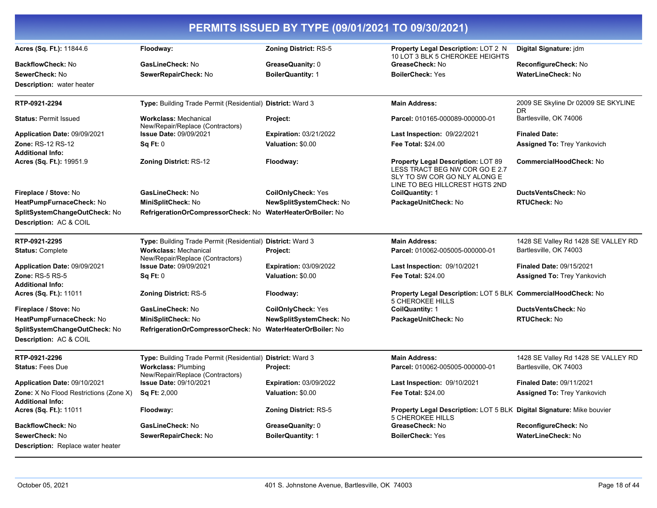|                                                                          |                                                                  | PERMITS ISSUED BY TYPE (09/01/2021 TO 09/30/2021) |                                                                                                                                        |                                           |
|--------------------------------------------------------------------------|------------------------------------------------------------------|---------------------------------------------------|----------------------------------------------------------------------------------------------------------------------------------------|-------------------------------------------|
| Acres (Sq. Ft.): 11844.6                                                 | Floodway:                                                        | <b>Zoning District: RS-5</b>                      | <b>Property Legal Description: LOT 2 N</b><br>10 LOT 3 BLK 5 CHEROKEE HEIGHTS                                                          | Digital Signature: jdm                    |
| <b>BackflowCheck: No</b>                                                 | GasLineCheck: No                                                 | GreaseQuanity: 0                                  | GreaseCheck: No                                                                                                                        | ReconfigureCheck: No                      |
| SewerCheck: No                                                           | SewerRepairCheck: No                                             | <b>BoilerQuantity: 1</b>                          | <b>BoilerCheck: Yes</b>                                                                                                                | <b>WaterLineCheck: No</b>                 |
| <b>Description:</b> water heater                                         |                                                                  |                                                   |                                                                                                                                        |                                           |
| RTP-0921-2294                                                            | Type: Building Trade Permit (Residential) District: Ward 3       |                                                   | <b>Main Address:</b>                                                                                                                   | 2009 SE Skyline Dr 02009 SE SKYLINE<br>DR |
| <b>Status: Permit Issued</b>                                             | <b>Workclass: Mechanical</b><br>New/Repair/Replace (Contractors) | Project:                                          | Parcel: 010165-000089-000000-01                                                                                                        | Bartlesville, OK 74006                    |
| Application Date: 09/09/2021                                             | <b>Issue Date: 09/09/2021</b>                                    | <b>Expiration: 03/21/2022</b>                     | Last Inspection: 09/22/2021                                                                                                            | <b>Finaled Date:</b>                      |
| <b>Zone: RS-12 RS-12</b>                                                 | Sq Ft: 0                                                         | Valuation: \$0.00                                 | <b>Fee Total: \$24.00</b>                                                                                                              | Assigned To: Trey Yankovich               |
| <b>Additional Info:</b>                                                  |                                                                  |                                                   |                                                                                                                                        |                                           |
| Acres (Sq. Ft.): 19951.9                                                 | <b>Zoning District: RS-12</b>                                    | Floodway:                                         | Property Legal Description: LOT 89<br>LESS TRACT BEG NW COR GO E 2.7<br>SLY TO SW COR GO NLY ALONG E<br>LINE TO BEG HILLCREST HGTS 2ND | <b>CommercialHoodCheck: No</b>            |
| Fireplace / Stove: No                                                    | GasLineCheck: No                                                 | <b>CoilOnlyCheck: Yes</b>                         | CoilQuantity: 1                                                                                                                        | <b>DuctsVentsCheck: No</b>                |
| HeatPumpFurnaceCheck: No                                                 | MiniSplitCheck: No                                               | NewSplitSystemCheck: No                           | PackageUnitCheck: No                                                                                                                   | RTUCheck: No                              |
| SplitSystemChangeOutCheck: No                                            | RefrigerationOrCompressorCheck: No WaterHeaterOrBoiler: No       |                                                   |                                                                                                                                        |                                           |
| Description: AC & COIL                                                   |                                                                  |                                                   |                                                                                                                                        |                                           |
| RTP-0921-2295                                                            | Type: Building Trade Permit (Residential) District: Ward 3       |                                                   | <b>Main Address:</b>                                                                                                                   | 1428 SE Valley Rd 1428 SE VALLEY RD       |
| <b>Status: Complete</b>                                                  | <b>Workclass: Mechanical</b><br>New/Repair/Replace (Contractors) | Project:                                          | Parcel: 010062-005005-000000-01                                                                                                        | Bartlesville, OK 74003                    |
| Application Date: 09/09/2021                                             | Issue Date: 09/09/2021                                           | <b>Expiration: 03/09/2022</b>                     | Last Inspection: 09/10/2021                                                                                                            | <b>Finaled Date: 09/15/2021</b>           |
| Zone: RS-5 RS-5                                                          | Sq Ft: 0                                                         | Valuation: \$0.00                                 | <b>Fee Total: \$24.00</b>                                                                                                              | <b>Assigned To: Trey Yankovich</b>        |
| <b>Additional Info:</b>                                                  |                                                                  |                                                   |                                                                                                                                        |                                           |
| Acres (Sq. Ft.): 11011                                                   | Zoning District: RS-5                                            | Floodway:                                         | Property Legal Description: LOT 5 BLK CommercialHoodCheck: No<br><b>5 CHEROKEE HILLS</b>                                               |                                           |
| Fireplace / Stove: No                                                    | GasLineCheck: No                                                 | <b>CoilOnlyCheck: Yes</b>                         | CoilQuantity: 1                                                                                                                        | <b>DuctsVentsCheck: No</b>                |
| HeatPumpFurnaceCheck: No                                                 | MiniSplitCheck: No                                               | NewSplitSystemCheck: No                           | PackageUnitCheck: No                                                                                                                   | <b>RTUCheck: No</b>                       |
| SplitSystemChangeOutCheck: No<br>Description: AC & COIL                  | RefrigerationOrCompressorCheck: No WaterHeaterOrBoiler: No       |                                                   |                                                                                                                                        |                                           |
| RTP-0921-2296                                                            | Type: Building Trade Permit (Residential) District: Ward 3       |                                                   | <b>Main Address:</b>                                                                                                                   | 1428 SE Valley Rd 1428 SE VALLEY RD       |
| <b>Status: Fees Due</b>                                                  | <b>Workclass: Plumbing</b><br>New/Repair/Replace (Contractors)   | Project:                                          | Parcel: 010062-005005-000000-01                                                                                                        | Bartlesville, OK 74003                    |
| Application Date: 09/10/2021                                             | <b>Issue Date: 09/10/2021</b>                                    | <b>Expiration: 03/09/2022</b>                     | Last Inspection: 09/10/2021                                                                                                            | <b>Finaled Date: 09/11/2021</b>           |
| <b>Zone:</b> X No Flood Restrictions (Zone X)<br><b>Additional Info:</b> | <b>Sq Ft: 2,000</b>                                              | Valuation: \$0.00                                 | Fee Total: \$24.00                                                                                                                     | Assigned To: Trey Yankovich               |
| Acres (Sq. Ft.): 11011                                                   | Floodway:                                                        | <b>Zoning District: RS-5</b>                      | Property Legal Description: LOT 5 BLK Digital Signature: Mike bouvier<br>5 CHEROKEE HILLS                                              |                                           |
| <b>BackflowCheck: No</b>                                                 | GasLineCheck: No                                                 | GreaseQuanity: 0                                  | GreaseCheck: No                                                                                                                        | ReconfigureCheck: No                      |
| SewerCheck: No                                                           | SewerRepairCheck: No                                             | <b>BoilerQuantity: 1</b>                          | <b>BoilerCheck: Yes</b>                                                                                                                | <b>WaterLineCheck: No</b>                 |
| Description: Replace water heater                                        |                                                                  |                                                   |                                                                                                                                        |                                           |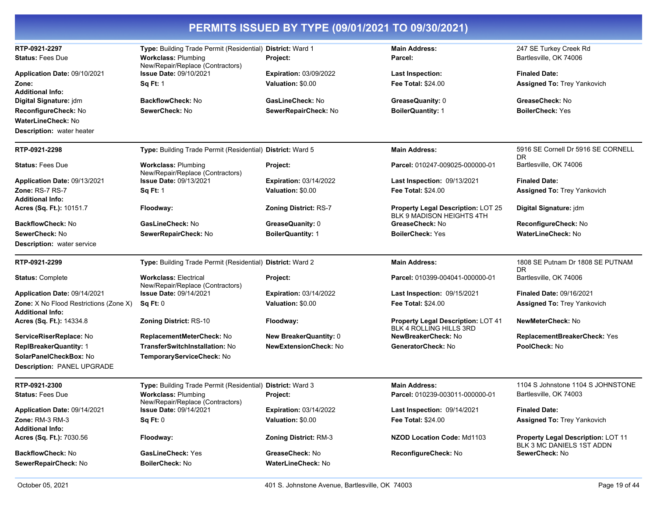| RTP-0921-2297                                                            | Type: Building Trade Permit (Residential) District: Ward 1       |                                                    | <b>Main Address:</b>                                                        | 247 SE Turkey Creek Rd                                                 |
|--------------------------------------------------------------------------|------------------------------------------------------------------|----------------------------------------------------|-----------------------------------------------------------------------------|------------------------------------------------------------------------|
| <b>Status: Fees Due</b>                                                  | <b>Workclass: Plumbing</b><br>New/Repair/Replace (Contractors)   | Project:                                           | Parcel:                                                                     | Bartlesville, OK 74006                                                 |
| Application Date: 09/10/2021<br>Zone:<br><b>Additional Info:</b>         | <b>Issue Date: 09/10/2021</b><br><b>Sq Ft: 1</b>                 | <b>Expiration: 03/09/2022</b><br>Valuation: \$0.00 | <b>Last Inspection:</b><br><b>Fee Total: \$24.00</b>                        | <b>Finaled Date:</b><br><b>Assigned To: Trey Yankovich</b>             |
| Digital Signature: jdm<br>ReconfigureCheck: No                           | <b>BackflowCheck: No</b><br>SewerCheck: No                       | GasLineCheck: No<br>SewerRepairCheck: No           | GreaseQuanity: 0<br><b>BoilerQuantity: 1</b>                                | GreaseCheck: No<br><b>BoilerCheck: Yes</b>                             |
| <b>WaterLineCheck: No</b><br><b>Description:</b> water heater            |                                                                  |                                                    |                                                                             |                                                                        |
| RTP-0921-2298                                                            | Type: Building Trade Permit (Residential) District: Ward 5       |                                                    | <b>Main Address:</b>                                                        | 5916 SE Cornell Dr 5916 SE CORNELL<br>DR.                              |
| <b>Status: Fees Due</b>                                                  | <b>Workclass: Plumbing</b><br>New/Repair/Replace (Contractors)   | Project:                                           | Parcel: 010247-009025-000000-01                                             | Bartlesville, OK 74006                                                 |
| Application Date: 09/13/2021                                             | <b>Issue Date: 09/13/2021</b>                                    | <b>Expiration: 03/14/2022</b>                      | <b>Last Inspection: 09/13/2021</b>                                          | <b>Finaled Date:</b>                                                   |
| Zone: RS-7 RS-7<br><b>Additional Info:</b>                               | <b>Sq Ft: 1</b>                                                  | Valuation: \$0.00                                  | <b>Fee Total: \$24.00</b>                                                   | <b>Assigned To: Trey Yankovich</b>                                     |
| Acres (Sq. Ft.): 10151.7                                                 | Floodway:                                                        | <b>Zoning District: RS-7</b>                       | Property Legal Description: LOT 25<br>BLK 9 MADISON HEIGHTS 4TH             | Digital Signature: jdm                                                 |
| <b>BackflowCheck: No</b>                                                 | GasLineCheck: No                                                 | GreaseQuanity: 0                                   | GreaseCheck: No                                                             | ReconfigureCheck: No                                                   |
| SewerCheck: No                                                           | SewerRepairCheck: No                                             | <b>BoilerQuantity: 1</b>                           | <b>BoilerCheck: Yes</b>                                                     | WaterLineCheck: No                                                     |
| <b>Description:</b> water service                                        |                                                                  |                                                    |                                                                             |                                                                        |
| RTP-0921-2299                                                            | Type: Building Trade Permit (Residential) District: Ward 2       |                                                    | <b>Main Address:</b>                                                        | 1808 SE Putnam Dr 1808 SE PUTNAM<br><b>DR</b>                          |
| <b>Status: Complete</b>                                                  | <b>Workclass: Electrical</b><br>New/Repair/Replace (Contractors) | Project:                                           | Parcel: 010399-004041-000000-01                                             | Bartlesville, OK 74006                                                 |
| Application Date: 09/14/2021                                             | <b>Issue Date: 09/14/2021</b>                                    | <b>Expiration: 03/14/2022</b>                      | Last Inspection: 09/15/2021                                                 | <b>Finaled Date: 09/16/2021</b>                                        |
| <b>Zone:</b> X No Flood Restrictions (Zone X)<br><b>Additional Info:</b> | Sq Ft: 0                                                         | Valuation: \$0.00                                  | <b>Fee Total: \$24.00</b>                                                   | <b>Assigned To: Trey Yankovich</b>                                     |
| Acres (Sq. Ft.): 14334.8                                                 | <b>Zoning District: RS-10</b>                                    | Floodway:                                          | <b>Property Legal Description: LOT 41</b><br><b>BLK 4 ROLLING HILLS 3RD</b> | <b>NewMeterCheck: No</b>                                               |
| ServiceRiserReplace: No                                                  | ReplacementMeterCheck: No                                        | <b>New BreakerQuantity: 0</b>                      | NewBreakerCheck: No                                                         | ReplacementBreakerCheck: Yes                                           |
| <b>ReplBreakerQuantity: 1</b>                                            | TransferSwitchInstallation: No                                   | <b>NewExtensionCheck: No</b>                       | GeneratorCheck: No                                                          | PoolCheck: No                                                          |
| SolarPanelCheckBox: No                                                   | TemporaryServiceCheck: No                                        |                                                    |                                                                             |                                                                        |
| Description: PANEL UPGRADE                                               |                                                                  |                                                    |                                                                             |                                                                        |
| RTP-0921-2300                                                            | Type: Building Trade Permit (Residential) District: Ward 3       |                                                    | <b>Main Address:</b>                                                        | 1104 S Johnstone 1104 S JOHNSTONE                                      |
| <b>Status: Fees Due</b>                                                  | <b>Workclass: Plumbing</b><br>New/Repair/Replace (Contractors)   | Project:                                           | Parcel: 010239-003011-000000-01                                             | Bartlesville, OK 74003                                                 |
| Application Date: 09/14/2021                                             | <b>Issue Date: 09/14/2021</b>                                    | <b>Expiration: 03/14/2022</b>                      | Last Inspection: 09/14/2021                                                 | <b>Finaled Date:</b>                                                   |
| <b>Zone: RM-3 RM-3</b><br><b>Additional Info:</b>                        | Sq Ft: 0                                                         | Valuation: \$0.00                                  | <b>Fee Total: \$24.00</b>                                                   | <b>Assigned To: Trey Yankovich</b>                                     |
| Acres (Sq. Ft.): 7030.56                                                 | Floodway:                                                        | <b>Zoning District: RM-3</b>                       | NZOD Location Code: Md1103                                                  | <b>Property Legal Description: LOT 11</b><br>BLK 3 MC DANIELS 1ST ADDN |
| <b>BackflowCheck: No</b>                                                 | <b>GasLineCheck: Yes</b>                                         | GreaseCheck: No                                    | ReconfigureCheck: No                                                        | SewerCheck: No                                                         |
| SewerRepairCheck: No                                                     | <b>BoilerCheck: No</b>                                           | <b>WaterLineCheck: No</b>                          |                                                                             |                                                                        |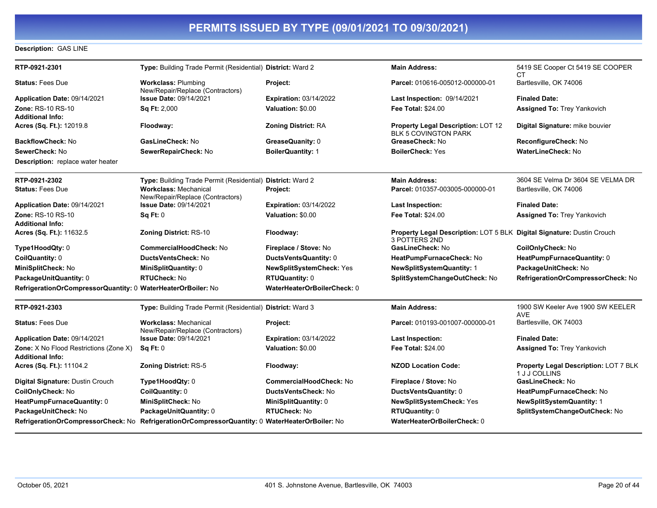#### **Description:** GAS LINE

| RTP-0921-2301                                                     | Type: Building Trade Permit (Residential) District: Ward 2                                      |                                | <b>Main Address:</b>                                                                    | 5419 SE Cooper Ct 5419 SE COOPER<br>CТ                 |
|-------------------------------------------------------------------|-------------------------------------------------------------------------------------------------|--------------------------------|-----------------------------------------------------------------------------------------|--------------------------------------------------------|
| <b>Status: Fees Due</b>                                           | <b>Workclass: Plumbing</b><br>New/Repair/Replace (Contractors)                                  | Project:                       | Parcel: 010616-005012-000000-01                                                         | Bartlesville, OK 74006                                 |
| Application Date: 09/14/2021                                      | <b>Issue Date: 09/14/2021</b>                                                                   | <b>Expiration: 03/14/2022</b>  | <b>Last Inspection: 09/14/2021</b>                                                      | <b>Finaled Date:</b>                                   |
| Zone: RS-10 RS-10                                                 | Sq Ft: 2,000                                                                                    | Valuation: \$0.00              | <b>Fee Total: \$24.00</b>                                                               | <b>Assigned To: Trey Yankovich</b>                     |
| <b>Additional Info:</b>                                           |                                                                                                 |                                |                                                                                         |                                                        |
| Acres (Sq. Ft.): 12019.8                                          | Floodway:                                                                                       | <b>Zoning District: RA</b>     | Property Legal Description: LOT 12<br>BLK 5 COVINGTON PARK                              | Digital Signature: mike bouvier                        |
| BackflowCheck: No                                                 | GasLineCheck: No                                                                                | GreaseQuanity: 0               | GreaseCheck: No                                                                         | ReconfigureCheck: No                                   |
| SewerCheck: No                                                    | SewerRepairCheck: No                                                                            | <b>BoilerQuantity: 1</b>       | <b>BoilerCheck: Yes</b>                                                                 | WaterLineCheck: No                                     |
| <b>Description:</b> replace water heater                          |                                                                                                 |                                |                                                                                         |                                                        |
| RTP-0921-2302                                                     | Type: Building Trade Permit (Residential) District: Ward 2                                      |                                | <b>Main Address:</b>                                                                    | 3604 SE Velma Dr 3604 SE VELMA DR                      |
| <b>Status: Fees Due</b>                                           | <b>Workclass: Mechanical</b><br>New/Repair/Replace (Contractors)                                | Project:                       | Parcel: 010357-003005-000000-01                                                         | Bartlesville, OK 74006                                 |
| Application Date: 09/14/2021                                      | <b>Issue Date: 09/14/2021</b>                                                                   | <b>Expiration: 03/14/2022</b>  | <b>Last Inspection:</b>                                                                 | <b>Finaled Date:</b>                                   |
| <b>Zone: RS-10 RS-10</b>                                          | Sq Ft: 0                                                                                        | Valuation: \$0.00              | <b>Fee Total: \$24.00</b>                                                               | <b>Assigned To: Trey Yankovich</b>                     |
| <b>Additional Info:</b>                                           |                                                                                                 |                                |                                                                                         |                                                        |
| Acres (Sq. Ft.): 11632.5                                          | <b>Zoning District: RS-10</b>                                                                   | Floodway:                      | Property Legal Description: LOT 5 BLK Digital Signature: Dustin Crouch<br>3 POTTERS 2ND |                                                        |
| Type1HoodQty: 0                                                   | <b>CommercialHoodCheck: No</b>                                                                  | Fireplace / Stove: No          | GasLineCheck: No                                                                        | CoilOnlyCheck: No                                      |
| CoilQuantity: 0                                                   | DuctsVentsCheck: No                                                                             | DuctsVentsQuantity: 0          | HeatPumpFurnaceCheck: No                                                                | HeatPumpFurnaceQuantity: 0                             |
| MiniSplitCheck: No                                                | MiniSplitQuantity: 0                                                                            | NewSplitSystemCheck: Yes       | <b>NewSplitSystemQuantity: 1</b>                                                        | PackageUnitCheck: No                                   |
| PackageUnitQuantity: 0                                            | <b>RTUCheck: No</b>                                                                             | <b>RTUQuantity: 0</b>          | SplitSystemChangeOutCheck: No                                                           | RefrigerationOrCompressorCheck: No                     |
| RefrigerationOrCompressorQuantity: 0 WaterHeaterOrBoiler: No      |                                                                                                 | WaterHeaterOrBoilerCheck: 0    |                                                                                         |                                                        |
| RTP-0921-2303                                                     | Type: Building Trade Permit (Residential) District: Ward 3                                      |                                | <b>Main Address:</b>                                                                    | 1900 SW Keeler Ave 1900 SW KEELER<br><b>AVE</b>        |
| <b>Status: Fees Due</b>                                           | <b>Workclass: Mechanical</b><br>New/Repair/Replace (Contractors)                                | Project:                       | Parcel: 010193-001007-000000-01                                                         | Bartlesville, OK 74003                                 |
| Application Date: 09/14/2021                                      | <b>Issue Date: 09/14/2021</b>                                                                   | <b>Expiration: 03/14/2022</b>  | <b>Last Inspection:</b>                                                                 | <b>Finaled Date:</b>                                   |
| Zone: X No Flood Restrictions (Zone X)<br><b>Additional Info:</b> | SqFt:0                                                                                          | Valuation: \$0.00              | <b>Fee Total: \$24.00</b>                                                               | <b>Assigned To: Trey Yankovich</b>                     |
| Acres (Sq. Ft.): 11104.2                                          | <b>Zoning District: RS-5</b>                                                                    | Floodway:                      | <b>NZOD Location Code:</b>                                                              | Property Legal Description: LOT 7 BLK<br>1 J J COLLINS |
| Digital Signature: Dustin Crouch                                  | Type1HoodQty: 0                                                                                 | <b>CommercialHoodCheck: No</b> | Fireplace / Stove: No                                                                   | GasLineCheck: No                                       |
| CoilOnlyCheck: No                                                 | CoilQuantity: 0                                                                                 | <b>DuctsVentsCheck: No</b>     | DuctsVentsQuantity: 0                                                                   | HeatPumpFurnaceCheck: No                               |
| HeatPumpFurnaceQuantity: 0                                        | MiniSplitCheck: No                                                                              | MiniSplitQuantity: 0           | NewSplitSystemCheck: Yes                                                                | <b>NewSplitSystemQuantity: 1</b>                       |
| PackageUnitCheck: No                                              | PackageUnitQuantity: 0                                                                          | <b>RTUCheck: No</b>            | <b>RTUQuantity: 0</b>                                                                   | SplitSystemChangeOutCheck: No                          |
|                                                                   | RefrigerationOrCompressorCheck: No RefrigerationOrCompressorQuantity: 0 WaterHeaterOrBoiler: No |                                | WaterHeaterOrBoilerCheck: 0                                                             |                                                        |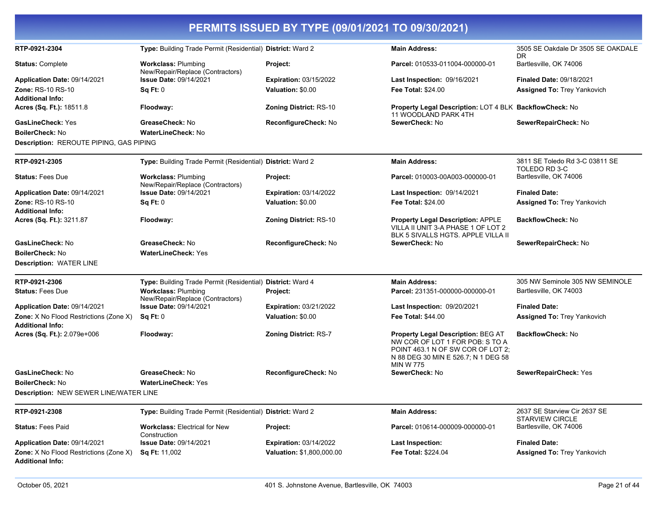|  | PERMITS ISSUED BY TYPE (09/01/2021 TO 09/30/2021) |
|--|---------------------------------------------------|
|  |                                                   |

| RTP-0921-2304                                                            | Type: Building Trade Permit (Residential) District: Ward 2     |                               | <b>Main Address:</b>                                                                                                                                                         | 3505 SE Oakdale Dr 3505 SE OAKDALE<br>DR.              |
|--------------------------------------------------------------------------|----------------------------------------------------------------|-------------------------------|------------------------------------------------------------------------------------------------------------------------------------------------------------------------------|--------------------------------------------------------|
| <b>Status: Complete</b>                                                  | <b>Workclass: Plumbing</b><br>New/Repair/Replace (Contractors) | Project:                      | Parcel: 010533-011004-000000-01                                                                                                                                              | Bartlesville, OK 74006                                 |
| Application Date: 09/14/2021                                             | <b>Issue Date: 09/14/2021</b>                                  | <b>Expiration: 03/15/2022</b> | Last Inspection: 09/16/2021                                                                                                                                                  | <b>Finaled Date: 09/18/2021</b>                        |
| <b>Zone: RS-10 RS-10</b>                                                 | Sq Ft: 0                                                       | Valuation: \$0.00             | <b>Fee Total: \$24.00</b>                                                                                                                                                    | <b>Assigned To: Trey Yankovich</b>                     |
| <b>Additional Info:</b>                                                  |                                                                |                               |                                                                                                                                                                              |                                                        |
| Acres (Sq. Ft.): 18511.8                                                 | Floodway:                                                      | <b>Zoning District: RS-10</b> | Property Legal Description: LOT 4 BLK BackflowCheck: No<br>11 WOODLAND PARK 4TH                                                                                              |                                                        |
| <b>GasLineCheck: Yes</b>                                                 | GreaseCheck: No                                                | ReconfigureCheck: No          | SewerCheck: No                                                                                                                                                               | SewerRepairCheck: No                                   |
| <b>BoilerCheck: No</b>                                                   | <b>WaterLineCheck: No</b>                                      |                               |                                                                                                                                                                              |                                                        |
| Description: REROUTE PIPING, GAS PIPING                                  |                                                                |                               |                                                                                                                                                                              |                                                        |
| RTP-0921-2305                                                            | Type: Building Trade Permit (Residential) District: Ward 2     |                               | <b>Main Address:</b>                                                                                                                                                         | 3811 SE Toledo Rd 3-C 03811 SE<br>TOLEDO RD 3-C        |
| <b>Status: Fees Due</b>                                                  | <b>Workclass: Plumbing</b><br>New/Repair/Replace (Contractors) | Project:                      | Parcel: 010003-00A003-000000-01                                                                                                                                              | Bartlesville, OK 74006                                 |
| Application Date: 09/14/2021                                             | Issue Date: 09/14/2021                                         | <b>Expiration: 03/14/2022</b> | <b>Last Inspection: 09/14/2021</b>                                                                                                                                           | <b>Finaled Date:</b>                                   |
| <b>Zone: RS-10 RS-10</b>                                                 | Sq Ft: 0                                                       | Valuation: \$0.00             | <b>Fee Total: \$24.00</b>                                                                                                                                                    | <b>Assigned To: Trey Yankovich</b>                     |
| <b>Additional Info:</b>                                                  |                                                                |                               |                                                                                                                                                                              |                                                        |
| Acres (Sq. Ft.): 3211.87                                                 | Floodway:                                                      | <b>Zoning District: RS-10</b> | <b>Property Legal Description: APPLE</b><br>VILLA II UNIT 3-A PHASE 1 OF LOT 2<br>BLK 5 SIVALLS HGTS. APPLE VILLA II                                                         | <b>BackflowCheck: No</b>                               |
| GasLineCheck: No                                                         | GreaseCheck: No                                                | ReconfigureCheck: No          | SewerCheck: No                                                                                                                                                               | SewerRepairCheck: No                                   |
| <b>BoilerCheck: No</b>                                                   | <b>WaterLineCheck: Yes</b>                                     |                               |                                                                                                                                                                              |                                                        |
| <b>Description: WATER LINE</b>                                           |                                                                |                               |                                                                                                                                                                              |                                                        |
| RTP-0921-2306                                                            | Type: Building Trade Permit (Residential) District: Ward 4     |                               | <b>Main Address:</b>                                                                                                                                                         | 305 NW Seminole 305 NW SEMINOLE                        |
| <b>Status: Fees Due</b>                                                  | <b>Workclass: Plumbing</b><br>New/Repair/Replace (Contractors) | <b>Project:</b>               | Parcel: 231351-000000-000000-01                                                                                                                                              | Bartlesville, OK 74003                                 |
| Application Date: 09/14/2021                                             | <b>Issue Date: 09/14/2021</b>                                  | <b>Expiration: 03/21/2022</b> | Last Inspection: 09/20/2021                                                                                                                                                  | <b>Finaled Date:</b>                                   |
| <b>Zone:</b> X No Flood Restrictions (Zone X)<br><b>Additional Info:</b> | Sq Ft: 0                                                       | Valuation: \$0.00             | Fee Total: \$44.00                                                                                                                                                           | <b>Assigned To: Trey Yankovich</b>                     |
| Acres (Sq. Ft.): 2.079e+006                                              | Floodway:                                                      | <b>Zoning District: RS-7</b>  | <b>Property Legal Description: BEG AT</b><br>NW COR OF LOT 1 FOR POB: S TO A<br>POINT 463.1 N OF SW COR OF LOT 2:<br>N 88 DEG 30 MIN E 526.7; N 1 DEG 58<br><b>MIN W 775</b> | <b>BackflowCheck: No</b>                               |
| GasLineCheck: No                                                         | GreaseCheck: No                                                | ReconfigureCheck: No          | SewerCheck: No                                                                                                                                                               | SewerRepairCheck: Yes                                  |
| <b>BoilerCheck: No</b>                                                   | <b>WaterLineCheck: Yes</b>                                     |                               |                                                                                                                                                                              |                                                        |
| Description: NEW SEWER LINE/WATER LINE                                   |                                                                |                               |                                                                                                                                                                              |                                                        |
| RTP-0921-2308                                                            | Type: Building Trade Permit (Residential) District: Ward 2     |                               | <b>Main Address:</b>                                                                                                                                                         | 2637 SE Starview Cir 2637 SE<br><b>STARVIEW CIRCLE</b> |
| <b>Status: Fees Paid</b>                                                 | <b>Workclass: Electrical for New</b><br>Construction           | Project:                      | Parcel: 010614-000009-000000-01                                                                                                                                              | Bartlesville, OK 74006                                 |
| Application Date: 09/14/2021                                             | <b>Issue Date: 09/14/2021</b>                                  | <b>Expiration: 03/14/2022</b> | <b>Last Inspection:</b>                                                                                                                                                      | <b>Finaled Date:</b>                                   |
| <b>Zone:</b> X No Flood Restrictions (Zone X)                            | <b>Sq Ft: 11,002</b>                                           | Valuation: \$1,800,000.00     | Fee Total: \$224.04                                                                                                                                                          | <b>Assigned To: Trey Yankovich</b>                     |
| <b>Additional Info:</b>                                                  |                                                                |                               |                                                                                                                                                                              |                                                        |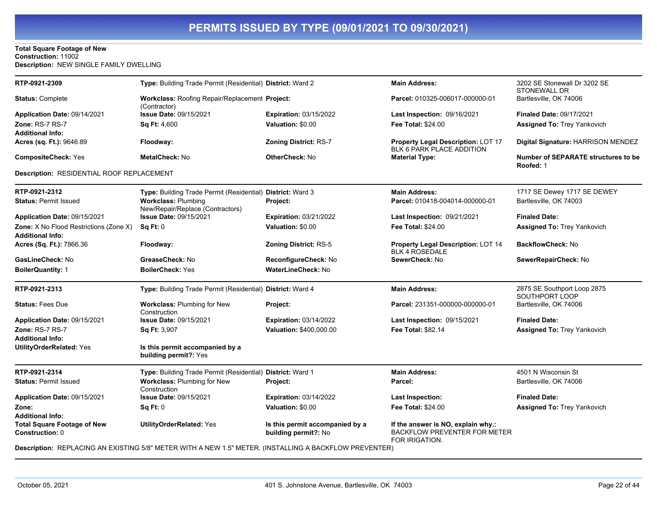#### **Total Square Footage of New Construction:** 11002 **Description:** NEW SINGLE FAMILY DWELLING

| RTP-0921-2309                                                | Type: Building Trade Permit (Residential) District: Ward 2                                                                                |                                                         | <b>Main Address:</b>                                                                        | 3202 SE Stonewall Dr 3202 SE<br><b>STONEWALL DR</b>     |
|--------------------------------------------------------------|-------------------------------------------------------------------------------------------------------------------------------------------|---------------------------------------------------------|---------------------------------------------------------------------------------------------|---------------------------------------------------------|
| <b>Status: Complete</b>                                      | Workclass: Roofing Repair/Replacement Project:<br>(Contractor)                                                                            |                                                         | Parcel: 010325-006017-000000-01                                                             | Bartlesville, OK 74006                                  |
| Application Date: 09/14/2021                                 | Issue Date: 09/15/2021                                                                                                                    | <b>Expiration: 03/15/2022</b>                           | Last Inspection: 09/16/2021                                                                 | <b>Finaled Date: 09/17/2021</b>                         |
| Zone: RS-7 RS-7                                              | Sq Ft: 4,600                                                                                                                              | Valuation: \$0.00                                       | <b>Fee Total: \$24.00</b>                                                                   | <b>Assigned To: Trey Yankovich</b>                      |
| Additional Info:                                             |                                                                                                                                           |                                                         |                                                                                             |                                                         |
| Acres (sq. Ft.): 9646.89                                     | Floodway:                                                                                                                                 | <b>Zoning District: RS-7</b>                            | Property Legal Description: LOT 17<br>BLK 6 PARK PLACE ADDITION                             | Digital Signature: HARRISON MENDEZ                      |
| <b>CompositeCheck: Yes</b>                                   | <b>MetalCheck: No</b>                                                                                                                     | <b>OtherCheck: No</b>                                   | <b>Material Type:</b>                                                                       | <b>Number of SEPARATE structures to be</b><br>Roofed: 1 |
| Description: RESIDENTIAL ROOF REPLACEMENT                    |                                                                                                                                           |                                                         |                                                                                             |                                                         |
| RTP-0921-2312                                                | Type: Building Trade Permit (Residential) District: Ward 3                                                                                |                                                         | <b>Main Address:</b>                                                                        | 1717 SE Dewey 1717 SE DEWEY                             |
| <b>Status: Permit Issued</b>                                 | <b>Workclass: Plumbing</b><br>New/Repair/Replace (Contractors)                                                                            | Project:                                                | Parcel: 010418-004014-000000-01                                                             | Bartlesville, OK 74003                                  |
| Application Date: 09/15/2021                                 | <b>Issue Date: 09/15/2021</b>                                                                                                             | <b>Expiration: 03/21/2022</b>                           | Last Inspection: 09/21/2021                                                                 | <b>Finaled Date:</b>                                    |
| Zone: X No Flood Restrictions (Zone X)<br>Additional Info:   | <b>Sq Ft: 0</b>                                                                                                                           | Valuation: \$0.00                                       | <b>Fee Total: \$24.00</b>                                                                   | <b>Assigned To: Trey Yankovich</b>                      |
| Acres (Sq. Ft.): 7866.36                                     | Floodway:                                                                                                                                 | <b>Zoning District: RS-5</b>                            | Property Legal Description: LOT 14<br><b>BLK 4 ROSEDALE</b>                                 | <b>BackflowCheck: No</b>                                |
| <b>GasLineCheck: No</b>                                      | GreaseCheck: No                                                                                                                           | <b>ReconfigureCheck: No</b>                             | SewerCheck: No                                                                              | SewerRepairCheck: No                                    |
| <b>BoilerQuantity: 1</b>                                     | <b>BoilerCheck:</b> Yes                                                                                                                   | <b>WaterLineCheck: No</b>                               |                                                                                             |                                                         |
| RTP-0921-2313                                                | Type: Building Trade Permit (Residential) District: Ward 4                                                                                |                                                         | <b>Main Address:</b>                                                                        | 2875 SE Southport Loop 2875<br>SOUTHPORT LOOP           |
| <b>Status: Fees Due</b>                                      | Workclass: Plumbing for New<br>Construction                                                                                               | Project:                                                | Parcel: 231351-000000-000000-01                                                             | Bartlesville, OK 74006                                  |
| Application Date: 09/15/2021                                 | <b>Issue Date: 09/15/2021</b>                                                                                                             | <b>Expiration: 03/14/2022</b>                           | Last Inspection: 09/15/2021                                                                 | <b>Finaled Date:</b>                                    |
| Zone: RS-7 RS-7                                              | Sq Ft: 3,907                                                                                                                              | Valuation: \$400,000.00                                 | <b>Fee Total: \$82.14</b>                                                                   | Assigned To: Trey Yankovich                             |
| Additional Info:                                             |                                                                                                                                           |                                                         |                                                                                             |                                                         |
| <b>UtilityOrderRelated: Yes</b>                              | Is this permit accompanied by a<br>building permit?: Yes                                                                                  |                                                         |                                                                                             |                                                         |
| RTP-0921-2314                                                | Type: Building Trade Permit (Residential) District: Ward 1                                                                                |                                                         | <b>Main Address:</b>                                                                        | 4501 N Wisconsin St                                     |
| <b>Status: Permit Issued</b>                                 | Workclass: Plumbing for New<br>Construction                                                                                               | Project:                                                | Parcel:                                                                                     | Bartlesville, OK 74006                                  |
| Application Date: 09/15/2021                                 | <b>Issue Date: 09/15/2021</b>                                                                                                             | <b>Expiration: 03/14/2022</b>                           | Last Inspection:                                                                            | <b>Finaled Date:</b>                                    |
| Zone:<br><b>Additional Info:</b>                             | Sq Ft: 0                                                                                                                                  | Valuation: \$0.00                                       | <b>Fee Total: \$24.00</b>                                                                   | <b>Assigned To: Trey Yankovich</b>                      |
| <b>Total Square Footage of New</b><br><b>Construction: 0</b> | <b>UtilityOrderRelated: Yes</b><br>Description: DEDLACING AN EVICTING E/O" METED WITH A NEW 4 E" METED. /INCTALLING A DACKELOW DDEVENTED) | Is this permit accompanied by a<br>building permit?: No | If the answer is NO, explain why.:<br><b>BACKFLOW PREVENTER FOR METER</b><br>FOR IRIGATION. |                                                         |

**Description:** REPLACING AN EXISTING 5/8" METER WITH A NEW 1.5" METER. (INSTALLING A BACKFLOW PREVENTER)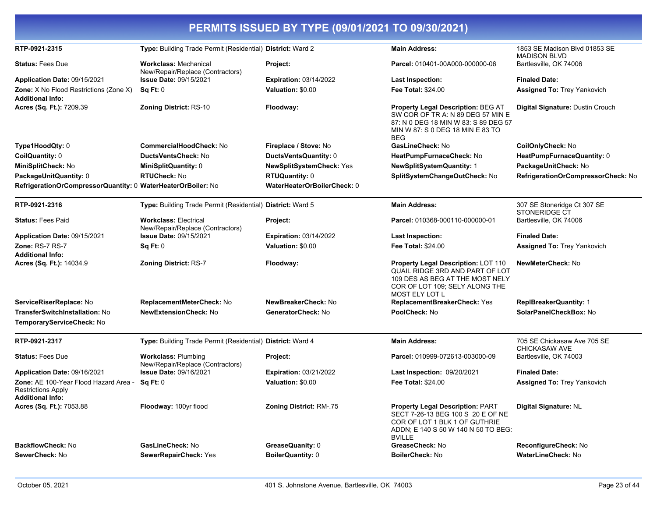| PERMITS ISSUED BY TYPE (09/01/2021 TO 09/30/2021)                                      |                                                                  |                                |                                                                                                                                                                             |                                                      |
|----------------------------------------------------------------------------------------|------------------------------------------------------------------|--------------------------------|-----------------------------------------------------------------------------------------------------------------------------------------------------------------------------|------------------------------------------------------|
| RTP-0921-2315                                                                          | Type: Building Trade Permit (Residential) District: Ward 2       |                                | <b>Main Address:</b>                                                                                                                                                        | 1853 SE Madison Blvd 01853 SE<br><b>MADISON BLVD</b> |
| <b>Status: Fees Due</b>                                                                | <b>Workclass: Mechanical</b><br>New/Repair/Replace (Contractors) | Project:                       | Parcel: 010401-00A000-000000-06                                                                                                                                             | Bartlesville, OK 74006                               |
| Application Date: 09/15/2021                                                           | <b>Issue Date: 09/15/2021</b>                                    | <b>Expiration: 03/14/2022</b>  | <b>Last Inspection:</b>                                                                                                                                                     | <b>Finaled Date:</b>                                 |
| Zone: X No Flood Restrictions (Zone X)<br><b>Additional Info:</b>                      | Sq Ft: 0                                                         | Valuation: \$0.00              | <b>Fee Total: \$24.00</b>                                                                                                                                                   | Assigned To: Trey Yankovich                          |
| Acres (Sq. Ft.): 7209.39                                                               | <b>Zoning District: RS-10</b>                                    | Floodway:                      | Property Legal Description: BEG AT<br>SW COR OF TR A: N 89 DEG 57 MIN E<br>87: N 0 DEG 18 MIN W 83: S 89 DEG 57<br>MIN W 87: S 0 DEG 18 MIN E 83 TO<br><b>BEG</b>           | Digital Signature: Dustin Crouch                     |
| Type1HoodQty: 0                                                                        | CommercialHoodCheck: No                                          | Fireplace / Stove: No          | GasLineCheck: No                                                                                                                                                            | CoilOnlyCheck: No                                    |
| CoilQuantity: 0                                                                        | DuctsVentsCheck: No                                              | DuctsVentsQuantity: 0          | HeatPumpFurnaceCheck: No                                                                                                                                                    | HeatPumpFurnaceQuantity: 0                           |
| MiniSplitCheck: No                                                                     | <b>MiniSplitQuantity: 0</b>                                      | NewSplitSystemCheck: Yes       | <b>NewSplitSystemQuantity: 1</b>                                                                                                                                            | PackageUnitCheck: No                                 |
| PackageUnitQuantity: 0                                                                 | <b>RTUCheck: No</b>                                              | <b>RTUQuantity: 0</b>          | SplitSystemChangeOutCheck: No                                                                                                                                               | RefrigerationOrCompressorCheck: No                   |
| RefrigerationOrCompressorQuantity: 0 WaterHeaterOrBoiler: No                           |                                                                  | WaterHeaterOrBoilerCheck: 0    |                                                                                                                                                                             |                                                      |
| RTP-0921-2316                                                                          | Type: Building Trade Permit (Residential) District: Ward 5       |                                | <b>Main Address:</b>                                                                                                                                                        | 307 SE Stoneridge Ct 307 SE<br>STONERIDGE CT         |
| <b>Status: Fees Paid</b>                                                               | <b>Workclass: Electrical</b><br>New/Repair/Replace (Contractors) | Project:                       | Parcel: 010368-000110-000000-01                                                                                                                                             | Bartlesville, OK 74006                               |
| Application Date: 09/15/2021                                                           | <b>Issue Date: 09/15/2021</b>                                    | <b>Expiration: 03/14/2022</b>  | <b>Last Inspection:</b>                                                                                                                                                     | <b>Finaled Date:</b>                                 |
| Zone: RS-7 RS-7<br><b>Additional Info:</b>                                             | Sq Ft: 0                                                         | Valuation: \$0.00              | Fee Total: \$24.00                                                                                                                                                          | <b>Assigned To: Trey Yankovich</b>                   |
| Acres (Sq. Ft.): 14034.9                                                               | Zoning District: RS-7                                            | Floodway:                      | <b>Property Legal Description: LOT 110</b><br>QUAIL RIDGE 3RD AND PART OF LOT<br>109 DES AS BEG AT THE MOST NELY<br>COR OF LOT 109; SELY ALONG THE<br><b>MOST ELY LOT L</b> | <b>NewMeterCheck: No</b>                             |
| ServiceRiserReplace: No                                                                | ReplacementMeterCheck: No                                        | NewBreakerCheck: No            | ReplacementBreakerCheck: Yes                                                                                                                                                | <b>ReplBreakerQuantity: 1</b>                        |
| <b>TransferSwitchInstallation: No</b>                                                  | <b>NewExtensionCheck: No</b>                                     | GeneratorCheck: No             | PoolCheck: No                                                                                                                                                               | SolarPanelCheckBox: No                               |
| TemporaryServiceCheck: No                                                              |                                                                  |                                |                                                                                                                                                                             |                                                      |
| RTP-0921-2317                                                                          | Type: Building Trade Permit (Residential) District: Ward 4       |                                | <b>Main Address:</b>                                                                                                                                                        | 705 SE Chickasaw Ave 705 SE<br><b>CHICKASAW AVE</b>  |
| <b>Status: Fees Due</b>                                                                | <b>Workclass: Plumbing</b><br>New/Repair/Replace (Contractors)   | Project:                       | Parcel: 010999-072613-003000-09                                                                                                                                             | Bartlesville, OK 74003                               |
| Application Date: 09/16/2021                                                           | <b>Issue Date: 09/16/2021</b>                                    | <b>Expiration: 03/21/2022</b>  | Last Inspection: 09/20/2021                                                                                                                                                 | <b>Finaled Date:</b>                                 |
| Zone: AE 100-Year Flood Hazard Area -<br>Restrictions Apply<br><b>Additional Info:</b> | Sq Ft: 0                                                         | Valuation: \$0.00              | <b>Fee Total: \$24.00</b>                                                                                                                                                   | <b>Assigned To: Trey Yankovich</b>                   |
| Acres (Sq. Ft.): 7053.88                                                               | Floodway: 100yr flood                                            | <b>Zoning District: RM-.75</b> | <b>Property Legal Description: PART</b><br>SECT 7-26-13 BEG 100 S 20 E OF NE<br>COR OF LOT 1 BLK 1 OF GUTHRIE<br>ADDN; E 140 S 50 W 140 N 50 TO BEG:<br><b>BVILLE</b>       | Digital Signature: NL                                |
| BackflowCheck: No                                                                      | GasLineCheck: No                                                 | GreaseQuanity: 0               | GreaseCheck: No                                                                                                                                                             | ReconfigureCheck: No                                 |
| SewerCheck: No                                                                         | SewerRepairCheck: Yes                                            | <b>BoilerQuantity: 0</b>       | <b>BoilerCheck: No</b>                                                                                                                                                      | WaterLineCheck: No                                   |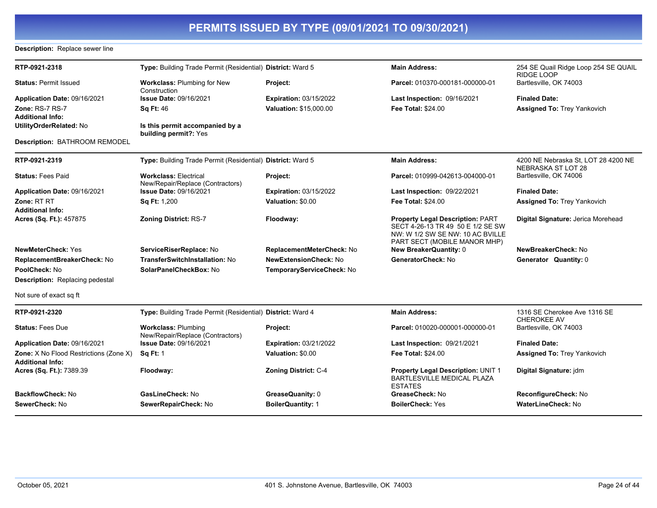#### **Description:** Replace sewer line

| RTP-0921-2318                                                            | Type: Building Trade Permit (Residential) District: Ward 5       |                               | <b>Main Address:</b>                                                                                                                             | 254 SE Quail Ridge Loop 254 SE QUAIL<br><b>RIDGE LOOP</b> |
|--------------------------------------------------------------------------|------------------------------------------------------------------|-------------------------------|--------------------------------------------------------------------------------------------------------------------------------------------------|-----------------------------------------------------------|
| <b>Status: Permit Issued</b>                                             | <b>Workclass: Plumbing for New</b><br>Construction               | Project:                      | Parcel: 010370-000181-000000-01                                                                                                                  | Bartlesville, OK 74003                                    |
| Application Date: 09/16/2021                                             | <b>Issue Date: 09/16/2021</b>                                    | <b>Expiration: 03/15/2022</b> | Last Inspection: 09/16/2021                                                                                                                      | <b>Finaled Date:</b>                                      |
| Zone: RS-7 RS-7<br><b>Additional Info:</b>                               | <b>Sq Ft: 46</b>                                                 | Valuation: \$15,000.00        | <b>Fee Total: \$24.00</b>                                                                                                                        | <b>Assigned To: Trey Yankovich</b>                        |
| UtilityOrderRelated: No                                                  | Is this permit accompanied by a<br>building permit?: Yes         |                               |                                                                                                                                                  |                                                           |
| Description: BATHROOM REMODEL                                            |                                                                  |                               |                                                                                                                                                  |                                                           |
| RTP-0921-2319                                                            | Type: Building Trade Permit (Residential) District: Ward 5       |                               | <b>Main Address:</b>                                                                                                                             | 4200 NE Nebraska St, LOT 28 4200 NE<br>NEBRASKA ST LOT 28 |
| <b>Status: Fees Paid</b>                                                 | <b>Workclass: Electrical</b><br>New/Repair/Replace (Contractors) | Project:                      | Parcel: 010999-042613-004000-01                                                                                                                  | Bartlesville, OK 74006                                    |
| Application Date: 09/16/2021                                             | <b>Issue Date: 09/16/2021</b>                                    | <b>Expiration: 03/15/2022</b> | Last Inspection: 09/22/2021                                                                                                                      | <b>Finaled Date:</b>                                      |
| Zone: RT RT                                                              | Sq Ft: 1,200                                                     | Valuation: \$0.00             | <b>Fee Total: \$24.00</b>                                                                                                                        | <b>Assigned To: Trey Yankovich</b>                        |
| <b>Additional Info:</b>                                                  |                                                                  |                               |                                                                                                                                                  |                                                           |
| Acres (Sq. Ft.): 457875                                                  | <b>Zoning District: RS-7</b>                                     | Floodway:                     | <b>Property Legal Description: PART</b><br>SECT 4-26-13 TR 49 50 E 1/2 SE SW<br>NW: W 1/2 SW SE NW: 10 AC BVILLE<br>PART SECT (MOBILE MANOR MHP) | Digital Signature: Jerica Morehead                        |
| <b>NewMeterCheck: Yes</b>                                                | ServiceRiserReplace: No                                          | ReplacementMeterCheck: No     | <b>New BreakerQuantity: 0</b>                                                                                                                    | NewBreakerCheck: No                                       |
| ReplacementBreakerCheck: No                                              | <b>TransferSwitchInstallation: No</b>                            | <b>NewExtensionCheck: No</b>  | GeneratorCheck: No                                                                                                                               | Generator Quantity: 0                                     |
| PoolCheck: No                                                            | SolarPanelCheckBox: No                                           | TemporaryServiceCheck: No     |                                                                                                                                                  |                                                           |
| <b>Description:</b> Replacing pedestal                                   |                                                                  |                               |                                                                                                                                                  |                                                           |
| Not sure of exact sq ft                                                  |                                                                  |                               |                                                                                                                                                  |                                                           |
| RTP-0921-2320                                                            | Type: Building Trade Permit (Residential) District: Ward 4       |                               | <b>Main Address:</b>                                                                                                                             | 1316 SE Cherokee Ave 1316 SE<br><b>CHEROKEE AV</b>        |
| <b>Status: Fees Due</b>                                                  | <b>Workclass: Plumbing</b><br>New/Repair/Replace (Contractors)   | Project:                      | Parcel: 010020-000001-000000-01                                                                                                                  | Bartlesville, OK 74003                                    |
| Application Date: 09/16/2021                                             | <b>Issue Date: 09/16/2021</b>                                    | <b>Expiration: 03/21/2022</b> | Last Inspection: 09/21/2021                                                                                                                      | <b>Finaled Date:</b>                                      |
| <b>Zone:</b> X No Flood Restrictions (Zone X)<br><b>Additional Info:</b> | <b>Sq Ft: 1</b>                                                  | Valuation: \$0.00             | Fee Total: \$24.00                                                                                                                               | <b>Assigned To: Trey Yankovich</b>                        |
| Acres (Sq. Ft.): 7389.39                                                 | Floodway:                                                        | <b>Zoning District: C-4</b>   | Property Legal Description: UNIT 1<br>BARTLESVILLE MEDICAL PLAZA<br><b>ESTATES</b>                                                               | Digital Signature: jdm                                    |
| <b>BackflowCheck: No</b>                                                 | GasLineCheck: No                                                 | GreaseQuanity: 0              | GreaseCheck: No                                                                                                                                  | ReconfigureCheck: No                                      |
| SewerCheck: No                                                           | SewerRepairCheck: No                                             | <b>BoilerQuantity: 1</b>      | <b>BoilerCheck: Yes</b>                                                                                                                          | WaterLineCheck: No                                        |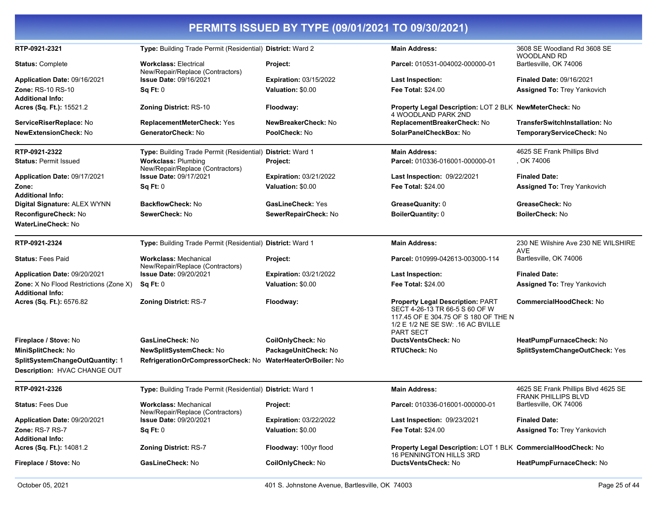| PERMITS ISSUED BY TYPE (09/01/2021 TO 09/30/2021)                        |                                                                  |                               |                                                                                                                                                                            |                                                                   |  |
|--------------------------------------------------------------------------|------------------------------------------------------------------|-------------------------------|----------------------------------------------------------------------------------------------------------------------------------------------------------------------------|-------------------------------------------------------------------|--|
| RTP-0921-2321                                                            | Type: Building Trade Permit (Residential) District: Ward 2       |                               | <b>Main Address:</b>                                                                                                                                                       | 3608 SE Woodland Rd 3608 SE<br><b>WOODLAND RD</b>                 |  |
| <b>Status: Complete</b>                                                  | <b>Workclass: Electrical</b><br>New/Repair/Replace (Contractors) | Project:                      | Parcel: 010531-004002-000000-01                                                                                                                                            | Bartlesville, OK 74006                                            |  |
| Application Date: 09/16/2021                                             | <b>Issue Date: 09/16/2021</b>                                    | <b>Expiration: 03/15/2022</b> | <b>Last Inspection:</b>                                                                                                                                                    | <b>Finaled Date: 09/16/2021</b>                                   |  |
| <b>Zone: RS-10 RS-10</b><br><b>Additional Info:</b>                      | Sq Ft: 0                                                         | Valuation: \$0.00             | <b>Fee Total: \$24.00</b>                                                                                                                                                  | <b>Assigned To: Trey Yankovich</b>                                |  |
| Acres (Sq. Ft.): 15521.2                                                 | <b>Zoning District: RS-10</b>                                    | Floodway:                     | <b>Property Legal Description: LOT 2 BLK NewMeterCheck: No</b><br><b>4 WOODLAND PARK 2ND</b>                                                                               |                                                                   |  |
| ServiceRiserReplace: No                                                  | ReplacementMeterCheck: Yes                                       | NewBreakerCheck: No           | ReplacementBreakerCheck: No                                                                                                                                                | TransferSwitchInstallation: No                                    |  |
| NewExtensionCheck: No                                                    | GeneratorCheck: No                                               | PoolCheck: No                 | SolarPanelCheckBox: No                                                                                                                                                     | TemporaryServiceCheck: No                                         |  |
| RTP-0921-2322                                                            | Type: Building Trade Permit (Residential) District: Ward 1       |                               | <b>Main Address:</b>                                                                                                                                                       | 4625 SE Frank Phillips Blvd                                       |  |
| <b>Status: Permit Issued</b>                                             | <b>Workclass: Plumbing</b><br>New/Repair/Replace (Contractors)   | Project:                      | Parcel: 010336-016001-000000-01                                                                                                                                            | , OK 74006                                                        |  |
| Application Date: 09/17/2021                                             | <b>Issue Date: 09/17/2021</b>                                    | <b>Expiration: 03/21/2022</b> | <b>Last Inspection: 09/22/2021</b>                                                                                                                                         | <b>Finaled Date:</b>                                              |  |
| Zone:<br><b>Additional Info:</b>                                         | Sq Ft: 0                                                         | Valuation: \$0.00             | <b>Fee Total: \$24.00</b>                                                                                                                                                  | Assigned To: Trey Yankovich                                       |  |
| Digital Signature: ALEX WYNN                                             | <b>BackflowCheck: No</b>                                         | <b>GasLineCheck: Yes</b>      | GreaseQuanity: 0                                                                                                                                                           | GreaseCheck: No                                                   |  |
| ReconfigureCheck: No                                                     | SewerCheck: No                                                   | SewerRepairCheck: No          | BoilerQuantity: 0                                                                                                                                                          | <b>BoilerCheck: No</b>                                            |  |
| <b>WaterLineCheck: No</b>                                                |                                                                  |                               |                                                                                                                                                                            |                                                                   |  |
| RTP-0921-2324                                                            | Type: Building Trade Permit (Residential) District: Ward 1       |                               | <b>Main Address:</b>                                                                                                                                                       | 230 NE Wilshire Ave 230 NE WILSHIRE<br>AVE                        |  |
| <b>Status: Fees Paid</b>                                                 | <b>Workclass: Mechanical</b><br>New/Repair/Replace (Contractors) | Project:                      | Parcel: 010999-042613-003000-114                                                                                                                                           | Bartlesville, OK 74006                                            |  |
| Application Date: 09/20/2021                                             | <b>Issue Date: 09/20/2021</b>                                    | <b>Expiration: 03/21/2022</b> | <b>Last Inspection:</b>                                                                                                                                                    | <b>Finaled Date:</b>                                              |  |
| <b>Zone:</b> X No Flood Restrictions (Zone X)<br><b>Additional Info:</b> | Sq Ft: 0                                                         | Valuation: \$0.00             | <b>Fee Total: \$24.00</b>                                                                                                                                                  | Assigned To: Trey Yankovich                                       |  |
| Acres (Sq. Ft.): 6576.82                                                 | <b>Zoning District: RS-7</b>                                     | Floodway:                     | <b>Property Legal Description: PART</b><br>SECT 4-26-13 TR 66-5 S 60 OF W<br>117.45 OF E 304.75 OF S 180 OF THE N<br>1/2 E 1/2 NE SE SW: .16 AC BVILLE<br><b>PART SECT</b> | <b>CommercialHoodCheck: No</b>                                    |  |
| Fireplace / Stove: No                                                    | GasLineCheck: No                                                 | CoilOnlyCheck: No             | <b>DuctsVentsCheck: No</b>                                                                                                                                                 | HeatPumpFurnaceCheck: No                                          |  |
| MiniSplitCheck: No                                                       | NewSplitSystemCheck: No                                          | PackageUnitCheck: No          | <b>RTUCheck: No</b>                                                                                                                                                        | SplitSystemChangeOutCheck: Yes                                    |  |
| SplitSystemChangeOutQuantity: 1                                          | RefrigerationOrCompressorCheck: No WaterHeaterOrBoiler: No       |                               |                                                                                                                                                                            |                                                                   |  |
| Description: HVAC CHANGE OUT                                             |                                                                  |                               |                                                                                                                                                                            |                                                                   |  |
| RTP-0921-2326                                                            | Type: Building Trade Permit (Residential) District: Ward 1       |                               | <b>Main Address:</b>                                                                                                                                                       | 4625 SE Frank Phillips Blvd 4625 SE<br><b>FRANK PHILLIPS BLVD</b> |  |
| <b>Status: Fees Due</b>                                                  | <b>Workclass: Mechanical</b><br>New/Repair/Replace (Contractors) | Project:                      | Parcel: 010336-016001-000000-01                                                                                                                                            | Bartlesville, OK 74006                                            |  |
| Application Date: 09/20/2021                                             | <b>Issue Date: 09/20/2021</b>                                    | <b>Expiration: 03/22/2022</b> | Last Inspection: 09/23/2021                                                                                                                                                | <b>Finaled Date:</b>                                              |  |
| Zone: RS-7 RS-7<br><b>Additional Info:</b>                               | Sq Ft: 0                                                         | Valuation: \$0.00             | Fee Total: \$24.00                                                                                                                                                         | <b>Assigned To: Trey Yankovich</b>                                |  |
| Acres (Sq. Ft.): 14081.2                                                 | <b>Zoning District: RS-7</b>                                     | Floodway: 100yr flood         | Property Legal Description: LOT 1 BLK CommercialHoodCheck: No<br><b>16 PENNINGTON HILLS 3RD</b>                                                                            |                                                                   |  |
| Fireplace / Stove: No                                                    | GasLineCheck: No                                                 | CoilOnlyCheck: No             | DuctsVentsCheck: No                                                                                                                                                        | HeatPumpFurnaceCheck: No                                          |  |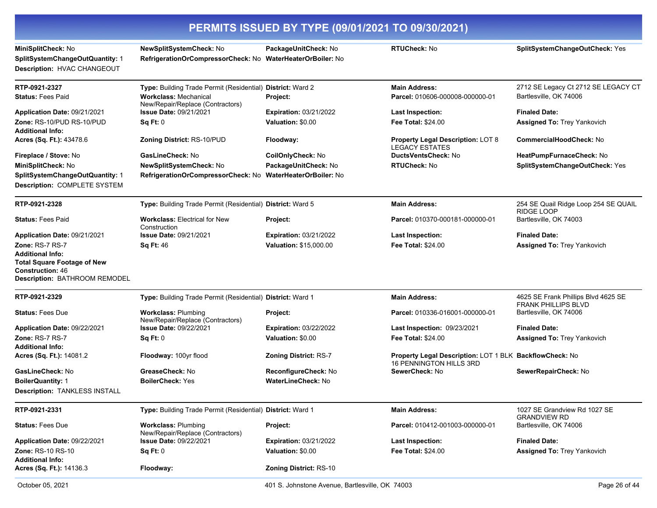| PERMITS ISSUED BY TYPE (09/01/2021 TO 09/30/2021)                                                                         |                                                                                                                                |                                                 |                                                                                           |                                                                   |
|---------------------------------------------------------------------------------------------------------------------------|--------------------------------------------------------------------------------------------------------------------------------|-------------------------------------------------|-------------------------------------------------------------------------------------------|-------------------------------------------------------------------|
| MiniSplitCheck: No<br>SplitSystemChangeOutQuantity: 1<br>Description: HVAC CHANGEOUT                                      | NewSplitSystemCheck: No<br>RefrigerationOrCompressorCheck: No WaterHeaterOrBoiler: No                                          | PackageUnitCheck: No                            | <b>RTUCheck: No</b>                                                                       | SplitSystemChangeOutCheck: Yes                                    |
| RTP-0921-2327<br><b>Status: Fees Paid</b>                                                                                 | Type: Building Trade Permit (Residential) District: Ward 2<br><b>Workclass: Mechanical</b><br>New/Repair/Replace (Contractors) | Project:                                        | <b>Main Address:</b><br>Parcel: 010606-000008-000000-01                                   | 2712 SE Legacy Ct 2712 SE LEGACY CT<br>Bartlesville, OK 74006     |
| Application Date: 09/21/2021                                                                                              | <b>Issue Date: 09/21/2021</b>                                                                                                  | <b>Expiration: 03/21/2022</b>                   | <b>Last Inspection:</b>                                                                   | <b>Finaled Date:</b>                                              |
| Zone: RS-10/PUD RS-10/PUD<br><b>Additional Info:</b>                                                                      | Sq Ft: 0                                                                                                                       | Valuation: \$0.00                               | <b>Fee Total: \$24.00</b>                                                                 | <b>Assigned To: Trey Yankovich</b>                                |
| Acres (Sq. Ft.): 43478.6                                                                                                  | <b>Zoning District: RS-10/PUD</b>                                                                                              | Floodway:                                       | <b>Property Legal Description: LOT 8</b><br><b>LEGACY ESTATES</b>                         | CommercialHoodCheck: No                                           |
| Fireplace / Stove: No                                                                                                     | GasLineCheck: No                                                                                                               | CoilOnlyCheck: No                               | DuctsVentsCheck: No                                                                       | HeatPumpFurnaceCheck: No                                          |
| MiniSplitCheck: No                                                                                                        | NewSplitSystemCheck: No                                                                                                        | PackageUnitCheck: No                            | <b>RTUCheck: No</b>                                                                       | SplitSystemChangeOutCheck: Yes                                    |
| SplitSystemChangeOutQuantity: 1<br>Description: COMPLETE SYSTEM                                                           | RefrigerationOrCompressorCheck: No                                                                                             | <b>WaterHeaterOrBoiler: No</b>                  |                                                                                           |                                                                   |
| RTP-0921-2328                                                                                                             | Type: Building Trade Permit (Residential) District: Ward 5                                                                     |                                                 | <b>Main Address:</b>                                                                      | 254 SE Quail Ridge Loop 254 SE QUAIL<br>RIDGE LOOP                |
| <b>Status: Fees Paid</b>                                                                                                  | <b>Workclass: Electrical for New</b><br>Construction                                                                           | Project:                                        | Parcel: 010370-000181-000000-01                                                           | Bartlesville, OK 74003                                            |
| Application Date: 09/21/2021                                                                                              | <b>Issue Date: 09/21/2021</b>                                                                                                  | <b>Expiration: 03/21/2022</b>                   | <b>Last Inspection:</b>                                                                   | <b>Finaled Date:</b>                                              |
| Zone: RS-7 RS-7                                                                                                           | <b>Sq Ft: 46</b>                                                                                                               | <b>Valuation: \$15,000.00</b>                   | <b>Fee Total: \$24.00</b>                                                                 | Assigned To: Trey Yankovich                                       |
| <b>Additional Info:</b><br><b>Total Square Footage of New</b><br><b>Construction: 46</b><br>Description: BATHROOM REMODEL |                                                                                                                                |                                                 |                                                                                           |                                                                   |
| RTP-0921-2329                                                                                                             | Type: Building Trade Permit (Residential) District: Ward 1                                                                     |                                                 | <b>Main Address:</b>                                                                      | 4625 SE Frank Phillips Blvd 4625 SE<br><b>FRANK PHILLIPS BLVD</b> |
| <b>Status: Fees Due</b>                                                                                                   | <b>Workclass: Plumbing</b><br>New/Repair/Replace (Contractors)                                                                 | Project:                                        | Parcel: 010336-016001-000000-01                                                           | Bartlesville, OK 74006                                            |
| Application Date: 09/22/2021                                                                                              | <b>Issue Date: 09/22/2021</b>                                                                                                  | <b>Expiration: 03/22/2022</b>                   | <b>Last Inspection: 09/23/2021</b>                                                        | <b>Finaled Date:</b>                                              |
| Zone: RS-7 RS-7<br><b>Additional Info:</b>                                                                                | Sq Ft: 0                                                                                                                       | Valuation: \$0.00                               | <b>Fee Total: \$24.00</b>                                                                 | <b>Assigned To: Trey Yankovich</b>                                |
| Acres (Sq. Ft.): 14081.2                                                                                                  | Floodway: 100yr flood                                                                                                          | Zoning District: RS-7                           | Property Legal Description: LOT 1 BLK BackflowCheck: No<br><b>16 PENNINGTON HILLS 3RD</b> |                                                                   |
| GasLineCheck: No                                                                                                          | GreaseCheck: No                                                                                                                | <b>ReconfigureCheck: No</b>                     | SewerCheck: No                                                                            | SewerRepairCheck: No                                              |
| <b>BoilerQuantity: 1</b>                                                                                                  | <b>BoilerCheck: Yes</b>                                                                                                        | <b>WaterLineCheck: No</b>                       |                                                                                           |                                                                   |
| <b>Description: TANKLESS INSTALL</b>                                                                                      |                                                                                                                                |                                                 |                                                                                           |                                                                   |
| RTP-0921-2331                                                                                                             | Type: Building Trade Permit (Residential) District: Ward 1                                                                     |                                                 | <b>Main Address:</b>                                                                      | 1027 SE Grandview Rd 1027 SE<br><b>GRANDVIEW RD</b>               |
| <b>Status: Fees Due</b>                                                                                                   | <b>Workclass: Plumbing</b><br>New/Repair/Replace (Contractors)                                                                 | Project:                                        | Parcel: 010412-001003-000000-01                                                           | Bartlesville, OK 74006                                            |
| Application Date: 09/22/2021                                                                                              | <b>Issue Date: 09/22/2021</b>                                                                                                  | <b>Expiration: 03/21/2022</b>                   | <b>Last Inspection:</b>                                                                   | <b>Finaled Date:</b>                                              |
| <b>Zone: RS-10 RS-10</b>                                                                                                  | Sq Ft: 0                                                                                                                       | Valuation: \$0.00                               | <b>Fee Total: \$24.00</b>                                                                 | Assigned To: Trey Yankovich                                       |
| <b>Additional Info:</b><br>Acres (Sq. Ft.): 14136.3                                                                       | Floodway:                                                                                                                      | Zoning District: RS-10                          |                                                                                           |                                                                   |
| October 05, 2021                                                                                                          |                                                                                                                                | 401 S. Johnstone Avenue, Bartlesville, OK 74003 |                                                                                           | Page 26 of 44                                                     |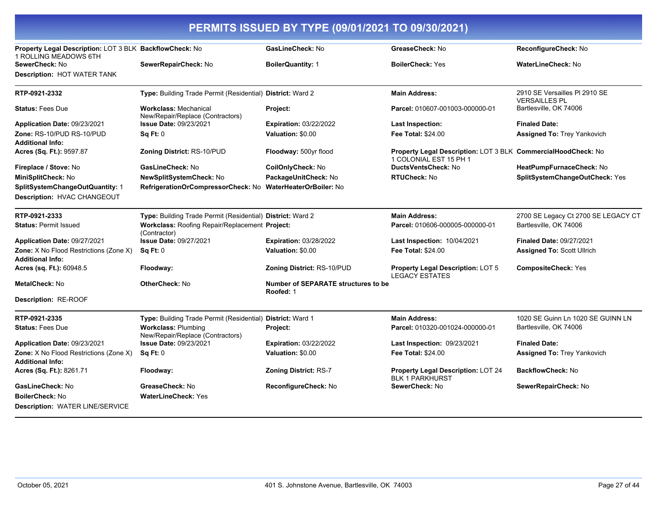| PERMITS ISSUED BY TYPE (09/01/2021 TO 09/30/2021)                                |                                                                  |                                                  |                                                                                         |                                                       |
|----------------------------------------------------------------------------------|------------------------------------------------------------------|--------------------------------------------------|-----------------------------------------------------------------------------------------|-------------------------------------------------------|
| Property Legal Description: LOT 3 BLK BackflowCheck: No<br>1 ROLLING MEADOWS 6TH |                                                                  | GasLineCheck: No                                 | GreaseCheck: No                                                                         | ReconfigureCheck: No                                  |
| SewerCheck: No                                                                   | SewerRepairCheck: No                                             | <b>BoilerQuantity: 1</b>                         | <b>BoilerCheck: Yes</b>                                                                 | WaterLineCheck: No                                    |
| <b>Description: HOT WATER TANK</b>                                               |                                                                  |                                                  |                                                                                         |                                                       |
| RTP-0921-2332                                                                    | Type: Building Trade Permit (Residential) District: Ward 2       |                                                  | <b>Main Address:</b>                                                                    | 2910 SE Versailles PI 2910 SE<br><b>VERSAILLES PL</b> |
| <b>Status: Fees Due</b>                                                          | <b>Workclass: Mechanical</b><br>New/Repair/Replace (Contractors) | Project:                                         | Parcel: 010607-001003-000000-01                                                         | Bartlesville, OK 74006                                |
| Application Date: 09/23/2021                                                     | <b>Issue Date: 09/23/2021</b>                                    | <b>Expiration: 03/22/2022</b>                    | <b>Last Inspection:</b>                                                                 | <b>Finaled Date:</b>                                  |
| Zone: RS-10/PUD RS-10/PUD<br><b>Additional Info:</b>                             | Sq Ft: 0                                                         | Valuation: \$0.00                                | <b>Fee Total: \$24.00</b>                                                               | <b>Assigned To: Trey Yankovich</b>                    |
| Acres (Sq. Ft.): 9597.87                                                         | <b>Zoning District: RS-10/PUD</b>                                | Floodway: 500yr flood                            | Property Legal Description: LOT 3 BLK CommercialHoodCheck: No<br>1 COLONIAL EST 15 PH 1 |                                                       |
| Fireplace / Stove: No                                                            | GasLineCheck: No                                                 | CoilOnlyCheck: No                                | <b>DuctsVentsCheck: No</b>                                                              | HeatPumpFurnaceCheck: No                              |
| MiniSplitCheck: No                                                               | NewSplitSystemCheck: No                                          | PackageUnitCheck: No                             | <b>RTUCheck: No</b>                                                                     | SplitSystemChangeOutCheck: Yes                        |
| SplitSystemChangeOutQuantity: 1                                                  | RefrigerationOrCompressorCheck: No WaterHeaterOrBoiler: No       |                                                  |                                                                                         |                                                       |
| Description: HVAC CHANGEOUT                                                      |                                                                  |                                                  |                                                                                         |                                                       |
| RTP-0921-2333                                                                    | Type: Building Trade Permit (Residential) District: Ward 2       |                                                  | <b>Main Address:</b>                                                                    | 2700 SE Legacy Ct 2700 SE LEGACY CT                   |
| <b>Status: Permit Issued</b>                                                     | Workclass: Roofing Repair/Replacement Project:<br>(Contractor)   |                                                  | Parcel: 010606-000005-000000-01                                                         | Bartlesville, OK 74006                                |
| Application Date: 09/27/2021                                                     | Issue Date: 09/27/2021                                           | <b>Expiration: 03/28/2022</b>                    | Last Inspection: 10/04/2021                                                             | <b>Finaled Date: 09/27/2021</b>                       |
| <b>Zone:</b> X No Flood Restrictions (Zone X)<br><b>Additional Info:</b>         | Sq Ft: 0                                                         | Valuation: \$0.00                                | <b>Fee Total: \$24.00</b>                                                               | <b>Assigned To: Scott Ullrich</b>                     |
| Acres (sq. Ft.): 60948.5                                                         | Floodway:                                                        | <b>Zoning District: RS-10/PUD</b>                | Property Legal Description: LOT 5<br><b>LEGACY ESTATES</b>                              | <b>CompositeCheck: Yes</b>                            |
| MetalCheck: No                                                                   | OtherCheck: No                                                   | Number of SEPARATE structures to be<br>Roofed: 1 |                                                                                         |                                                       |
| <b>Description: RE-ROOF</b>                                                      |                                                                  |                                                  |                                                                                         |                                                       |
| RTP-0921-2335                                                                    | Type: Building Trade Permit (Residential) District: Ward 1       |                                                  | <b>Main Address:</b>                                                                    | 1020 SE Guinn Ln 1020 SE GUINN LN                     |
| <b>Status: Fees Due</b>                                                          | <b>Workclass: Plumbing</b><br>New/Repair/Replace (Contractors)   | Project:                                         | Parcel: 010320-001024-000000-01                                                         | Bartlesville, OK 74006                                |
| Application Date: 09/23/2021                                                     | <b>Issue Date: 09/23/2021</b>                                    | <b>Expiration: 03/22/2022</b>                    | Last Inspection: 09/23/2021                                                             | <b>Finaled Date:</b>                                  |
| Zone: X No Flood Restrictions (Zone X)<br><b>Additional Info:</b>                | Sa Ft: 0                                                         | Valuation: \$0.00                                | <b>Fee Total: \$24.00</b>                                                               | <b>Assigned To: Trey Yankovich</b>                    |
| Acres (Sq. Ft.): 8261.71                                                         | Floodway:                                                        | <b>Zoning District: RS-7</b>                     | <b>Property Legal Description: LOT 24</b><br><b>BLK 1 PARKHURST</b>                     | BackflowCheck: No                                     |
| GasLineCheck: No                                                                 | GreaseCheck: No                                                  | ReconfigureCheck: No                             | SewerCheck: No                                                                          | SewerRepairCheck: No                                  |
| <b>BoilerCheck: No</b>                                                           | <b>WaterLineCheck: Yes</b>                                       |                                                  |                                                                                         |                                                       |
| <b>Description: WATER LINE/SERVICE</b>                                           |                                                                  |                                                  |                                                                                         |                                                       |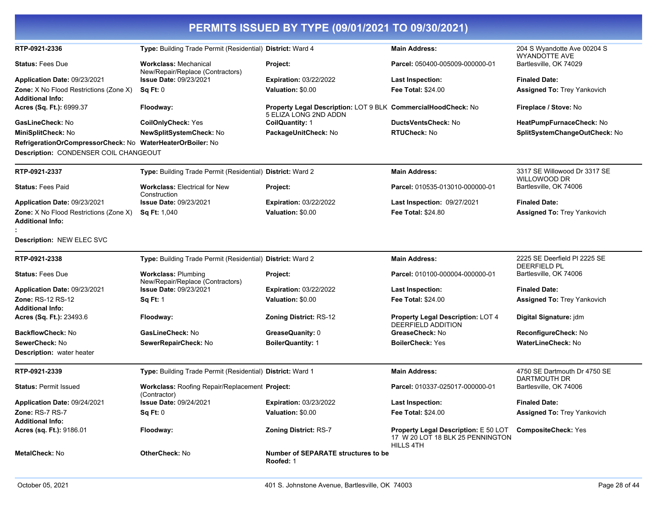| PERMITS ISSUED BY TYPE (09/01/2021 TO 09/30/2021)                        |                                                                  |                                                                                        |                                                                                              |                                                     |  |
|--------------------------------------------------------------------------|------------------------------------------------------------------|----------------------------------------------------------------------------------------|----------------------------------------------------------------------------------------------|-----------------------------------------------------|--|
| RTP-0921-2336                                                            | Type: Building Trade Permit (Residential) District: Ward 4       |                                                                                        | <b>Main Address:</b>                                                                         | 204 S Wyandotte Ave 00204 S<br><b>WYANDOTTE AVE</b> |  |
| <b>Status: Fees Due</b>                                                  | <b>Workclass: Mechanical</b><br>New/Repair/Replace (Contractors) | Project:                                                                               | Parcel: 050400-005009-000000-01                                                              | Bartlesville, OK 74029                              |  |
| Application Date: 09/23/2021                                             | <b>Issue Date: 09/23/2021</b>                                    | <b>Expiration: 03/22/2022</b>                                                          | <b>Last Inspection:</b>                                                                      | <b>Finaled Date:</b>                                |  |
| <b>Zone:</b> X No Flood Restrictions (Zone X)<br><b>Additional Info:</b> | Sq Ft: 0                                                         | Valuation: \$0.00                                                                      | <b>Fee Total: \$24.00</b>                                                                    | <b>Assigned To: Trey Yankovich</b>                  |  |
| Acres (Sq. Ft.): 6999.37                                                 | Floodway:                                                        | Property Legal Description: LOT 9 BLK CommercialHoodCheck: No<br>5 ELIZA LONG 2ND ADDN |                                                                                              | Fireplace / Stove: No                               |  |
| GasLineCheck: No                                                         | <b>CoilOnlyCheck: Yes</b>                                        | CoilQuantity: 1                                                                        | <b>DuctsVentsCheck: No</b>                                                                   | HeatPumpFurnaceCheck: No                            |  |
| MiniSplitCheck: No                                                       | NewSplitSystemCheck: No                                          | PackageUnitCheck: No                                                                   | <b>RTUCheck: No</b>                                                                          | SplitSystemChangeOutCheck: No                       |  |
| RefrigerationOrCompressorCheck: No WaterHeaterOrBoiler: No               |                                                                  |                                                                                        |                                                                                              |                                                     |  |
| Description: CONDENSER COIL CHANGEOUT                                    |                                                                  |                                                                                        |                                                                                              |                                                     |  |
| RTP-0921-2337                                                            | Type: Building Trade Permit (Residential) District: Ward 2       |                                                                                        | <b>Main Address:</b>                                                                         | 3317 SE Willowood Dr 3317 SE<br>WILLOWOOD DR        |  |
| <b>Status: Fees Paid</b>                                                 | <b>Workclass: Electrical for New</b><br>Construction             | Project:                                                                               | Parcel: 010535-013010-000000-01                                                              | Bartlesville, OK 74006                              |  |
| Application Date: 09/23/2021                                             | <b>Issue Date: 09/23/2021</b>                                    | <b>Expiration: 03/22/2022</b>                                                          | Last Inspection: 09/27/2021                                                                  | <b>Finaled Date:</b>                                |  |
| <b>Zone:</b> X No Flood Restrictions (Zone X)<br><b>Additional Info:</b> | <b>Sq Ft: 1,040</b>                                              | Valuation: \$0.00                                                                      | <b>Fee Total: \$24.80</b>                                                                    | Assigned To: Trey Yankovich                         |  |
| Description: NEW ELEC SVC                                                |                                                                  |                                                                                        |                                                                                              |                                                     |  |
| RTP-0921-2338                                                            | Type: Building Trade Permit (Residential) District: Ward 2       |                                                                                        | <b>Main Address:</b>                                                                         | 2225 SE Deerfield PI 2225 SE<br><b>DEERFIELD PL</b> |  |
| <b>Status: Fees Due</b>                                                  | <b>Workclass: Plumbing</b><br>New/Repair/Replace (Contractors)   | Project:                                                                               | Parcel: 010100-000004-000000-01                                                              | Bartlesville, OK 74006                              |  |
| Application Date: 09/23/2021                                             | <b>Issue Date: 09/23/2021</b>                                    | <b>Expiration: 03/22/2022</b>                                                          | <b>Last Inspection:</b>                                                                      | <b>Finaled Date:</b>                                |  |
| Zone: RS-12 RS-12                                                        | <b>Sq Ft: 1</b>                                                  | Valuation: \$0.00                                                                      | <b>Fee Total: \$24.00</b>                                                                    | <b>Assigned To: Trey Yankovich</b>                  |  |
| <b>Additional Info:</b><br>Acres (Sq. Ft.): 23493.6                      | Floodway:                                                        | Zoning District: RS-12                                                                 | Property Legal Description: LOT 4<br><b>DEERFIELD ADDITION</b>                               | Digital Signature: jdm                              |  |
| <b>BackflowCheck: No</b>                                                 | GasLineCheck: No                                                 | GreaseQuanity: 0                                                                       | GreaseCheck: No                                                                              | ReconfigureCheck: No                                |  |
| SewerCheck: No                                                           | SewerRepairCheck: No                                             | <b>BoilerQuantity: 1</b>                                                               | <b>BoilerCheck: Yes</b>                                                                      | <b>WaterLineCheck: No</b>                           |  |
| <b>Description:</b> water heater                                         |                                                                  |                                                                                        |                                                                                              |                                                     |  |
| RTP-0921-2339                                                            | Type: Building Trade Permit (Residential) District: Ward 1       |                                                                                        | <b>Main Address:</b>                                                                         | 4750 SE Dartmouth Dr 4750 SE<br>DARTMOUTH DR        |  |
| <b>Status: Permit Issued</b>                                             | Workclass: Roofing Repair/Replacement Project:<br>(Contractor)   |                                                                                        | Parcel: 010337-025017-000000-01                                                              | Bartlesville, OK 74006                              |  |
| Application Date: 09/24/2021                                             | <b>Issue Date: 09/24/2021</b>                                    | <b>Expiration: 03/23/2022</b>                                                          | <b>Last Inspection:</b>                                                                      | <b>Finaled Date:</b>                                |  |
| Zone: RS-7 RS-7<br><b>Additional Info:</b>                               | Sq Ft: 0                                                         | Valuation: \$0.00                                                                      | <b>Fee Total: \$24.00</b>                                                                    | Assigned To: Trey Yankovich                         |  |
| Acres (sq. Ft.): 9186.01                                                 | Floodway:                                                        | <b>Zoning District: RS-7</b>                                                           | <b>Property Legal Description: E 50 LOT</b><br>17 W 20 LOT 18 BLK 25 PENNINGTON<br>HILLS 4TH | <b>CompositeCheck: Yes</b>                          |  |
| <b>MetalCheck: No</b>                                                    | <b>OtherCheck: No</b>                                            | <b>Number of SEPARATE structures to be</b><br>Roofed: 1                                |                                                                                              |                                                     |  |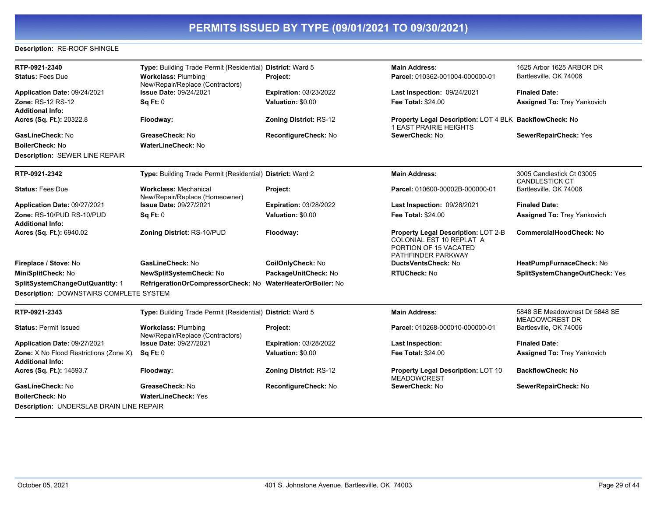#### **Description:** RE-ROOF SHINGLE

| RTP-0921-2340<br><b>Status: Fees Due</b>                                 | Type: Building Trade Permit (Residential) District: Ward 5<br><b>Workclass: Plumbing</b><br>New/Repair/Replace (Contractors) | Project:                      | <b>Main Address:</b><br>Parcel: 010362-001004-000000-01                                                        | 1625 Arbor 1625 ARBOR DR<br>Bartlesville, OK 74006      |
|--------------------------------------------------------------------------|------------------------------------------------------------------------------------------------------------------------------|-------------------------------|----------------------------------------------------------------------------------------------------------------|---------------------------------------------------------|
| Application Date: 09/24/2021                                             | <b>Issue Date: 09/24/2021</b>                                                                                                | <b>Expiration: 03/23/2022</b> | <b>Last Inspection: 09/24/2021</b>                                                                             | <b>Finaled Date:</b>                                    |
| Zone: RS-12 RS-12                                                        | Sq Ft: 0                                                                                                                     | Valuation: \$0.00             | <b>Fee Total: \$24.00</b>                                                                                      | <b>Assigned To: Trey Yankovich</b>                      |
| <b>Additional Info:</b>                                                  |                                                                                                                              |                               |                                                                                                                |                                                         |
| Acres (Sq. Ft.): 20322.8                                                 | Floodway:                                                                                                                    | <b>Zoning District: RS-12</b> | Property Legal Description: LOT 4 BLK BackflowCheck: No<br><b>1 EAST PRAIRIE HEIGHTS</b>                       |                                                         |
| GasLineCheck: No                                                         | GreaseCheck: No                                                                                                              | ReconfigureCheck: No          | SewerCheck: No                                                                                                 | SewerRepairCheck: Yes                                   |
| <b>BoilerCheck: No</b>                                                   | WaterLineCheck: No                                                                                                           |                               |                                                                                                                |                                                         |
| Description: SEWER LINE REPAIR                                           |                                                                                                                              |                               |                                                                                                                |                                                         |
| RTP-0921-2342                                                            | Type: Building Trade Permit (Residential) District: Ward 2                                                                   |                               | <b>Main Address:</b>                                                                                           | 3005 Candlestick Ct 03005<br>CANDLESTICK CT             |
| <b>Status: Fees Due</b>                                                  | <b>Workclass: Mechanical</b><br>New/Repair/Replace (Homeowner)                                                               | Project:                      | Parcel: 010600-00002B-000000-01                                                                                | Bartlesville, OK 74006                                  |
| Application Date: 09/27/2021                                             | <b>Issue Date: 09/27/2021</b>                                                                                                | <b>Expiration: 03/28/2022</b> | Last Inspection: 09/28/2021                                                                                    | <b>Finaled Date:</b>                                    |
| Zone: RS-10/PUD RS-10/PUD<br><b>Additional Info:</b>                     | Sq Ft: 0                                                                                                                     | Valuation: \$0.00             | <b>Fee Total: \$24.00</b>                                                                                      | <b>Assigned To: Trey Yankovich</b>                      |
| Acres (Sq. Ft.): 6940.02                                                 | Zoning District: RS-10/PUD                                                                                                   | Floodway:                     | Property Legal Description: LOT 2-B<br>COLONIAL EST 10 REPLAT A<br>PORTION OF 15 VACATED<br>PATHFINDER PARKWAY | <b>CommercialHoodCheck: No</b>                          |
| Fireplace / Stove: No                                                    | GasLineCheck: No                                                                                                             | CoilOnlyCheck: No             | DuctsVentsCheck: No                                                                                            | HeatPumpFurnaceCheck: No                                |
| MiniSplitCheck: No                                                       | NewSplitSystemCheck: No                                                                                                      | PackageUnitCheck: No          | <b>RTUCheck: No</b>                                                                                            | SplitSystemChangeOutCheck: Yes                          |
| SplitSystemChangeOutQuantity: 1                                          | RefrigerationOrCompressorCheck: No WaterHeaterOrBoiler: No                                                                   |                               |                                                                                                                |                                                         |
| Description: DOWNSTAIRS COMPLETE SYSTEM                                  |                                                                                                                              |                               |                                                                                                                |                                                         |
| RTP-0921-2343                                                            | Type: Building Trade Permit (Residential) District: Ward 5                                                                   |                               | <b>Main Address:</b>                                                                                           | 5848 SE Meadowcrest Dr 5848 SE<br><b>MEADOWCREST DR</b> |
| <b>Status: Permit Issued</b>                                             | <b>Workclass: Plumbing</b><br>New/Repair/Replace (Contractors)                                                               | Project:                      | Parcel: 010268-000010-000000-01                                                                                | Bartlesville, OK 74006                                  |
| Application Date: 09/27/2021                                             | <b>Issue Date: 09/27/2021</b>                                                                                                | <b>Expiration: 03/28/2022</b> | <b>Last Inspection:</b>                                                                                        | <b>Finaled Date:</b>                                    |
| <b>Zone:</b> X No Flood Restrictions (Zone X)<br><b>Additional Info:</b> | Sq Ft: 0                                                                                                                     | Valuation: \$0.00             | <b>Fee Total: \$24.00</b>                                                                                      | <b>Assigned To: Trey Yankovich</b>                      |
| Acres (Sq. Ft.): 14593.7                                                 | Floodway:                                                                                                                    | <b>Zoning District: RS-12</b> | Property Legal Description: LOT 10<br><b>MEADOWCREST</b>                                                       | BackflowCheck: No                                       |
| GasLineCheck: No                                                         | GreaseCheck: No                                                                                                              | ReconfigureCheck: No          | SewerCheck: No                                                                                                 | SewerRepairCheck: No                                    |
| <b>BoilerCheck: No</b>                                                   | <b>WaterLineCheck: Yes</b>                                                                                                   |                               |                                                                                                                |                                                         |
| Description: UNDERSLAB DRAIN LINE REPAIR                                 |                                                                                                                              |                               |                                                                                                                |                                                         |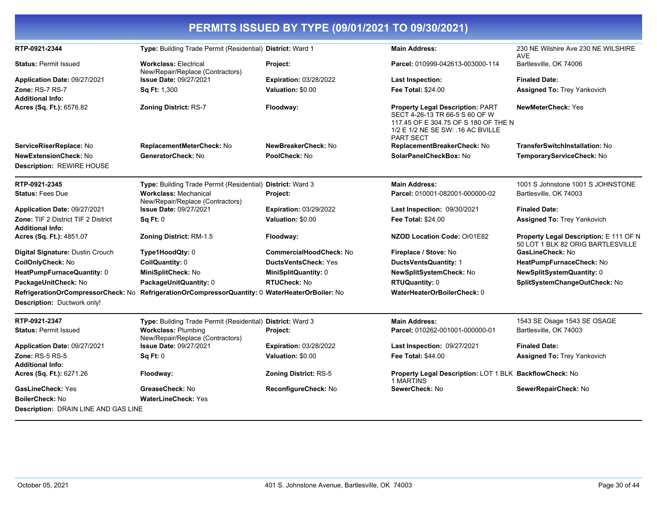| PERMITS ISSUED BY TYPE (09/01/2021 TO 09/30/2021)              |                                                                                                 |                                |                                                                                                                                                                            |                                                                             |
|----------------------------------------------------------------|-------------------------------------------------------------------------------------------------|--------------------------------|----------------------------------------------------------------------------------------------------------------------------------------------------------------------------|-----------------------------------------------------------------------------|
| RTP-0921-2344                                                  | Type: Building Trade Permit (Residential) District: Ward 1                                      |                                | <b>Main Address:</b>                                                                                                                                                       | 230 NE Wilshire Ave 230 NE WILSHIRE<br><b>AVE</b>                           |
| <b>Status: Permit Issued</b>                                   | <b>Workclass: Electrical</b><br>New/Repair/Replace (Contractors)                                | Project:                       | Parcel: 010999-042613-003000-114                                                                                                                                           | Bartlesville, OK 74006                                                      |
| Application Date: 09/27/2021                                   | <b>Issue Date: 09/27/2021</b>                                                                   | <b>Expiration: 03/28/2022</b>  | <b>Last Inspection:</b>                                                                                                                                                    | <b>Finaled Date:</b>                                                        |
| <b>Zone: RS-7 RS-7</b><br><b>Additional Info:</b>              | Sq Ft: 1,300                                                                                    | Valuation: \$0.00              | <b>Fee Total: \$24.00</b>                                                                                                                                                  | <b>Assigned To: Trey Yankovich</b>                                          |
| Acres (Sq. Ft.): 6576.82                                       | <b>Zoning District: RS-7</b>                                                                    | Floodway:                      | <b>Property Legal Description: PART</b><br>SECT 4-26-13 TR 66-5 S 60 OF W<br>117.45 OF E 304.75 OF S 180 OF THE N<br>1/2 E 1/2 NE SE SW: .16 AC BVILLE<br><b>PART SECT</b> | <b>NewMeterCheck: Yes</b>                                                   |
| ServiceRiserReplace: No                                        | ReplacementMeterCheck: No                                                                       | NewBreakerCheck: No            | ReplacementBreakerCheck: No                                                                                                                                                | <b>TransferSwitchInstallation: No</b>                                       |
| <b>NewExtensionCheck: No</b><br>Description: REWIRE HOUSE      | GeneratorCheck: No                                                                              | PoolCheck: No                  | SolarPanelCheckBox: No                                                                                                                                                     | TemporaryServiceCheck: No                                                   |
| RTP-0921-2345                                                  | Type: Building Trade Permit (Residential) District: Ward 3                                      |                                | <b>Main Address:</b>                                                                                                                                                       | 1001 S Johnstone 1001 S JOHNSTONE                                           |
| <b>Status: Fees Due</b>                                        | <b>Workclass: Mechanical</b><br>New/Repair/Replace (Contractors)                                | Project:                       | Parcel: 010001-082001-000000-02                                                                                                                                            | Bartlesville, OK 74003                                                      |
| Application Date: 09/27/2021                                   | <b>Issue Date: 09/27/2021</b>                                                                   | <b>Expiration: 03/29/2022</b>  | <b>Last Inspection: 09/30/2021</b>                                                                                                                                         | <b>Finaled Date:</b>                                                        |
| Zone: TIF 2 District TIF 2 District<br><b>Additional Info:</b> | Sq Ft: 0                                                                                        | Valuation: \$0.00              | <b>Fee Total: \$24.00</b>                                                                                                                                                  | <b>Assigned To: Trey Yankovich</b>                                          |
| Acres (Sq. Ft.): 4851.07                                       | <b>Zoning District: RM-1.5</b>                                                                  | Floodway:                      | NZOD Location Code: Or01E82                                                                                                                                                | Property Legal Description: E 111 OF N<br>50 LOT 1 BLK 82 ORIG BARTLESVILLE |
| Digital Signature: Dustin Crouch                               | Type1HoodQty: 0                                                                                 | <b>CommercialHoodCheck: No</b> | Fireplace / Stove: No                                                                                                                                                      | GasLineCheck: No                                                            |
| CoilOnlyCheck: No                                              | CoilQuantity: 0                                                                                 | <b>DuctsVentsCheck: Yes</b>    | DuctsVentsQuantity: 1                                                                                                                                                      | HeatPumpFurnaceCheck: No                                                    |
| HeatPumpFurnaceQuantity: 0                                     | MiniSplitCheck: No                                                                              | MiniSplitQuantity: 0           | NewSplitSystemCheck: No                                                                                                                                                    | NewSplitSystemQuantity: 0                                                   |
| PackageUnitCheck: No                                           | PackageUnitQuantity: 0                                                                          | <b>RTUCheck: No</b>            | <b>RTUQuantity: 0</b>                                                                                                                                                      | SplitSystemChangeOutCheck: No                                               |
| Description: Ductwork only!                                    | RefrigerationOrCompressorCheck: No RefrigerationOrCompressorQuantity: 0 WaterHeaterOrBoiler: No |                                | WaterHeaterOrBoilerCheck: 0                                                                                                                                                |                                                                             |
| RTP-0921-2347                                                  | Type: Building Trade Permit (Residential) District: Ward 3                                      |                                | <b>Main Address:</b>                                                                                                                                                       | 1543 SE Osage 1543 SE OSAGE                                                 |
| <b>Status: Permit Issued</b>                                   | <b>Workclass: Plumbing</b><br>New/Repair/Replace (Contractors)                                  | Project:                       | Parcel: 010262-001001-000000-01                                                                                                                                            | Bartlesville, OK 74003                                                      |
| Application Date: 09/27/2021                                   | <b>Issue Date: 09/27/2021</b>                                                                   | <b>Expiration: 03/28/2022</b>  | <b>Last Inspection: 09/27/2021</b>                                                                                                                                         | <b>Finaled Date:</b>                                                        |
| <b>Zone: RS-5 RS-5</b>                                         | Sq Ft: 0                                                                                        | Valuation: \$0.00              | <b>Fee Total: \$44.00</b>                                                                                                                                                  | <b>Assigned To: Trey Yankovich</b>                                          |
| <b>Additional Info:</b><br>Acres (Sq. Ft.): 6271.26            | Floodway:                                                                                       | <b>Zoning District: RS-5</b>   | Property Legal Description: LOT 1 BLK BackflowCheck: No<br>1 MARTINS                                                                                                       |                                                                             |
| <b>GasLineCheck: Yes</b>                                       | GreaseCheck: No                                                                                 | ReconfigureCheck: No           | SewerCheck: No                                                                                                                                                             | SewerRepairCheck: No                                                        |
| <b>BoilerCheck: No</b>                                         | <b>WaterLineCheck: Yes</b>                                                                      |                                |                                                                                                                                                                            |                                                                             |
| <b>Description: DRAIN LINE AND GAS LINE</b>                    |                                                                                                 |                                |                                                                                                                                                                            |                                                                             |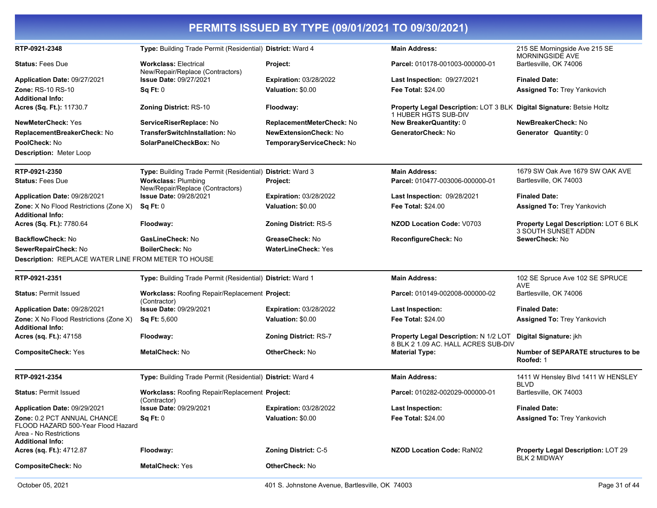| PERMITS ISSUED BY TYPE (09/01/2021 TO 09/30/2021)                                                                      |                                                                  |                               |                                                                                               |                                                                     |
|------------------------------------------------------------------------------------------------------------------------|------------------------------------------------------------------|-------------------------------|-----------------------------------------------------------------------------------------------|---------------------------------------------------------------------|
| RTP-0921-2348                                                                                                          | Type: Building Trade Permit (Residential) District: Ward 4       |                               | <b>Main Address:</b>                                                                          | 215 SE Morningside Ave 215 SE<br>MORNINGSIDE AVE                    |
| <b>Status: Fees Due</b>                                                                                                | <b>Workclass: Electrical</b><br>New/Repair/Replace (Contractors) | Project:                      | Parcel: 010178-001003-000000-01                                                               | Bartlesville, OK 74006                                              |
| <b>Application Date: 09/27/2021</b>                                                                                    | <b>Issue Date: 09/27/2021</b>                                    | <b>Expiration: 03/28/2022</b> | Last Inspection: 09/27/2021                                                                   | <b>Finaled Date:</b>                                                |
| <b>Zone: RS-10 RS-10</b>                                                                                               | Sq Ft: 0                                                         | Valuation: \$0.00             | Fee Total: \$24.00                                                                            | <b>Assigned To: Trey Yankovich</b>                                  |
| <b>Additional Info:</b>                                                                                                |                                                                  |                               |                                                                                               |                                                                     |
| Acres (Sq. Ft.): 11730.7                                                                                               | <b>Zoning District: RS-10</b>                                    | Floodway:                     | Property Legal Description: LOT 3 BLK Digital Signature: Betsie Holtz<br>1 HUBER HGTS SUB-DIV |                                                                     |
| <b>NewMeterCheck: Yes</b>                                                                                              | ServiceRiserReplace: No                                          | ReplacementMeterCheck: No     | New BreakerQuantity: 0                                                                        | NewBreakerCheck: No                                                 |
| ReplacementBreakerCheck: No                                                                                            | TransferSwitchInstallation: No                                   | <b>NewExtensionCheck: No</b>  | GeneratorCheck: No                                                                            | Generator Quantity: 0                                               |
| PoolCheck: No                                                                                                          | SolarPanelCheckBox: No                                           | TemporaryServiceCheck: No     |                                                                                               |                                                                     |
| <b>Description: Meter Loop</b>                                                                                         |                                                                  |                               |                                                                                               |                                                                     |
| RTP-0921-2350                                                                                                          | Type: Building Trade Permit (Residential) District: Ward 3       |                               | <b>Main Address:</b>                                                                          | 1679 SW Oak Ave 1679 SW OAK AVE                                     |
| <b>Status: Fees Due</b>                                                                                                | <b>Workclass: Plumbing</b><br>New/Repair/Replace (Contractors)   | Project:                      | Parcel: 010477-003006-000000-01                                                               | Bartlesville, OK 74003                                              |
| Application Date: 09/28/2021                                                                                           | <b>Issue Date: 09/28/2021</b>                                    | <b>Expiration: 03/28/2022</b> | <b>Last Inspection: 09/28/2021</b>                                                            | <b>Finaled Date:</b>                                                |
| <b>Zone:</b> X No Flood Restrictions (Zone X)<br><b>Additional Info:</b>                                               | Sq Ft: 0                                                         | Valuation: \$0.00             | <b>Fee Total: \$24.00</b>                                                                     | <b>Assigned To: Trey Yankovich</b>                                  |
| Acres (Sq. Ft.): 7780.64                                                                                               | Floodway:                                                        | <b>Zoning District: RS-5</b>  | <b>NZOD Location Code: V0703</b>                                                              | Property Legal Description: LOT 6 BLK<br><b>3 SOUTH SUNSET ADDN</b> |
| <b>BackflowCheck: No</b>                                                                                               | GasLineCheck: No                                                 | GreaseCheck: No               | ReconfigureCheck: No                                                                          | SewerCheck: No                                                      |
| SewerRepairCheck: No                                                                                                   | <b>BoilerCheck: No</b>                                           | <b>WaterLineCheck: Yes</b>    |                                                                                               |                                                                     |
| Description: REPLACE WATER LINE FROM METER TO HOUSE                                                                    |                                                                  |                               |                                                                                               |                                                                     |
| RTP-0921-2351                                                                                                          | Type: Building Trade Permit (Residential) District: Ward 1       |                               | <b>Main Address:</b>                                                                          | 102 SE Spruce Ave 102 SE SPRUCE<br><b>AVE</b>                       |
| <b>Status: Permit Issued</b>                                                                                           | Workclass: Roofing Repair/Replacement Project:<br>(Contractor)   |                               | Parcel: 010149-002008-000000-02                                                               | Bartlesville, OK 74006                                              |
| Application Date: 09/28/2021                                                                                           | <b>Issue Date: 09/29/2021</b>                                    | <b>Expiration: 03/28/2022</b> | Last Inspection:                                                                              | <b>Finaled Date:</b>                                                |
| Zone: X No Flood Restrictions (Zone X)<br><b>Additional Info:</b>                                                      | <b>Sq Ft: 5,600</b>                                              | Valuation: \$0.00             | <b>Fee Total: \$24.00</b>                                                                     | <b>Assigned To: Trey Yankovich</b>                                  |
| Acres (sq. Ft.): 47158                                                                                                 | Floodway:                                                        | <b>Zoning District: RS-7</b>  | Property Legal Description: N 1/2 LOT<br>8 BLK 2 1.09 AC. HALL ACRES SUB-DIV                  | Digital Signature: jkh                                              |
| <b>CompositeCheck: Yes</b>                                                                                             | <b>MetalCheck: No</b>                                            | <b>OtherCheck: No</b>         | <b>Material Type:</b>                                                                         | Number of SEPARATE structures to be<br>Roofed: 1                    |
| RTP-0921-2354                                                                                                          | Type: Building Trade Permit (Residential) District: Ward 4       |                               | <b>Main Address:</b>                                                                          | 1411 W Hensley Blvd 1411 W HENSLEY<br><b>BLVD</b>                   |
| <b>Status: Permit Issued</b>                                                                                           | Workclass: Roofing Repair/Replacement Project:<br>(Contractor)   |                               | Parcel: 010282-002029-000000-01                                                               | Bartlesville, OK 74003                                              |
| Application Date: 09/29/2021                                                                                           | <b>Issue Date: 09/29/2021</b>                                    | <b>Expiration: 03/28/2022</b> | Last Inspection:                                                                              | <b>Finaled Date:</b>                                                |
| Zone: 0.2 PCT ANNUAL CHANCE<br>FLOOD HAZARD 500-Year Flood Hazard<br>Area - No Restrictions<br><b>Additional Info:</b> | Sq Ft: 0                                                         | Valuation: \$0.00             | <b>Fee Total: \$24.00</b>                                                                     | <b>Assigned To: Trey Yankovich</b>                                  |
| Acres (sq. Ft.): 4712.87                                                                                               | Floodway:                                                        | <b>Zoning District: C-5</b>   | <b>NZOD Location Code: RaN02</b>                                                              | <b>Property Legal Description: LOT 29</b><br><b>BLK 2 MIDWAY</b>    |
| <b>CompositeCheck: No</b>                                                                                              | <b>MetalCheck: Yes</b>                                           | OtherCheck: No                |                                                                                               |                                                                     |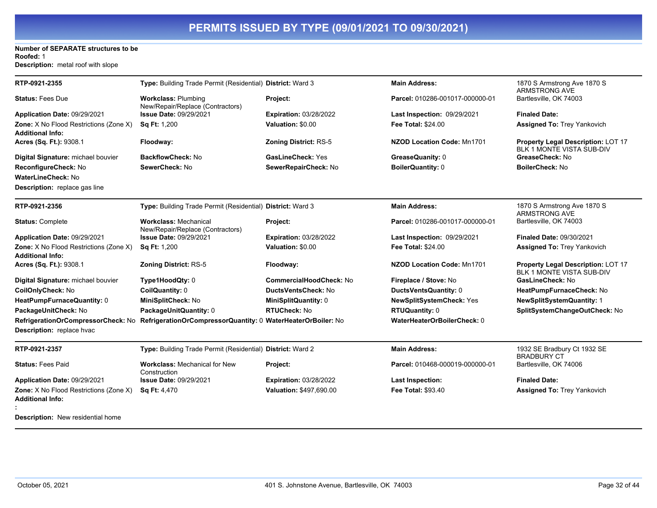#### **Number of SEPARATE structures to be Roofed:** 1

**Description:** metal roof with slope

| RTP-0921-2355                                                            | Type: Building Trade Permit (Residential) District: Ward 3       |                                | <b>Main Address:</b>              | 1870 S Armstrong Ave 1870 S<br><b>ARMSTRONG AVE</b>                    |
|--------------------------------------------------------------------------|------------------------------------------------------------------|--------------------------------|-----------------------------------|------------------------------------------------------------------------|
| <b>Status: Fees Due</b>                                                  | <b>Workclass: Plumbing</b><br>New/Repair/Replace (Contractors)   | Project:                       | Parcel: 010286-001017-000000-01   | Bartlesville, OK 74003                                                 |
| Application Date: 09/29/2021                                             | <b>Issue Date: 09/29/2021</b>                                    | <b>Expiration: 03/28/2022</b>  | Last Inspection: 09/29/2021       | <b>Finaled Date:</b>                                                   |
| <b>Zone:</b> X No Flood Restrictions (Zone X)<br><b>Additional Info:</b> | <b>Sq Ft: 1,200</b>                                              | <b>Valuation: \$0.00</b>       | <b>Fee Total: \$24.00</b>         | <b>Assigned To: Trey Yankovich</b>                                     |
| Acres (Sq. Ft.): 9308.1                                                  | Floodway:                                                        | <b>Zoning District: RS-5</b>   | <b>NZOD Location Code: Mn1701</b> | Property Legal Description: LOT 17<br><b>BLK 1 MONTE VISTA SUB-DIV</b> |
| Digital Signature: michael bouvier                                       | <b>BackflowCheck: No</b>                                         | <b>GasLineCheck: Yes</b>       | GreaseQuanity: 0                  | GreaseCheck: No                                                        |
| ReconfigureCheck: No                                                     | SewerCheck: No                                                   | SewerRepairCheck: No           | BoilerQuantity: 0                 | <b>BoilerCheck: No</b>                                                 |
| <b>WaterLineCheck: No</b>                                                |                                                                  |                                |                                   |                                                                        |
| <b>Description:</b> replace gas line                                     |                                                                  |                                |                                   |                                                                        |
| RTP-0921-2356                                                            | Type: Building Trade Permit (Residential) District: Ward 3       |                                | <b>Main Address:</b>              | 1870 S Armstrong Ave 1870 S<br><b>ARMSTRONG AVE</b>                    |
| <b>Status: Complete</b>                                                  | <b>Workclass: Mechanical</b><br>New/Repair/Replace (Contractors) | Project:                       | Parcel: 010286-001017-000000-01   | Bartlesville, OK 74003                                                 |
| Application Date: 09/29/2021                                             | <b>Issue Date: 09/29/2021</b>                                    | <b>Expiration: 03/28/2022</b>  | Last Inspection: 09/29/2021       | <b>Finaled Date: 09/30/2021</b>                                        |
| Zone: X No Flood Restrictions (Zone X)<br><b>Additional Info:</b>        | <b>Sq Ft: 1,200</b>                                              | Valuation: \$0.00              | <b>Fee Total: \$24.00</b>         | <b>Assigned To: Trey Yankovich</b>                                     |
| Acres (Sq. Ft.): 9308.1                                                  | <b>Zoning District: RS-5</b>                                     | Floodway:                      | <b>NZOD Location Code: Mn1701</b> | Property Legal Description: LOT 17<br><b>BLK 1 MONTE VISTA SUB-DIV</b> |
| Digital Signature: michael bouvier                                       | Type1HoodQty: 0                                                  | <b>CommercialHoodCheck: No</b> | Fireplace / Stove: No             | GasLineCheck: No                                                       |
| CoilOnlyCheck: No                                                        | CoilQuantity: 0                                                  | DuctsVentsCheck: No            | DuctsVentsQuantity: 0             | HeatPumpFurnaceCheck: No                                               |
| HeatPumpFurnaceQuantity: 0                                               | MiniSplitCheck: No                                               | MiniSplitQuantity: 0           | <b>NewSplitSystemCheck: Yes</b>   | <b>NewSplitSystemQuantity: 1</b>                                       |
| PackageUnitCheck: No                                                     | PackageUnitQuantity: 0                                           | <b>RTUCheck: No</b>            | RTUQuantity: 0                    | SplitSystemChangeOutCheck: No                                          |
| RefrigerationOrCompressorCheck: No                                       | RefrigerationOrCompressorQuantity: 0 WaterHeaterOrBoiler: No     |                                | WaterHeaterOrBoilerCheck: 0       |                                                                        |
| Description: replace hvac                                                |                                                                  |                                |                                   |                                                                        |
| RTP-0921-2357                                                            | Type: Building Trade Permit (Residential) District: Ward 2       |                                | <b>Main Address:</b>              | 1932 SE Bradbury Ct 1932 SE<br><b>BRADBURY CT</b>                      |
| <b>Status: Fees Paid</b>                                                 | <b>Workclass: Mechanical for New</b><br>Construction             | Project:                       | Parcel: 010468-000019-000000-01   | Bartlesville, OK 74006                                                 |
| Application Date: 09/29/2021                                             | <b>Issue Date: 09/29/2021</b>                                    | <b>Expiration: 03/28/2022</b>  | Last Inspection:                  | <b>Finaled Date:</b>                                                   |
| Zone: X No Flood Restrictions (Zone X)<br><b>Additional Info:</b>        | <b>Sq Ft: 4,470</b>                                              | Valuation: \$497,690.00        | Fee Total: \$93.40                | <b>Assigned To: Trey Yankovich</b>                                     |
| <b>Description:</b> New residential home                                 |                                                                  |                                |                                   |                                                                        |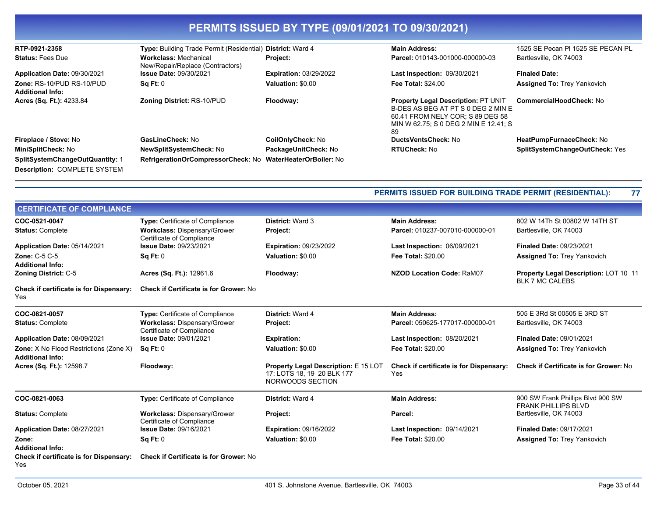| PERMITS ISSUED BY TYPE (09/01/2021 TO 09/30/2021)                             |                                                                  |                               |                                                                                                                                                              |                                    |
|-------------------------------------------------------------------------------|------------------------------------------------------------------|-------------------------------|--------------------------------------------------------------------------------------------------------------------------------------------------------------|------------------------------------|
| RTP-0921-2358                                                                 | <b>Type:</b> Building Trade Permit (Residential)                 | <b>District: Ward 4</b>       | <b>Main Address:</b>                                                                                                                                         | 1525 SE Pecan PI 1525 SE PECAN PL  |
| <b>Status: Fees Due</b>                                                       | <b>Workclass: Mechanical</b><br>New/Repair/Replace (Contractors) | <b>Project:</b>               | Parcel: 010143-001000-000000-03                                                                                                                              | Bartlesville, OK 74003             |
| Application Date: 09/30/2021                                                  | <b>Issue Date: 09/30/2021</b>                                    | <b>Expiration: 03/29/2022</b> | <b>Last Inspection: 09/30/2021</b>                                                                                                                           | <b>Finaled Date:</b>               |
| Zone: RS-10/PUD RS-10/PUD<br><b>Additional Info:</b>                          | Sq Ft: 0                                                         | Valuation: \$0.00             | <b>Fee Total: \$24.00</b>                                                                                                                                    | <b>Assigned To: Trey Yankovich</b> |
| Acres (Sq. Ft.): 4233.84                                                      | <b>Zoning District: RS-10/PUD</b>                                | Floodway:                     | Property Legal Description: PT UNIT<br>B-DES AS BEG AT PT S 0 DEG 2 MIN E<br>60.41 FROM NELY COR: S 89 DEG 58<br>MIN W 62.75; S 0 DEG 2 MIN E 12.41; S<br>89 | <b>CommercialHoodCheck: No</b>     |
| Fireplace / Stove: No                                                         | GasLineCheck: No                                                 | <b>CoilOnlyCheck: No</b>      | DuctsVentsCheck: No                                                                                                                                          | HeatPumpFurnaceCheck: No           |
| MiniSplitCheck: No                                                            | <b>NewSplitSystemCheck: No</b>                                   | PackageUnitCheck: No          | <b>RTUCheck: No</b>                                                                                                                                          | SplitSystemChangeOutCheck: Yes     |
| <b>SplitSystemChangeOutQuantity: 1</b><br><b>Description: COMPLETE SYSTEM</b> | RefrigerationOrCompressorCheck: No WaterHeaterOrBoiler: No       |                               |                                                                                                                                                              |                                    |

| <b>PERMITS ISSUED FOR BUILDING TRADE PERMIT (RESIDENTIAL):</b> | 77 |
|----------------------------------------------------------------|----|
|----------------------------------------------------------------|----|

| <b>CERTIFICATE OF COMPLIANCE</b>                                         |                                                                  |                                                                                               |                                                       |                                                                 |
|--------------------------------------------------------------------------|------------------------------------------------------------------|-----------------------------------------------------------------------------------------------|-------------------------------------------------------|-----------------------------------------------------------------|
| COC-0521-0047                                                            | <b>Type: Certificate of Compliance</b>                           | <b>District: Ward 3</b>                                                                       | <b>Main Address:</b>                                  | 802 W 14Th St 00802 W 14TH ST                                   |
| <b>Status: Complete</b>                                                  | <b>Workclass: Dispensary/Grower</b><br>Certificate of Compliance | Project:                                                                                      | Parcel: 010237-007010-000000-01                       | Bartlesville, OK 74003                                          |
| Application Date: 05/14/2021                                             | <b>Issue Date: 09/23/2021</b>                                    | <b>Expiration: 09/23/2022</b>                                                                 | Last Inspection: 06/09/2021                           | <b>Finaled Date: 09/23/2021</b>                                 |
| <b>Zone: C-5 C-5</b>                                                     | <b>Sq Ft: 0</b>                                                  | Valuation: \$0.00                                                                             | <b>Fee Total: \$20.00</b>                             | <b>Assigned To: Trey Yankovich</b>                              |
| <b>Additional Info:</b>                                                  |                                                                  |                                                                                               |                                                       |                                                                 |
| <b>Zoning District: C-5</b>                                              | Acres (Sq. Ft.): 12961.6                                         | Floodway:                                                                                     | <b>NZOD Location Code: RaM07</b>                      | Property Legal Description: LOT 10 11<br><b>BLK 7 MC CALEBS</b> |
| Check if certificate is for Dispensary:<br>Yes                           | <b>Check if Certificate is for Grower: No</b>                    |                                                                                               |                                                       |                                                                 |
| COC-0821-0057                                                            | <b>Type: Certificate of Compliance</b>                           | <b>District: Ward 4</b>                                                                       | <b>Main Address:</b>                                  | 505 E 3Rd St 00505 E 3RD ST                                     |
| <b>Status: Complete</b>                                                  | <b>Workclass: Dispensary/Grower</b><br>Certificate of Compliance | Project:                                                                                      | Parcel: 050625-177017-000000-01                       | Bartlesville, OK 74003                                          |
| Application Date: 08/09/2021                                             | <b>Issue Date: 09/01/2021</b>                                    | <b>Expiration:</b>                                                                            | Last Inspection: 08/20/2021                           | <b>Finaled Date: 09/01/2021</b>                                 |
| <b>Zone:</b> X No Flood Restrictions (Zone X)<br><b>Additional Info:</b> | SqFt:0                                                           | Valuation: \$0.00                                                                             | Fee Total: \$20.00                                    | <b>Assigned To: Trey Yankovich</b>                              |
| Acres (Sq. Ft.): 12598.7                                                 | Floodway:                                                        | <b>Property Legal Description: E 15 LOT</b><br>17: LOTS 18, 19 20 BLK 177<br>NORWOODS SECTION | <b>Check if certificate is for Dispensary:</b><br>Yes | <b>Check if Certificate is for Grower: No</b>                   |
| COC-0821-0063                                                            | <b>Type:</b> Certificate of Compliance                           | <b>District: Ward 4</b>                                                                       | <b>Main Address:</b>                                  | 900 SW Frank Phillips Blvd 900 SW<br><b>FRANK PHILLIPS BLVD</b> |
| <b>Status: Complete</b>                                                  | <b>Workclass: Dispensary/Grower</b><br>Certificate of Compliance | Project:                                                                                      | Parcel:                                               | Bartlesville, OK 74003                                          |
| Application Date: 08/27/2021                                             | <b>Issue Date: 09/16/2021</b>                                    | <b>Expiration: 09/16/2022</b>                                                                 | Last Inspection: 09/14/2021                           | <b>Finaled Date: 09/17/2021</b>                                 |
| Zone:                                                                    | Sq Ft: 0                                                         | Valuation: \$0.00                                                                             | <b>Fee Total: \$20.00</b>                             | <b>Assigned To: Trey Yankovich</b>                              |
| <b>Additional Info:</b>                                                  |                                                                  |                                                                                               |                                                       |                                                                 |
| <b>Check if certificate is for Dispensary:</b><br>Yes                    | <b>Check if Certificate is for Grower: No</b>                    |                                                                                               |                                                       |                                                                 |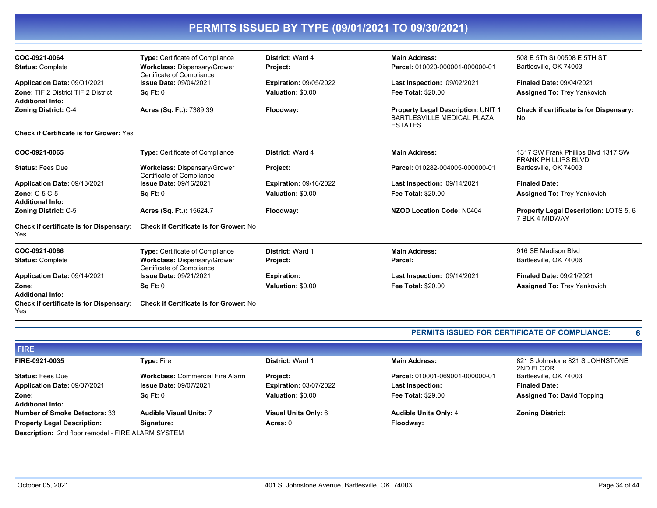| COC-0921-0064                                                         | <b>Type:</b> Certificate of Compliance                           | District: Ward 4              | <b>Main Address:</b>                                                                      | 508 E 5Th St 00508 E 5TH ST                                       |
|-----------------------------------------------------------------------|------------------------------------------------------------------|-------------------------------|-------------------------------------------------------------------------------------------|-------------------------------------------------------------------|
| <b>Status: Complete</b>                                               | <b>Workclass: Dispensary/Grower</b><br>Certificate of Compliance | Project:                      | Parcel: 010020-000001-000000-01                                                           | Bartlesville, OK 74003                                            |
| Application Date: 09/01/2021                                          | <b>Issue Date: 09/04/2021</b>                                    | <b>Expiration: 09/05/2022</b> | <b>Last Inspection: 09/02/2021</b>                                                        | <b>Finaled Date: 09/04/2021</b>                                   |
| <b>Zone: TIF 2 District TIF 2 District</b><br><b>Additional Info:</b> | Sq Ft: 0                                                         | Valuation: \$0.00             | <b>Fee Total: \$20.00</b>                                                                 | <b>Assigned To: Trey Yankovich</b>                                |
| <b>Zoning District: C-4</b>                                           | Acres (Sq. Ft.): 7389.39                                         | Floodway:                     | Property Legal Description: UNIT 1<br><b>BARTLESVILLE MEDICAL PLAZA</b><br><b>ESTATES</b> | Check if certificate is for Dispensary:<br>No.                    |
| <b>Check if Certificate is for Grower: Yes</b>                        |                                                                  |                               |                                                                                           |                                                                   |
| COC-0921-0065                                                         | Type: Certificate of Compliance                                  | District: Ward 4              | <b>Main Address:</b>                                                                      | 1317 SW Frank Phillips Blvd 1317 SW<br><b>FRANK PHILLIPS BLVD</b> |
| <b>Status: Fees Due</b>                                               | Workclass: Dispensary/Grower<br>Certificate of Compliance        | Project:                      | Parcel: 010282-004005-000000-01                                                           | Bartlesville, OK 74003                                            |
| Application Date: 09/13/2021                                          | <b>Issue Date: 09/16/2021</b>                                    | <b>Expiration: 09/16/2022</b> | <b>Last Inspection: 09/14/2021</b>                                                        | <b>Finaled Date:</b>                                              |
| <b>Zone: C-5 C-5</b><br><b>Additional Info:</b>                       | Sq Ft: 0                                                         | Valuation: \$0.00             | <b>Fee Total: \$20.00</b>                                                                 | <b>Assigned To: Trey Yankovich</b>                                |
| <b>Zoning District: C-5</b>                                           | Acres (Sq. Ft.): 15624.7                                         | Floodway:                     | <b>NZOD Location Code: N0404</b>                                                          | <b>Property Legal Description: LOTS 5, 6</b><br>7 BLK 4 MIDWAY    |
| Check if certificate is for Dispensary:<br>Yes                        | <b>Check if Certificate is for Grower: No</b>                    |                               |                                                                                           |                                                                   |
| COC-0921-0066                                                         | <b>Type: Certificate of Compliance</b>                           | <b>District: Ward 1</b>       | <b>Main Address:</b>                                                                      | 916 SE Madison Blvd                                               |
| <b>Status: Complete</b>                                               | <b>Workclass: Dispensary/Grower</b><br>Certificate of Compliance | Project:                      | Parcel:                                                                                   | Bartlesville, OK 74006                                            |
| Application Date: 09/14/2021                                          | <b>Issue Date: 09/21/2021</b>                                    | <b>Expiration:</b>            | <b>Last Inspection: 09/14/2021</b>                                                        | <b>Finaled Date: 09/21/2021</b>                                   |
| Zone:<br><b>Additional Info:</b>                                      | Sq Ft: 0                                                         | Valuation: \$0.00             | <b>Fee Total: \$20.00</b>                                                                 | <b>Assigned To: Trey Yankovich</b>                                |
| <b>Check if certificate is for Dispensary:</b><br>Yes                 | <b>Check if Certificate is for Grower: No</b>                    |                               |                                                                                           |                                                                   |

#### **PERMITS ISSUED FOR CERTIFICATE OF COMPLIANCE: 6**

| <b>FIRE</b>                                        |                                         |                               |                                 |                                              |  |
|----------------------------------------------------|-----------------------------------------|-------------------------------|---------------------------------|----------------------------------------------|--|
| FIRE-0921-0035                                     | <b>Type: Fire</b>                       | <b>District: Ward 1</b>       | <b>Main Address:</b>            | 821 S Johnstone 821 S JOHNSTONE<br>2ND FLOOR |  |
| <b>Status: Fees Due</b>                            | <b>Workclass: Commercial Fire Alarm</b> | Project:                      | Parcel: 010001-069001-000000-01 | Bartlesville, OK 74003                       |  |
| Application Date: 09/07/2021                       | <b>Issue Date: 09/07/2021</b>           | <b>Expiration: 03/07/2022</b> | <b>Last Inspection:</b>         | <b>Finaled Date:</b>                         |  |
| Zone:                                              | Sq Ft: 0                                | Valuation: \$0.00             | <b>Fee Total: \$29.00</b>       | <b>Assigned To: David Topping</b>            |  |
| <b>Additional Info:</b>                            |                                         |                               |                                 |                                              |  |
| <b>Number of Smoke Detectors: 33</b>               | <b>Audible Visual Units: 7</b>          | Visual Units Only: 6          | <b>Audible Units Only: 4</b>    | <b>Zoning District:</b>                      |  |
| <b>Property Legal Description:</b>                 | Signature:                              | Acres: 0                      | Floodway:                       |                                              |  |
| Description: 2nd floor remodel - FIRE ALARM SYSTEM |                                         |                               |                                 |                                              |  |
|                                                    |                                         |                               |                                 |                                              |  |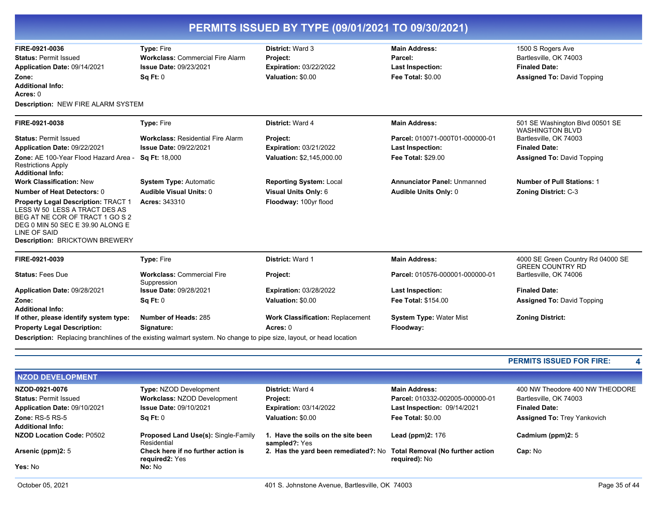| FIRE-0921-0036                                                                                                                                                                                | Type: Fire                                       | District: Ward 3                        | <b>Main Address:</b>               | 1500 S Rogers Ave                                            |
|-----------------------------------------------------------------------------------------------------------------------------------------------------------------------------------------------|--------------------------------------------------|-----------------------------------------|------------------------------------|--------------------------------------------------------------|
| <b>Status: Permit Issued</b>                                                                                                                                                                  | <b>Workclass: Commercial Fire Alarm</b>          | Project:                                | Parcel:                            | Bartlesville, OK 74003                                       |
| Application Date: 09/14/2021                                                                                                                                                                  | <b>Issue Date: 09/23/2021</b>                    | <b>Expiration: 03/22/2022</b>           | <b>Last Inspection:</b>            | <b>Finaled Date:</b>                                         |
| Zone:                                                                                                                                                                                         | <b>Sq Ft: 0</b>                                  | Valuation: \$0.00                       | <b>Fee Total: \$0.00</b>           | <b>Assigned To: David Topping</b>                            |
| <b>Additional Info:</b>                                                                                                                                                                       |                                                  |                                         |                                    |                                                              |
| Acres: $0$                                                                                                                                                                                    |                                                  |                                         |                                    |                                                              |
| <b>Description: NEW FIRE ALARM SYSTEM</b>                                                                                                                                                     |                                                  |                                         |                                    |                                                              |
| FIRE-0921-0038                                                                                                                                                                                | Type: Fire                                       | District: Ward 4                        | <b>Main Address:</b>               | 501 SE Washington Blvd 00501 SE<br><b>WASHINGTON BLVD</b>    |
| <b>Status: Permit Issued</b>                                                                                                                                                                  | <b>Workclass: Residential Fire Alarm</b>         | Project:                                | Parcel: 010071-000T01-000000-01    | Bartlesville, OK 74003                                       |
| Application Date: 09/22/2021                                                                                                                                                                  | <b>Issue Date: 09/22/2021</b>                    | <b>Expiration: 03/21/2022</b>           | <b>Last Inspection:</b>            | <b>Finaled Date:</b>                                         |
| Zone: AE 100-Year Flood Hazard Area -<br><b>Restrictions Apply</b><br><b>Additional Info:</b>                                                                                                 | Sq Ft: 18,000                                    | Valuation: \$2,145,000.00               | <b>Fee Total: \$29.00</b>          | <b>Assigned To: David Topping</b>                            |
| <b>Work Classification: New</b>                                                                                                                                                               | <b>System Type: Automatic</b>                    | <b>Reporting System: Local</b>          | <b>Annunciator Panel: Unmanned</b> | <b>Number of Pull Stations: 1</b>                            |
| <b>Number of Heat Detectors: 0</b>                                                                                                                                                            | <b>Audible Visual Units: 0</b>                   | Visual Units Only: 6                    | Audible Units Only: 0              | <b>Zoning District: C-3</b>                                  |
| Property Legal Description: TRACT 1<br>LESS W 50 LESS A TRACT DES AS<br>BEG AT NE COR OF TRACT 1 GO S 2<br>DEG 0 MIN 50 SEC E 39.90 ALONG E<br>LINE OF SAID<br>Description: BRICKTOWN BREWERY | Acres: 343310                                    | Floodway: 100yr flood                   |                                    |                                                              |
| FIRE-0921-0039                                                                                                                                                                                | Type: Fire                                       | District: Ward 1                        | <b>Main Address:</b>               | 4000 SE Green Country Rd 04000 SE<br><b>GREEN COUNTRY RD</b> |
| <b>Status: Fees Due</b>                                                                                                                                                                       | <b>Workclass: Commercial Fire</b><br>Suppression | Project:                                | Parcel: 010576-000001-000000-01    | Bartlesville, OK 74006                                       |
| Application Date: 09/28/2021                                                                                                                                                                  | <b>Issue Date: 09/28/2021</b>                    | <b>Expiration: 03/28/2022</b>           | <b>Last Inspection:</b>            | <b>Finaled Date:</b>                                         |
| Zone:                                                                                                                                                                                         | Sq Ft: 0                                         | Valuation: \$0.00                       | Fee Total: \$154.00                | <b>Assigned To: David Topping</b>                            |
| <b>Additional Info:</b>                                                                                                                                                                       |                                                  |                                         |                                    |                                                              |
| If other, please identify system type:                                                                                                                                                        | Number of Heads: 285                             | <b>Work Classification: Replacement</b> | <b>System Type: Water Mist</b>     | <b>Zoning District:</b>                                      |
|                                                                                                                                                                                               | Signature:                                       | Acres: 0                                | Floodway:                          |                                                              |
| <b>Property Legal Description:</b>                                                                                                                                                            |                                                  |                                         |                                    |                                                              |

| <b>NZOD DEVELOPMENT</b>                     |                                                                   |                                                                       |                                 |                                    |
|---------------------------------------------|-------------------------------------------------------------------|-----------------------------------------------------------------------|---------------------------------|------------------------------------|
| NZOD-0921-0076                              | Type: NZOD Development                                            | <b>District: Ward 4</b>                                               | <b>Main Address:</b>            | 400 NW Theodore 400 NW THEODORE    |
| <b>Status: Permit Issued</b>                | <b>Workclass: NZOD Development</b>                                | <b>Project:</b>                                                       | Parcel: 010332-002005-000000-01 | Bartlesville, OK 74003             |
| Application Date: 09/10/2021                | <b>Issue Date: 09/10/2021</b>                                     | <b>Expiration: 03/14/2022</b>                                         | Last Inspection: 09/14/2021     | <b>Finaled Date:</b>               |
| Zone: $RS-5RS-5$<br><b>Additional Info:</b> | Sq Ft: 0                                                          | Valuation: \$0.00                                                     | <b>Fee Total: \$0.00</b>        | <b>Assigned To: Trey Yankovich</b> |
| NZOD Location Code: P0502                   | <b>Proposed Land Use(s): Single-Family</b><br>Residential         | 1. Have the soils on the site been<br>sampled?: Yes                   | Lead (ppm) $2:176$              | Cadmium (ppm)2: 5                  |
| Arsenic (ppm)2: 5                           | Check here if no further action is<br>required <sub>2</sub> : Yes | 2. Has the yard been remediated?: No Total Removal (No further action | required): No                   | Cap: No                            |
| Yes: No                                     | <b>No:</b> No                                                     |                                                                       |                                 |                                    |
|                                             |                                                                   |                                                                       |                                 |                                    |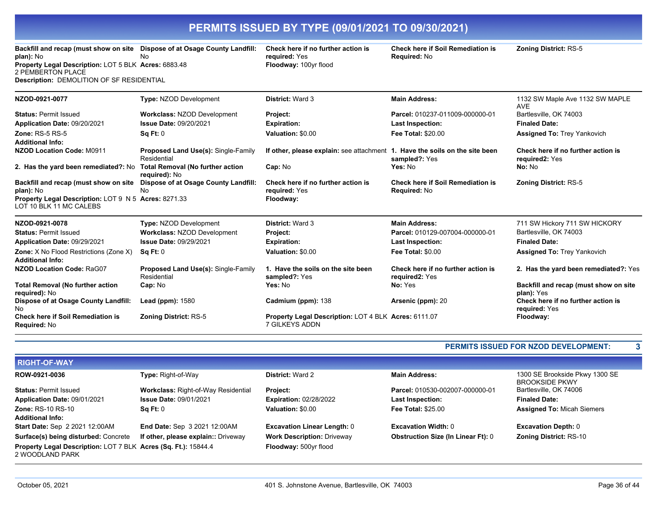**Backfill and recap (must show on site Dispose of at Osage County Landfill: Check here if no further action is plan):** No No Property Legal Description: LOT 5 BLK Acres: 6883.48 2 PEMBERTON PLACE **Description:** DEMOLITION OF SF RESIDENTIAL

**required:** Yes **Floodway: 100yr flood**  **Check here if Soil Remediation is Required:** No

**Zoning District:** RS-5

| NZOD-0921-0077                                                                  | <b>Type: NZOD Development</b>                             | <b>District: Ward 3</b>                                                     | <b>Main Address:</b>                                 | 1132 SW Maple Ave 1132 SW MAPLE<br><b>AVE</b>        |
|---------------------------------------------------------------------------------|-----------------------------------------------------------|-----------------------------------------------------------------------------|------------------------------------------------------|------------------------------------------------------|
| <b>Status: Permit Issued</b>                                                    | <b>Workclass: NZOD Development</b>                        | Project:                                                                    | Parcel: 010237-011009-000000-01                      | Bartlesville, OK 74003                               |
| Application Date: 09/20/2021                                                    | <b>Issue Date: 09/20/2021</b>                             | <b>Expiration:</b>                                                          | <b>Last Inspection:</b>                              | <b>Finaled Date:</b>                                 |
| Zone: $RS-5RS-5$                                                                | Sq Ft: 0                                                  | Valuation: \$0.00                                                           | <b>Fee Total: \$20.00</b>                            | <b>Assigned To: Trey Yankovich</b>                   |
| <b>Additional Info:</b>                                                         |                                                           |                                                                             |                                                      |                                                      |
| <b>NZOD Location Code: M0911</b>                                                | <b>Proposed Land Use(s): Single-Family</b><br>Residential | If other, please explain: see attachment 1. Have the soils on the site been | sampled?: Yes                                        | Check here if no further action is<br>required2: Yes |
| 2. Has the yard been remediated?: No Total Removal (No further action           | required): No                                             | Cap: No                                                                     | Yes: No                                              | No: No                                               |
| Backfill and recap (must show on site                                           | Dispose of at Osage County Landfill:                      | Check here if no further action is                                          | <b>Check here if Soil Remediation is</b>             | <b>Zoning District: RS-5</b>                         |
| plan): No                                                                       | <b>No</b>                                                 | required: Yes                                                               | Required: No                                         |                                                      |
| Property Legal Description: LOT 9 N 5 Acres: 8271.33<br>LOT 10 BLK 11 MC CALEBS |                                                           | Floodway:                                                                   |                                                      |                                                      |
| NZOD-0921-0078                                                                  | Type: NZOD Development                                    | <b>District: Ward 3</b>                                                     | <b>Main Address:</b>                                 | 711 SW Hickory 711 SW HICKORY                        |
| <b>Status: Permit Issued</b>                                                    | <b>Workclass: NZOD Development</b>                        | Project:                                                                    | Parcel: 010129-007004-000000-01                      | Bartlesville, OK 74003                               |
| Application Date: 09/29/2021                                                    | <b>Issue Date: 09/29/2021</b>                             | <b>Expiration:</b>                                                          | <b>Last Inspection:</b>                              | <b>Finaled Date:</b>                                 |
| <b>Zone:</b> X No Flood Restrictions (Zone X)<br><b>Additional Info:</b>        | Sq Ft: 0                                                  | Valuation: \$0.00                                                           | <b>Fee Total: \$0.00</b>                             | <b>Assigned To: Trey Yankovich</b>                   |
| <b>NZOD Location Code: RaG07</b>                                                | <b>Proposed Land Use(s): Single-Family</b><br>Residential | 1. Have the soils on the site been<br>sampled?: Yes                         | Check here if no further action is<br>required2: Yes | 2. Has the yard been remediated?: Yes                |
| <b>Total Removal (No further action</b><br>required): No                        | Cap: No                                                   | Yes: No                                                                     | No: Yes                                              | Backfill and recap (must show on site<br>plan): Yes  |
| Dispose of at Osage County Landfill:<br>No                                      | Lead ( $ppm$ ): $1580$                                    | Cadmium (ppm): 138                                                          | Arsenic (ppm): 20                                    | Check here if no further action is<br>required: Yes  |
| <b>Check here if Soil Remediation is</b><br>Required: No                        | <b>Zoning District: RS-5</b>                              | Property Legal Description: LOT 4 BLK Acres: 6111.07<br>7 GILKEYS ADDN      |                                                      | Floodway:                                            |

#### **PERMITS ISSUED FOR NZOD DEVELOPMENT: 3**

| <b>RIGHT-OF-WAY</b>                                                               |                                            |                                    |                                           |                                                         |
|-----------------------------------------------------------------------------------|--------------------------------------------|------------------------------------|-------------------------------------------|---------------------------------------------------------|
| ROW-0921-0036                                                                     | Type: Right-of-Way                         | <b>District: Ward 2</b>            | <b>Main Address:</b>                      | 1300 SE Brookside Pkwy 1300 SE<br><b>BROOKSIDE PKWY</b> |
| <b>Status: Permit Issued</b>                                                      | <b>Workclass: Right-of-Way Residential</b> | <b>Project:</b>                    | Parcel: 010530-002007-000000-01           | Bartlesville, OK 74006                                  |
| Application Date: 09/01/2021                                                      | <b>Issue Date: 09/01/2021</b>              | <b>Expiration: 02/28/2022</b>      | <b>Last Inspection:</b>                   | <b>Finaled Date:</b>                                    |
| <b>Zone: RS-10 RS-10</b>                                                          | $\textsf{Sa} \, \textsf{Ft}$ : 0           | Valuation: \$0.00                  | <b>Fee Total: \$25.00</b>                 | <b>Assigned To: Micah Siemers</b>                       |
| <b>Additional Info:</b>                                                           |                                            |                                    |                                           |                                                         |
| Start Date: Sep 2 2021 12:00AM                                                    | End Date: Sep 3 2021 12:00AM               | <b>Excavation Linear Length: 0</b> | <b>Excavation Width: 0</b>                | <b>Excavation Depth: 0</b>                              |
| Surface(s) being disturbed: Concrete                                              | If other, please explain:: Driveway        | <b>Work Description: Driveway</b>  | <b>Obstruction Size (In Linear Ft): 0</b> | <b>Zoning District: RS-10</b>                           |
| Property Legal Description: LOT 7 BLK Acres (Sq. Ft.): 15844.4<br>2 WOODLAND PARK |                                            | Floodway: 500yr flood              |                                           |                                                         |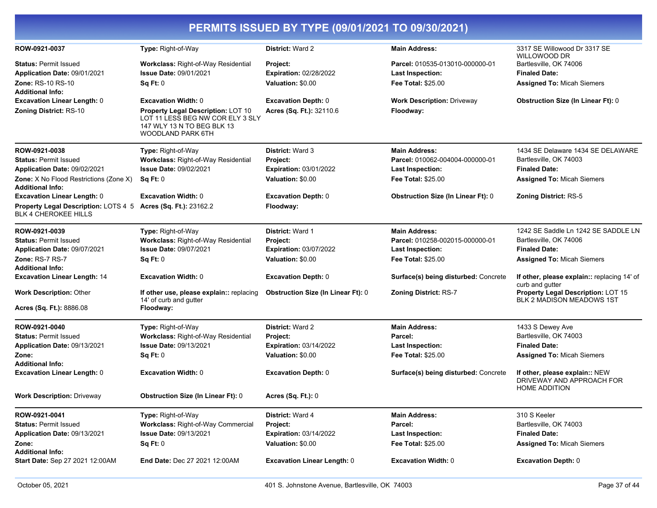|                                                                                              |                                                                                                                           | PERMITS ISSUED BY TYPE (09/01/2021 TO 09/30/2021) |                                           |                                                                                     |
|----------------------------------------------------------------------------------------------|---------------------------------------------------------------------------------------------------------------------------|---------------------------------------------------|-------------------------------------------|-------------------------------------------------------------------------------------|
| ROW-0921-0037                                                                                | Type: Right-of-Way                                                                                                        | District: Ward 2                                  | <b>Main Address:</b>                      | 3317 SE Willowood Dr 3317 SE<br>WILLOWOOD DR                                        |
| <b>Status: Permit Issued</b>                                                                 | <b>Workclass: Right-of-Way Residential</b>                                                                                | Project:                                          | Parcel: 010535-013010-000000-01           | Bartlesville, OK 74006                                                              |
| Application Date: 09/01/2021                                                                 | <b>Issue Date: 09/01/2021</b>                                                                                             | <b>Expiration: 02/28/2022</b>                     | <b>Last Inspection:</b>                   | <b>Finaled Date:</b>                                                                |
| Zone: RS-10 RS-10<br><b>Additional Info:</b>                                                 | Sq Ft: 0                                                                                                                  | Valuation: \$0.00                                 | <b>Fee Total: \$25.00</b>                 | <b>Assigned To: Micah Siemers</b>                                                   |
| <b>Excavation Linear Length: 0</b>                                                           | <b>Excavation Width: 0</b>                                                                                                | <b>Excavation Depth: 0</b>                        | <b>Work Description: Driveway</b>         | <b>Obstruction Size (In Linear Ft): 0</b>                                           |
| <b>Zoning District: RS-10</b>                                                                | Property Legal Description: LOT 10<br>LOT 11 LESS BEG NW COR ELY 3 SLY<br>147 WLY 13 N TO BEG BLK 13<br>WOODLAND PARK 6TH | Acres (Sq. Ft.): 32110.6                          | Floodway:                                 |                                                                                     |
| ROW-0921-0038                                                                                | Type: Right-of-Way                                                                                                        | <b>District: Ward 3</b>                           | <b>Main Address:</b>                      | 1434 SE Delaware 1434 SE DELAWARE                                                   |
| <b>Status: Permit Issued</b>                                                                 | Workclass: Right-of-Way Residential                                                                                       | Project:                                          | Parcel: 010062-004004-000000-01           | Bartlesville, OK 74003                                                              |
| Application Date: 09/02/2021                                                                 | <b>Issue Date: 09/02/2021</b>                                                                                             | <b>Expiration: 03/01/2022</b>                     | <b>Last Inspection:</b>                   | <b>Finaled Date:</b>                                                                |
| <b>Zone:</b> X No Flood Restrictions (Zone X)<br><b>Additional Info:</b>                     | Sq Ft: 0                                                                                                                  | Valuation: \$0.00                                 | <b>Fee Total: \$25.00</b>                 | <b>Assigned To: Micah Siemers</b>                                                   |
| <b>Excavation Linear Length: 0</b>                                                           | <b>Excavation Width: 0</b>                                                                                                | <b>Excavation Depth: 0</b>                        | <b>Obstruction Size (In Linear Ft): 0</b> | <b>Zoning District: RS-5</b>                                                        |
| Property Legal Description: LOTS 4 5 Acres (Sq. Ft.): 23162.2<br><b>BLK 4 CHEROKEE HILLS</b> |                                                                                                                           | Floodway:                                         |                                           |                                                                                     |
| ROW-0921-0039                                                                                | Type: Right-of-Way                                                                                                        | District: Ward 1                                  | <b>Main Address:</b>                      | 1242 SE Saddle Ln 1242 SE SADDLE LN                                                 |
| <b>Status: Permit Issued</b>                                                                 | Workclass: Right-of-Way Residential                                                                                       | Project:                                          | Parcel: 010258-002015-000000-01           | Bartlesville, OK 74006                                                              |
| Application Date: 09/07/2021                                                                 | <b>Issue Date: 09/07/2021</b>                                                                                             | <b>Expiration: 03/07/2022</b>                     | <b>Last Inspection:</b>                   | <b>Finaled Date:</b>                                                                |
| <b>Zone: RS-7 RS-7</b><br><b>Additional Info:</b>                                            | Sq Ft: 0                                                                                                                  | Valuation: \$0.00                                 | <b>Fee Total: \$25.00</b>                 | <b>Assigned To: Micah Siemers</b>                                                   |
| <b>Excavation Linear Length: 14</b>                                                          | <b>Excavation Width: 0</b>                                                                                                | <b>Excavation Depth: 0</b>                        | Surface(s) being disturbed: Concrete      | If other, please explain:: replacing 14' of<br>curb and gutter                      |
| <b>Work Description: Other</b>                                                               | If other use, please explain:: replacing<br>14' of curb and gutter                                                        | <b>Obstruction Size (In Linear Ft): 0</b>         | <b>Zoning District: RS-7</b>              | Property Legal Description: LOT 15<br><b>BLK 2 MADISON MEADOWS 1ST</b>              |
| Acres (Sq. Ft.): 8886.08                                                                     | Floodway:                                                                                                                 |                                                   |                                           |                                                                                     |
| ROW-0921-0040                                                                                | Type: Right-of-Way                                                                                                        | <b>District: Ward 2</b>                           | <b>Main Address:</b>                      | 1433 S Dewey Ave                                                                    |
| <b>Status: Permit Issued</b>                                                                 | Workclass: Right-of-Way Residential                                                                                       | Project:                                          | Parcel:                                   | Bartlesville, OK 74003                                                              |
| Application Date: 09/13/2021                                                                 | <b>Issue Date: 09/13/2021</b>                                                                                             | <b>Expiration: 03/14/2022</b>                     | <b>Last Inspection:</b>                   | <b>Finaled Date:</b>                                                                |
| Zone:                                                                                        | Sq Ft: 0                                                                                                                  | Valuation: \$0.00                                 | <b>Fee Total: \$25.00</b>                 | <b>Assigned To: Micah Siemers</b>                                                   |
| <b>Additional Info:</b>                                                                      |                                                                                                                           |                                                   |                                           |                                                                                     |
| <b>Excavation Linear Length: 0</b>                                                           | <b>Excavation Width: 0</b>                                                                                                | <b>Excavation Depth: 0</b>                        | Surface(s) being disturbed: Concrete      | If other, please explain:: NEW<br>DRIVEWAY AND APPROACH FOR<br><b>HOME ADDITION</b> |
| <b>Work Description: Driveway</b>                                                            | <b>Obstruction Size (In Linear Ft): 0</b>                                                                                 | <b>Acres (Sq. Ft.): 0</b>                         |                                           |                                                                                     |
| ROW-0921-0041                                                                                | Type: Right-of-Way                                                                                                        | District: Ward 4                                  | <b>Main Address:</b>                      | 310 S Keeler                                                                        |
| <b>Status: Permit Issued</b>                                                                 | Workclass: Right-of-Way Commercial                                                                                        | Project:                                          | Parcel:                                   | Bartlesville, OK 74003                                                              |
| Application Date: 09/13/2021                                                                 | <b>Issue Date: 09/13/2021</b>                                                                                             | <b>Expiration: 03/14/2022</b>                     | <b>Last Inspection:</b>                   | <b>Finaled Date:</b>                                                                |
| Zone:<br><b>Additional Info:</b>                                                             | Sq Ft: 0                                                                                                                  | Valuation: \$0.00                                 | Fee Total: \$25.00                        | <b>Assigned To: Micah Siemers</b>                                                   |
| Start Date: Sep 27 2021 12:00AM                                                              | End Date: Dec 27 2021 12:00AM                                                                                             | <b>Excavation Linear Length: 0</b>                | <b>Excavation Width: 0</b>                | <b>Excavation Depth: 0</b>                                                          |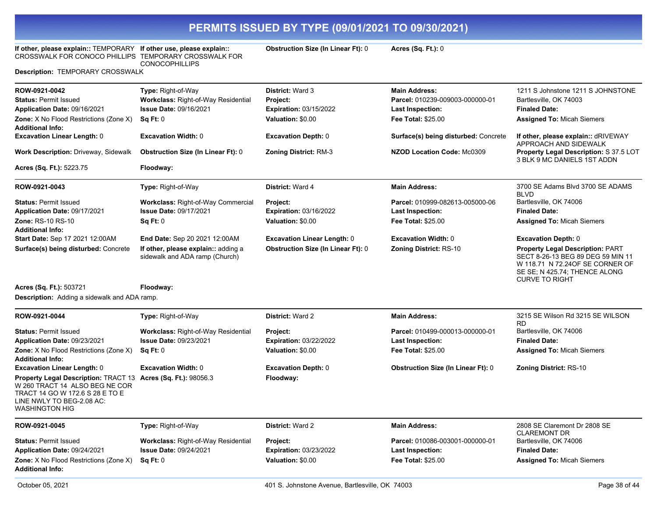**If other, please explain::** TEMPORARY **If other use, please explain::**  CROSSWALK FOR CONOCO PHILLIPS TEMPORARY CROSSWALK FOR

**Description:** TEMPORARY CROSSWALK

**Application Date:** 09/24/2021

**Additional Info:**

**Zone:** X No Flood Restrictions (Zone X)

CONOCOPHILLIPS

**Obstruction Size (In Linear Ft):** 0 **Acres (Sq. Ft.):** 0

**Last Inspection: Fee Total:** \$25.00

| ROW-0921-0042                                                                                                                                                                            | Type: Right-of-Way                                                    | <b>District: Ward 3</b>                            | <b>Main Address:</b>                                 | 1211 S Johnstone 1211 S JOHNSTONE                                                                                                                                         |
|------------------------------------------------------------------------------------------------------------------------------------------------------------------------------------------|-----------------------------------------------------------------------|----------------------------------------------------|------------------------------------------------------|---------------------------------------------------------------------------------------------------------------------------------------------------------------------------|
| <b>Status: Permit Issued</b>                                                                                                                                                             | Workclass: Right-of-Way Residential                                   | Project:                                           | Parcel: 010239-009003-000000-01                      | Bartlesville, OK 74003                                                                                                                                                    |
| Application Date: 09/16/2021<br><b>Zone:</b> X No Flood Restrictions (Zone X)                                                                                                            | <b>Issue Date: 09/16/2021</b><br><b>Sq Ft: 0</b>                      | <b>Expiration: 03/15/2022</b><br>Valuation: \$0.00 | <b>Last Inspection:</b><br><b>Fee Total: \$25.00</b> | <b>Finaled Date:</b><br><b>Assigned To: Micah Siemers</b>                                                                                                                 |
| <b>Additional Info:</b>                                                                                                                                                                  |                                                                       |                                                    |                                                      |                                                                                                                                                                           |
| <b>Excavation Linear Length: 0</b>                                                                                                                                                       | <b>Excavation Width: 0</b>                                            | <b>Excavation Depth: 0</b>                         | Surface(s) being disturbed: Concrete                 | If other, please explain:: dRIVEWAY<br>APPROACH AND SIDEWALK                                                                                                              |
| <b>Work Description: Driveway, Sidewalk</b>                                                                                                                                              | <b>Obstruction Size (In Linear Ft): 0</b>                             | <b>Zoning District: RM-3</b>                       | NZOD Location Code: Mc0309                           | <b>Property Legal Description: S 37.5 LOT</b><br>3 BLK 9 MC DANIELS 1ST ADDN                                                                                              |
| Acres (Sq. Ft.): 5223.75                                                                                                                                                                 | Floodway:                                                             |                                                    |                                                      |                                                                                                                                                                           |
| ROW-0921-0043                                                                                                                                                                            | Type: Right-of-Way                                                    | <b>District: Ward 4</b>                            | <b>Main Address:</b>                                 | 3700 SE Adams Blvd 3700 SE ADAMS<br><b>BIVD</b>                                                                                                                           |
| <b>Status: Permit Issued</b>                                                                                                                                                             | Workclass: Right-of-Way Commercial                                    | Project:                                           | Parcel: 010999-082613-005000-06                      | Bartlesville, OK 74006                                                                                                                                                    |
| Application Date: 09/17/2021                                                                                                                                                             | <b>Issue Date: 09/17/2021</b>                                         | <b>Expiration: 03/16/2022</b>                      | Last Inspection:                                     | <b>Finaled Date:</b>                                                                                                                                                      |
| <b>Zone: RS-10 RS-10</b>                                                                                                                                                                 | Sq Ft: 0                                                              | Valuation: \$0.00                                  | Fee Total: \$25.00                                   | <b>Assigned To: Micah Siemers</b>                                                                                                                                         |
| <b>Additional Info:</b>                                                                                                                                                                  |                                                                       |                                                    |                                                      |                                                                                                                                                                           |
| Start Date: Sep 17 2021 12:00AM                                                                                                                                                          | End Date: Sep 20 2021 12:00AM                                         | <b>Excavation Linear Length: 0</b>                 | <b>Excavation Width: 0</b>                           | <b>Excavation Depth: 0</b>                                                                                                                                                |
| Surface(s) being disturbed: Concrete                                                                                                                                                     | If other, please explain:: adding a<br>sidewalk and ADA ramp (Church) | <b>Obstruction Size (In Linear Ft): 0</b>          | <b>Zoning District: RS-10</b>                        | <b>Property Legal Description: PART</b><br>SECT 8-26-13 BEG 89 DEG 59 MIN 11<br>W 118.71 N 72.240F SE CORNER OF<br>SE SE; N 425.74; THENCE ALONG<br><b>CURVE TO RIGHT</b> |
| Acres (Sq. Ft.): 503721                                                                                                                                                                  | Floodway:                                                             |                                                    |                                                      |                                                                                                                                                                           |
| <b>Description:</b> Adding a sidewalk and ADA ramp.                                                                                                                                      |                                                                       |                                                    |                                                      |                                                                                                                                                                           |
| ROW-0921-0044                                                                                                                                                                            | Type: Right-of-Way                                                    | <b>District: Ward 2</b>                            | <b>Main Address:</b>                                 | 3215 SE Wilson Rd 3215 SE WILSON                                                                                                                                          |
| <b>Status: Permit Issued</b>                                                                                                                                                             | <b>Workclass: Right-of-Way Residential</b>                            | Project:                                           | Parcel: 010499-000013-000000-01                      | <b>RD</b><br>Bartlesville, OK 74006                                                                                                                                       |
| Application Date: 09/23/2021                                                                                                                                                             | <b>Issue Date: 09/23/2021</b>                                         | <b>Expiration: 03/22/2022</b>                      | <b>Last Inspection:</b>                              | <b>Finaled Date:</b>                                                                                                                                                      |
| Zone: X No Flood Restrictions (Zone X)<br><b>Additional Info:</b>                                                                                                                        | Sq Ft: 0                                                              | Valuation: \$0.00                                  | <b>Fee Total: \$25.00</b>                            | <b>Assigned To: Micah Siemers</b>                                                                                                                                         |
| <b>Excavation Linear Length: 0</b>                                                                                                                                                       | <b>Excavation Width: 0</b>                                            | <b>Excavation Depth: 0</b>                         | <b>Obstruction Size (In Linear Ft): 0</b>            | <b>Zoning District: RS-10</b>                                                                                                                                             |
| Property Legal Description: TRACT 13 Acres (Sq. Ft.): 98056.3<br>W 260 TRACT 14 ALSO BEG NE COR<br>TRACT 14 GO W 172.6 S 28 E TO E<br>LINE NWLY TO BEG-2.08 AC:<br><b>WASHINGTON HIG</b> |                                                                       | Floodway:                                          |                                                      |                                                                                                                                                                           |
| ROW-0921-0045                                                                                                                                                                            | Type: Right-of-Way                                                    | District: Ward 2                                   | <b>Main Address:</b>                                 | 2808 SE Claremont Dr 2808 SE<br><b>CLAREMONT DR</b>                                                                                                                       |
| <b>Status: Permit Issued</b>                                                                                                                                                             | <b>Workclass: Right-of-Way Residential</b>                            | <b>Project:</b>                                    | Parcel: 010086-003001-000000-01                      | Bartlesville, OK 74006                                                                                                                                                    |

Status: Permit Issued **Workclass: Right-of-Way Residential Project: Protect: Parcel: 010086-003001-000000-01** 

**Expiration:** 03/23/2022 **Valuation:** \$0.00

**Issue Date:** 09/24/2021

**Sq Ft:** 0

**Finaled Date:** 

**Assigned To:** Micah Siemers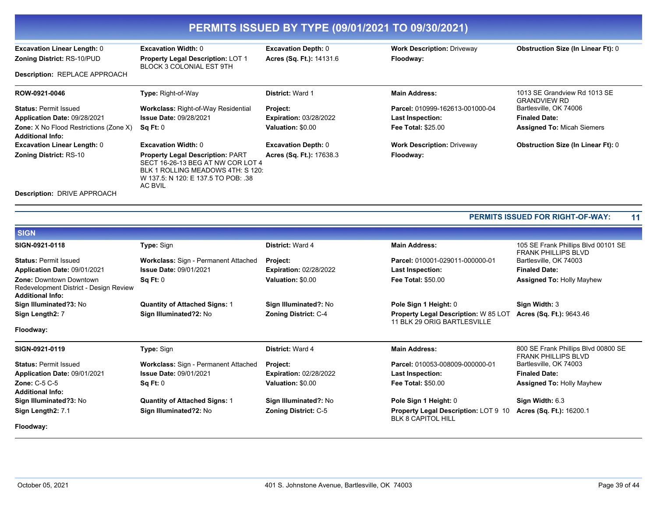| PERMITS ISSUED BY TYPE (09/01/2021 TO 09/30/2021)                        |                                                                                                                                                                            |                               |                                   |                                                     |  |
|--------------------------------------------------------------------------|----------------------------------------------------------------------------------------------------------------------------------------------------------------------------|-------------------------------|-----------------------------------|-----------------------------------------------------|--|
| <b>Excavation Linear Length: 0</b>                                       | <b>Excavation Width: 0</b>                                                                                                                                                 | <b>Excavation Depth: 0</b>    | <b>Work Description: Driveway</b> | <b>Obstruction Size (In Linear Ft): 0</b>           |  |
| <b>Zoning District: RS-10/PUD</b>                                        | <b>Property Legal Description: LOT 1</b><br>BLOCK 3 COLONIAL EST 9TH                                                                                                       | Acres (Sq. Ft.): 14131.6      | Floodway:                         |                                                     |  |
| <b>Description: REPLACE APPROACH</b>                                     |                                                                                                                                                                            |                               |                                   |                                                     |  |
| ROW-0921-0046                                                            | <b>Type: Right-of-Way</b>                                                                                                                                                  | <b>District: Ward 1</b>       | <b>Main Address:</b>              | 1013 SE Grandview Rd 1013 SE<br><b>GRANDVIEW RD</b> |  |
| <b>Status: Permit Issued</b>                                             | <b>Workclass: Right-of-Way Residential</b>                                                                                                                                 | Project:                      | Parcel: 010999-162613-001000-04   | Bartlesville, OK 74006                              |  |
| Application Date: 09/28/2021                                             | <b>Issue Date: 09/28/2021</b>                                                                                                                                              | <b>Expiration: 03/28/2022</b> | Last Inspection:                  | <b>Finaled Date:</b>                                |  |
| <b>Zone:</b> X No Flood Restrictions (Zone X)<br><b>Additional Info:</b> | Sq Ft: 0                                                                                                                                                                   | Valuation: \$0.00             | <b>Fee Total: \$25.00</b>         | <b>Assigned To: Micah Siemers</b>                   |  |
| <b>Excavation Linear Length: 0</b>                                       | <b>Excavation Width: 0</b>                                                                                                                                                 | <b>Excavation Depth: 0</b>    | <b>Work Description: Driveway</b> | <b>Obstruction Size (In Linear Ft): 0</b>           |  |
| <b>Zoning District: RS-10</b>                                            | <b>Property Legal Description: PART</b><br>SECT 16-26-13 BEG AT NW COR LOT 4<br>BLK 1 ROLLING MEADOWS 4TH: S 120:<br>W 137.5: N 120: E 137.5 TO POB: .38<br><b>AC BVIL</b> | Acres (Sq. Ft.): 17638.3      | Floodway:                         |                                                     |  |
| <b>Description: DRIVE APPROACH</b>                                       |                                                                                                                                                                            |                               |                                   |                                                     |  |

**PERMITS ISSUED FOR RIGHT-OF-WAY: 11**

| <b>BIGN</b>                                                                                         |                                      |                               |                                                                            |                                                                   |
|-----------------------------------------------------------------------------------------------------|--------------------------------------|-------------------------------|----------------------------------------------------------------------------|-------------------------------------------------------------------|
| SIGN-0921-0118                                                                                      | <b>Type: Sign</b>                    | <b>District: Ward 4</b>       | <b>Main Address:</b>                                                       | 105 SE Frank Phillips Blvd 00101 SE<br><b>FRANK PHILLIPS BLVD</b> |
| <b>Status: Permit Issued</b>                                                                        | Workclass: Sign - Permanent Attached | Project:                      | Parcel: 010001-029011-000000-01                                            | Bartlesville, OK 74003                                            |
| Application Date: 09/01/2021                                                                        | <b>Issue Date: 09/01/2021</b>        | <b>Expiration: 02/28/2022</b> | Last Inspection:                                                           | <b>Finaled Date:</b>                                              |
| <b>Zone: Downtown Downtown</b><br>Redevelopment District - Design Review<br><b>Additional Info:</b> | Sq Ft: 0                             | Valuation: \$0.00             | <b>Fee Total: \$50.00</b>                                                  | <b>Assigned To: Holly Mayhew</b>                                  |
| Sign Illuminated?3: No                                                                              | <b>Quantity of Attached Signs: 1</b> | Sign Illuminated?: No         | Pole Sign 1 Height: 0                                                      | Sign Width: 3                                                     |
| Sign Length2: 7                                                                                     | Sign Illuminated?2: No               | <b>Zoning District: C-4</b>   | <b>Property Legal Description: W 85 LOT</b><br>11 BLK 29 ORIG BARTLESVILLE | Acres (Sq. Ft.): 9643.46                                          |
| Floodway:                                                                                           |                                      |                               |                                                                            |                                                                   |
|                                                                                                     |                                      |                               |                                                                            |                                                                   |
| SIGN-0921-0119                                                                                      | <b>Type: Sign</b>                    | <b>District: Ward 4</b>       | <b>Main Address:</b>                                                       | 800 SE Frank Phillips Blvd 00800 SE<br><b>FRANK PHILLIPS BLVD</b> |
| <b>Status: Permit Issued</b>                                                                        | Workclass: Sign - Permanent Attached | Project:                      | Parcel: 010053-008009-000000-01                                            | Bartlesville, OK 74003                                            |
| Application Date: 09/01/2021                                                                        | <b>Issue Date: 09/01/2021</b>        | <b>Expiration: 02/28/2022</b> | <b>Last Inspection:</b>                                                    | <b>Finaled Date:</b>                                              |
| Zone: $C-5$ $C-5$<br><b>Additional Info:</b>                                                        | Sq Ft: 0                             | Valuation: \$0.00             | <b>Fee Total: \$50.00</b>                                                  | <b>Assigned To: Holly Mayhew</b>                                  |
| Sign Illuminated?3: No                                                                              | <b>Quantity of Attached Signs: 1</b> | Sign Illuminated?: No         | Pole Sign 1 Height: 0                                                      | Sign Width: 6.3                                                   |
| Sign Length2: 7.1                                                                                   | Sign Illuminated?2: No               | <b>Zoning District: C-5</b>   | <b>Property Legal Description: LOT 9 10</b><br><b>BLK 8 CAPITOL HILL</b>   | Acres (Sq. Ft.): 16200.1                                          |

**SIGN**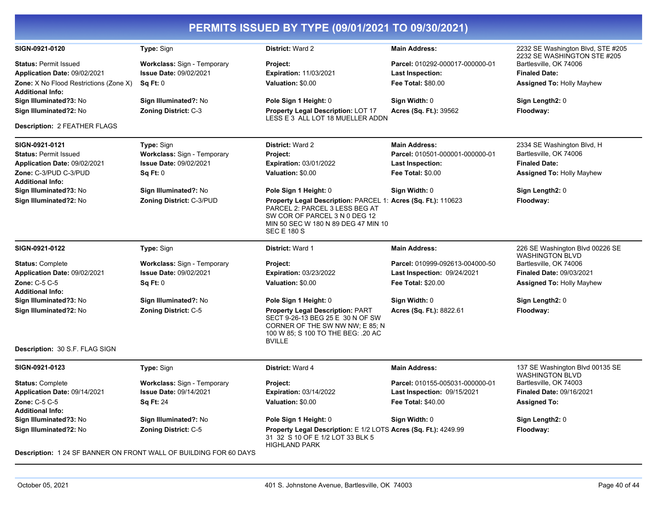|                                                                          |                                    | PERMITS ISSUED BY TYPE (09/01/2021 TO 09/30/2021)                                                                                                                                             |                                    |                                                                  |
|--------------------------------------------------------------------------|------------------------------------|-----------------------------------------------------------------------------------------------------------------------------------------------------------------------------------------------|------------------------------------|------------------------------------------------------------------|
| SIGN-0921-0120                                                           | Type: Sign                         | <b>District: Ward 2</b>                                                                                                                                                                       | <b>Main Address:</b>               | 2232 SE Washington Blvd, STE #205<br>2232 SE WASHINGTON STE #205 |
| <b>Status: Permit Issued</b>                                             | <b>Workclass: Sign - Temporary</b> | Project:                                                                                                                                                                                      | Parcel: 010292-000017-000000-01    | Bartlesville, OK 74006                                           |
| Application Date: 09/02/2021                                             | <b>Issue Date: 09/02/2021</b>      | <b>Expiration: 11/03/2021</b>                                                                                                                                                                 | Last Inspection:                   | <b>Finaled Date:</b>                                             |
| <b>Zone:</b> X No Flood Restrictions (Zone X)<br><b>Additional Info:</b> | Sq Ft: 0                           | Valuation: \$0.00                                                                                                                                                                             | <b>Fee Total: \$80.00</b>          | <b>Assigned To: Holly Mayhew</b>                                 |
| Sign Illuminated?3: No                                                   | Sign Illuminated?: No              | Pole Sign 1 Height: 0                                                                                                                                                                         | Sign Width: 0                      | Sign Length2: 0                                                  |
| Sign Illuminated?2: No                                                   | <b>Zoning District: C-3</b>        | Property Legal Description: LOT 17<br>LESS E 3 ALL LOT 18 MUELLER ADDN                                                                                                                        | Acres (Sq. Ft.): 39562             | Floodway:                                                        |
| <b>Description: 2 FEATHER FLAGS</b>                                      |                                    |                                                                                                                                                                                               |                                    |                                                                  |
| SIGN-0921-0121                                                           | Type: Sign                         | District: Ward 2                                                                                                                                                                              | <b>Main Address:</b>               | 2334 SE Washington Blvd, H                                       |
| <b>Status: Permit Issued</b>                                             | Workclass: Sign - Temporary        | Project:                                                                                                                                                                                      | Parcel: 010501-000001-000000-01    | Bartlesville, OK 74006                                           |
| Application Date: 09/02/2021                                             | Issue Date: 09/02/2021             | <b>Expiration: 03/01/2022</b>                                                                                                                                                                 | <b>Last Inspection:</b>            | <b>Finaled Date:</b>                                             |
| Zone: C-3/PUD C-3/PUD<br><b>Additional Info:</b>                         | Sq Ft: 0                           | Valuation: \$0.00                                                                                                                                                                             | <b>Fee Total: \$0.00</b>           | <b>Assigned To: Holly Mayhew</b>                                 |
| Sign Illuminated?3: No                                                   | Sign Illuminated?: No              | Pole Sign 1 Height: 0                                                                                                                                                                         | Sign Width: 0                      | Sign Length2: 0                                                  |
| Sign Illuminated?2: No                                                   | Zoning District: C-3/PUD           | Property Legal Description: PARCEL 1: Acres (Sq. Ft.): 110623<br>PARCEL 2: PARCEL 3 LESS BEG AT<br>SW COR OF PARCEL 3 N 0 DEG 12<br>MIN 50 SEC W 180 N 89 DEG 47 MIN 10<br><b>SEC E 180 S</b> |                                    | Floodway:                                                        |
| SIGN-0921-0122                                                           | Type: Sign                         | <b>District: Ward 1</b>                                                                                                                                                                       | <b>Main Address:</b>               | 226 SE Washington Blvd 00226 SE<br><b>WASHINGTON BLVD</b>        |
| <b>Status: Complete</b>                                                  | <b>Workclass: Sign - Temporary</b> | Project:                                                                                                                                                                                      | Parcel: 010999-092613-004000-50    | Bartlesville, OK 74006                                           |
| Application Date: 09/02/2021                                             | <b>Issue Date: 09/02/2021</b>      | <b>Expiration: 03/23/2022</b>                                                                                                                                                                 | <b>Last Inspection: 09/24/2021</b> | <b>Finaled Date: 09/03/2021</b>                                  |
| <b>Zone: C-5 C-5</b><br><b>Additional Info:</b>                          | Sq Ft: 0                           | Valuation: \$0.00                                                                                                                                                                             | Fee Total: \$20.00                 | <b>Assigned To: Holly Mayhew</b>                                 |
| Sign Illuminated?3: No                                                   | Sign Illuminated?: No              | Pole Sign 1 Height: 0                                                                                                                                                                         | Sign Width: 0                      | Sign Length2: 0                                                  |
| Sign Illuminated?2: No                                                   | Zoning District: C-5               | <b>Property Legal Description: PART</b><br>SECT 9-26-13 BEG 25 E 30 N OF SW<br>CORNER OF THE SW NW NW; E 85; N<br>100 W 85; S 100 TO THE BEG: .20 AC<br><b>BVILLE</b>                         | Acres (Sq. Ft.): 8822.61           | Floodway:                                                        |
| Description: 30 S.F. FLAG SIGN                                           |                                    |                                                                                                                                                                                               |                                    |                                                                  |
| SIGN-0921-0123                                                           | <b>Type: Sign</b>                  | District: Ward 4                                                                                                                                                                              | <b>Main Address:</b>               | 137 SE Washington Blvd 00135 SE<br><b>WASHINGTON BLVD</b>        |
| <b>Status: Complete</b>                                                  | Workclass: Sign - Temporary        | Project:                                                                                                                                                                                      | Parcel: 010155-005031-000000-01    | Bartlesville, OK 74003                                           |
| Application Date: 09/14/2021                                             | <b>Issue Date: 09/14/2021</b>      | <b>Expiration: 03/14/2022</b>                                                                                                                                                                 | <b>Last Inspection: 09/15/2021</b> | <b>Finaled Date: 09/16/2021</b>                                  |
| <b>Zone: C-5 C-5</b><br><b>Additional Info:</b>                          | <b>Sq Ft: 24</b>                   | Valuation: \$0.00                                                                                                                                                                             | Fee Total: \$40.00                 | <b>Assigned To:</b>                                              |
| Sign Illuminated?3: No                                                   | Sign Illuminated?: No              | Pole Sign 1 Height: 0                                                                                                                                                                         | Sign Width: 0                      | Sign Length2: 0                                                  |
| Sign Illuminated?2: No                                                   | <b>Zoning District: C-5</b>        | Property Legal Description: E 1/2 LOTS Acres (Sq. Ft.): 4249.99<br>31 32 S 10 OF E 1/2 LOT 33 BLK 5<br><b>HIGHLAND PARK</b>                                                                   |                                    | Floodway:                                                        |

**Description:** 1 24 SF BANNER ON FRONT WALL OF BUILDING FOR 60 DAYS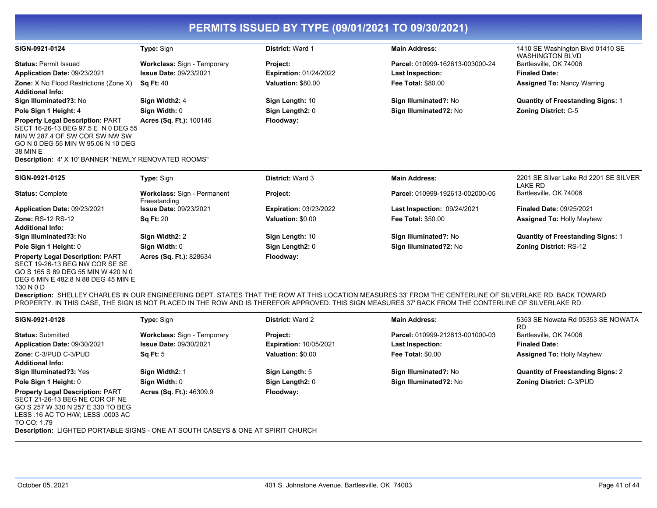| SIGN-0921-0124                                                                                                                                                                                                                    | <b>Type: Sign</b>                                  | <b>District: Ward 1</b>       | <b>Main Address:</b>            | 1410 SE Washington Blvd 01410 SE<br><b>WASHINGTON BLVD</b> |
|-----------------------------------------------------------------------------------------------------------------------------------------------------------------------------------------------------------------------------------|----------------------------------------------------|-------------------------------|---------------------------------|------------------------------------------------------------|
| <b>Status: Permit Issued</b>                                                                                                                                                                                                      | <b>Workclass: Sign - Temporary</b>                 | Project:                      | Parcel: 010999-162613-003000-24 | Bartlesville, OK 74006                                     |
| Application Date: 09/23/2021                                                                                                                                                                                                      | <b>Issue Date: 09/23/2021</b>                      | <b>Expiration: 01/24/2022</b> | Last Inspection:                | <b>Finaled Date:</b>                                       |
| <b>Zone:</b> X No Flood Restrictions (Zone X)                                                                                                                                                                                     | <b>Sq Ft: 40</b>                                   | Valuation: \$80.00            | <b>Fee Total: \$80.00</b>       | <b>Assigned To: Nancy Warring</b>                          |
| <b>Additional Info:</b>                                                                                                                                                                                                           |                                                    |                               |                                 |                                                            |
| Sign Illuminated?3: No                                                                                                                                                                                                            | Sign Width2: 4                                     | Sign Length: 10               | Sign Illuminated?: No           | <b>Quantity of Freestanding Signs: 1</b>                   |
| Pole Sign 1 Height: 4                                                                                                                                                                                                             | Sign Width: 0                                      | Sign Length2: 0               | Sign Illuminated?2: No          | <b>Zoning District: C-5</b>                                |
| <b>Property Legal Description: PART</b><br>SECT 16-26-13 BEG 97.5 E N 0 DEG 55<br>MIN W 287.4 OF SW COR SW NW SW<br>GO N 0 DEG 55 MIN W 95.06 N 10 DEG<br>38 MIN E<br><b>Description: 4' X 10' BANNER "NEWLY RENOVATED ROOMS"</b> | <b>Acres (Sq. Ft.): 100146</b>                     | Floodway:                     |                                 |                                                            |
| SIGN-0921-0125                                                                                                                                                                                                                    | <b>Type: Sign</b>                                  | <b>District: Ward 3</b>       | <b>Main Address:</b>            | 2201 SE Silver Lake Rd 2201 SE SILVER<br>LAKE RD           |
| <b>Status: Complete</b>                                                                                                                                                                                                           | <b>Workclass: Sign - Permanent</b><br>Freestanding | Project:                      | Parcel: 010999-192613-002000-05 | Bartlesville, OK 74006                                     |
| Application Date: 09/23/2021                                                                                                                                                                                                      | <b>Issue Date: 09/23/2021</b>                      | <b>Expiration: 03/23/2022</b> | Last Inspection: 09/24/2021     | <b>Finaled Date: 09/25/2021</b>                            |
| <b>Zone: RS-12 RS-12</b><br><b>Additional Info:</b>                                                                                                                                                                               | <b>Sq Ft: 20</b>                                   | Valuation: \$0.00             | <b>Fee Total: \$50.00</b>       | <b>Assigned To: Holly Mayhew</b>                           |
| Sign Illuminated?3: No                                                                                                                                                                                                            | Sign Width2: 2                                     | Sign Length: 10               | Sign Illuminated?: No           | <b>Quantity of Freestanding Signs: 1</b>                   |

**Pole Sign 1 Height: 0 Sign Width: 0 Sign Length2: 0 Sign Illuminated?2: No Zoning District: RS-12 Property Legal Description:** PART SECT 19-26-13 BEG NW COR SE SE GO S 165 S 89 DEG 55 MIN W 420 N 0

DEG 6 MIN E 482.8 N 88 DEG 45 MIN E

130 N 0 D

**Acres (Sq. Ft.):** 828634 **Floodway:** 

**Description:** SHELLEY CHARLES IN OUR ENGINEERING DEPT. STATES THAT THE ROW AT THIS LOCATION MEASURES 33' FROM THE CENTERLINE OF SILVERLAKE RD. BACK TOWARD PROPERTY. IN THIS CASE, THE SIGN IS NOT PLACED IN THE ROW AND IS THEREFOR APPROVED. THIS SIGN MEASURES 37' BACK FROM THE CONTERLINE OF SILVERLAKE RD.

| SIGN-0921-0128                                                                                                                                                     | <b>Type: Sign</b>                  | <b>District: Ward 2</b>       | <b>Main Address:</b>            | 5353 SE Nowata Rd 05353 SE NOWATA        |
|--------------------------------------------------------------------------------------------------------------------------------------------------------------------|------------------------------------|-------------------------------|---------------------------------|------------------------------------------|
| <b>Status: Submitted</b>                                                                                                                                           | <b>Workclass: Sign - Temporary</b> | Project:                      | Parcel: 010999-212613-001000-03 | RD<br>Bartlesville, OK 74006             |
| Application Date: 09/30/2021                                                                                                                                       | <b>Issue Date: 09/30/2021</b>      | <b>Expiration: 10/05/2021</b> | <b>Last Inspection:</b>         | <b>Finaled Date:</b>                     |
| Zone: C-3/PUD C-3/PUD                                                                                                                                              | <b>Sq Ft: 5</b>                    | Valuation: \$0.00             | Fee Total: \$0.00               | <b>Assigned To: Holly Mayhew</b>         |
| <b>Additional Info:</b>                                                                                                                                            |                                    |                               |                                 |                                          |
| Sign Illuminated?3: Yes                                                                                                                                            | Sign Width2: 1                     | Sign Length: 5                | Sign Illuminated?: No           | <b>Quantity of Freestanding Signs: 2</b> |
| Pole Sign 1 Height: 0                                                                                                                                              | Sign Width: 0                      | Sign Length2: 0               | Sign Illuminated?2: No          | <b>Zoning District: C-3/PUD</b>          |
| <b>Property Legal Description: PART</b><br>SECT 21-26-13 BEG NE COR OF NE<br>GO S 257 W 330 N 257 E 330 TO BEG<br>LESS .16 AC TO H/W: LESS .0003 AC<br>TO CO: 1.79 | <b>Acres (Sq. Ft.): 46309.9</b>    | Floodway:                     |                                 |                                          |

**Description:** LIGHTED PORTABLE SIGNS - ONE AT SOUTH CASEYS & ONE AT SPIRIT CHURCH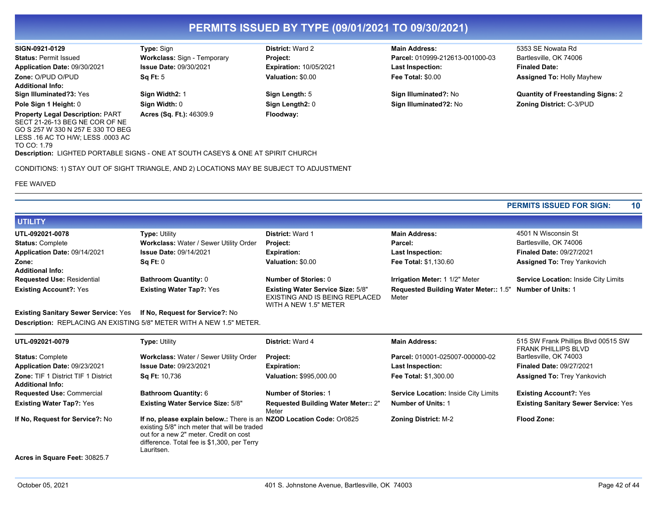**Application Date:** 09/30/2021

GO S 257 W 330 N 257 E 330 TO BEG LESS .16 AC TO H/W; LESS .0003 AC

**Zone:** O/PUD O/PUD

**Additional Info:**

**Property Legal Description:** PART SECT 21-26-13 BEG NE COR OF NE **Acres (Sq. Ft.):** 46309.9 **Floodway:** 

**Sq Ft:** 5

**Issue Date:** 09/30/2021

TO CO: 1.79 **Description:** LIGHTED PORTABLE SIGNS - ONE AT SOUTH CASEYS & ONE AT SPIRIT CHURCH

CONDITIONS: 1) STAY OUT OF SIGHT TRIANGLE, AND 2) LOCATIONS MAY BE SUBJECT TO ADJUSTMENT

FEE WAIVED

**Expiration:** 10/05/2021 **Valuation:** \$0.00

**SIGN-0921-0129 Type:** Sign **District:** Ward 2 **Main Address:** 5353 SE Nowata Rd **Status:** Permit Issued **Workclass:** Sign - Temporary **Project: Parcel:** 010999-212613-001000-03 Bartlesville, OK 74006 **Last Inspection: Fee Total:** \$0.00

**Finaled Date: Assigned To:** Holly Mayhew

**Sign Illuminated?3:** Yes **Sign Width2:** 1 **Sign Length:** 5 **Sign Illuminated?:** No **Quantity of Freestanding Signs:** 2 **Pole Sign 1 Height:** 0 **Sign Width:** 0 **Sign Length2:** 0 **Sign Illuminated?2:** No **Zoning District:** C-3/PUD

**PERMITS ISSUED FOR SIGN: 10**

| <b>UTILITY</b>                    |                                        |                                                                                                     |                                                                   |                                      |
|-----------------------------------|----------------------------------------|-----------------------------------------------------------------------------------------------------|-------------------------------------------------------------------|--------------------------------------|
| UTL-092021-0078                   | <b>Type: Utility</b>                   | <b>District: Ward 1</b>                                                                             | <b>Main Address:</b>                                              | 4501 N Wisconsin St                  |
| <b>Status: Complete</b>           | Workclass: Water / Sewer Utility Order | Project:                                                                                            | Parcel:                                                           | Bartlesville, OK 74006               |
| Application Date: 09/14/2021      | <b>Issue Date: 09/14/2021</b>          | <b>Expiration:</b>                                                                                  | <b>Last Inspection:</b>                                           | <b>Finaled Date: 09/27/2021</b>      |
| Zone:                             | Sq Ft: 0                               | Valuation: \$0.00                                                                                   | <b>Fee Total: \$1,130.60</b>                                      | <b>Assigned To: Trey Yankovich</b>   |
| <b>Additional Info:</b>           |                                        |                                                                                                     |                                                                   |                                      |
| <b>Requested Use: Residential</b> | <b>Bathroom Quantity: 0</b>            | Number of Stories: 0                                                                                | <b>Irrigation Meter: 1 1/2" Meter</b>                             | Service Location: Inside City Limits |
| <b>Existing Account?: Yes</b>     | <b>Existing Water Tap?: Yes</b>        | <b>Existing Water Service Size: 5/8"</b><br>EXISTING AND IS BEING REPLACED<br>WITH A NEW 1.5" METER | Requested Building Water Meter:: 1.5" Number of Units: 1<br>Meter |                                      |

**Existing Sanitary Sewer Service:** Yes **If No, Request for Service?:** No **Description:** REPLACING AN EXISTING 5/8" METER WITH A NEW 1.5" METER.

| UTL-092021-0079                                                       | <b>Type: Utility</b>                                                                                                                                                                                                        | <b>District: Ward 4</b>                             | <b>Main Address:</b>                        | 515 SW Frank Phillips Blvd 00515 SW<br><b>FRANK PHILLIPS BLVD</b> |
|-----------------------------------------------------------------------|-----------------------------------------------------------------------------------------------------------------------------------------------------------------------------------------------------------------------------|-----------------------------------------------------|---------------------------------------------|-------------------------------------------------------------------|
| <b>Status: Complete</b>                                               | Workclass: Water / Sewer Utility Order                                                                                                                                                                                      | <b>Project:</b>                                     | Parcel: 010001-025007-000000-02             | Bartlesville, OK 74003                                            |
| Application Date: 09/23/2021                                          | <b>Issue Date: 09/23/2021</b>                                                                                                                                                                                               | <b>Expiration:</b>                                  | <b>Last Inspection:</b>                     | <b>Finaled Date: 09/27/2021</b>                                   |
| <b>Zone: TIF 1 District TIF 1 District</b><br><b>Additional Info:</b> | <b>Sq Ft: 10,736</b>                                                                                                                                                                                                        | <b>Valuation: \$995,000.00</b>                      | <b>Fee Total: \$1,300.00</b>                | <b>Assigned To: Trey Yankovich</b>                                |
| <b>Requested Use: Commercial</b>                                      | <b>Bathroom Quantity: 6</b>                                                                                                                                                                                                 | <b>Number of Stories: 1</b>                         | <b>Service Location: Inside City Limits</b> | <b>Existing Account?: Yes</b>                                     |
| <b>Existing Water Tap?: Yes</b>                                       | <b>Existing Water Service Size: 5/8"</b>                                                                                                                                                                                    | <b>Requested Building Water Meter:: 2"</b><br>Meter | Number of Units: 1                          | <b>Existing Sanitary Sewer Service: Yes</b>                       |
| If No. Request for Service?: No                                       | If no, please explain below.: There is an NZOD Location Code: Or0825<br>existing 5/8" inch meter that will be traded<br>out for a new 2" meter. Credit on cost<br>difference. Total fee is \$1,300, per Terry<br>Lauritsen. |                                                     | <b>Zoning District: M-2</b>                 | <b>Flood Zone:</b>                                                |

**Acres in Square Feet:** 30825.7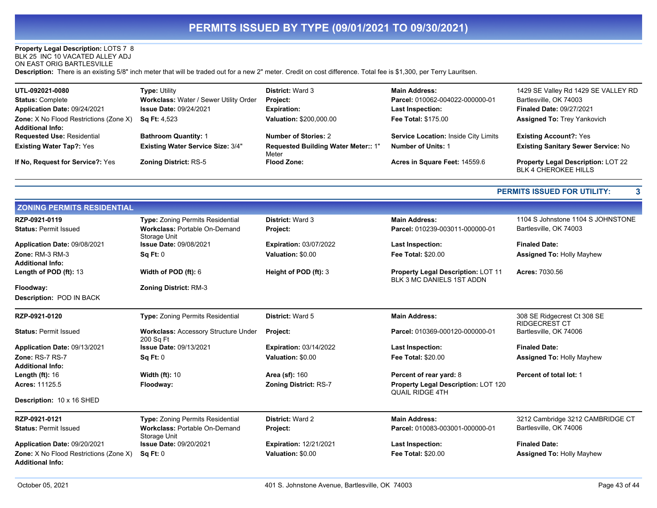#### **Property Legal Description:** LOTS 7 8

BLK 25 INC 10 VACATED ALLEY ADJ

ON EAST ORIG BARTLESVILLE

**Description:** There is an existing 5/8" inch meter that will be traded out for a new 2" meter. Credit on cost difference. Total fee is \$1,300, per Terry Lauritsen.

| UTL-092021-0080                                                          | <b>Type: Utility</b>                     | <b>District: Ward 3</b>                      | <b>Main Address:</b>                 | 1429 SE Valley Rd 1429 SE VALLEY RD                               |
|--------------------------------------------------------------------------|------------------------------------------|----------------------------------------------|--------------------------------------|-------------------------------------------------------------------|
| <b>Status: Complete</b>                                                  | Workclass: Water / Sewer Utility Order   | <b>Project:</b>                              | Parcel: 010062-004022-000000-01      | Bartlesville, OK 74003                                            |
| Application Date: 09/24/2021                                             | <b>Issue Date: 09/24/2021</b>            | <b>Expiration:</b>                           | <b>Last Inspection:</b>              | <b>Finaled Date: 09/27/2021</b>                                   |
| <b>Zone:</b> X No Flood Restrictions (Zone X)<br><b>Additional Info:</b> | <b>Sg Ft: 4,523</b>                      | Valuation: \$200,000.00                      | <b>Fee Total: \$175.00</b>           | <b>Assigned To: Trey Yankovich</b>                                |
| <b>Requested Use: Residential</b>                                        | <b>Bathroom Quantity: 1</b>              | <b>Number of Stories: 2</b>                  | Service Location: Inside City Limits | <b>Existing Account?: Yes</b>                                     |
| <b>Existing Water Tap?: Yes</b>                                          | <b>Existing Water Service Size: 3/4"</b> | Requested Building Water Meter:: 1"<br>Meter | <b>Number of Units: 1</b>            | <b>Existing Sanitary Sewer Service: No</b>                        |
| If No. Request for Service?: Yes                                         | <b>Zoning District: RS-5</b>             | <b>Flood Zone:</b>                           | Acres in Square Feet: 14559.6        | Property Legal Description: LOT 22<br><b>BLK 4 CHEROKEE HILLS</b> |

#### **PERMITS ISSUED FOR UTILITY: 3**

| <b>ZONING PERMITS RESIDENTIAL</b>                                 |                                                                                                                                              |                                                                      |                                                                        |                                                             |  |
|-------------------------------------------------------------------|----------------------------------------------------------------------------------------------------------------------------------------------|----------------------------------------------------------------------|------------------------------------------------------------------------|-------------------------------------------------------------|--|
| RZP-0921-0119<br><b>Status: Permit Issued</b>                     | <b>Type: Zoning Permits Residential</b><br><b>Workclass: Portable On-Demand</b><br>Storage Unit<br><b>Issue Date: 09/08/2021</b><br>Sq Ft: 0 | <b>District: Ward 3</b><br>Project:<br><b>Expiration: 03/07/2022</b> | <b>Main Address:</b><br>Parcel: 010239-003011-000000-01                | 1104 S Johnstone 1104 S JOHNSTONE<br>Bartlesville, OK 74003 |  |
| Application Date: 09/08/2021                                      |                                                                                                                                              |                                                                      | Last Inspection:                                                       | <b>Finaled Date:</b>                                        |  |
| Zone: RM-3 RM-3                                                   |                                                                                                                                              | Valuation: \$0.00                                                    | <b>Fee Total: \$20.00</b>                                              | <b>Assigned To: Holly Mayhew</b>                            |  |
| <b>Additional Info:</b>                                           |                                                                                                                                              |                                                                      |                                                                        |                                                             |  |
| Length of POD (ft): 13                                            | Width of POD $(ft)$ : 6                                                                                                                      | Height of POD (ft): 3                                                | <b>Property Legal Description: LOT 11</b><br>BLK 3 MC DANIELS 1ST ADDN | Acres: 7030.56                                              |  |
| Floodway:                                                         | <b>Zoning District: RM-3</b>                                                                                                                 |                                                                      |                                                                        |                                                             |  |
| Description: POD IN BACK                                          |                                                                                                                                              |                                                                      |                                                                        |                                                             |  |
| RZP-0921-0120                                                     | Type: Zoning Permits Residential                                                                                                             | District: Ward 5                                                     | <b>Main Address:</b>                                                   | 308 SE Ridgecrest Ct 308 SE<br><b>RIDGECREST CT</b>         |  |
| <b>Status: Permit Issued</b>                                      | <b>Workclass: Accessory Structure Under</b><br>200 Sq Ft                                                                                     | Project:                                                             | Parcel: 010369-000120-000000-01                                        | Bartlesville, OK 74006                                      |  |
| Application Date: 09/13/2021                                      | <b>Issue Date: 09/13/2021</b>                                                                                                                | <b>Expiration: 03/14/2022</b>                                        | <b>Last Inspection:</b>                                                | <b>Finaled Date:</b>                                        |  |
| Zone: RS-7 RS-7                                                   | Sq Ft: 0                                                                                                                                     | Valuation: \$0.00                                                    | <b>Fee Total: \$20.00</b>                                              | <b>Assigned To: Holly Mayhew</b>                            |  |
| <b>Additional Info:</b>                                           |                                                                                                                                              |                                                                      |                                                                        |                                                             |  |
| Length $(ft)$ : 16                                                | <b>Width (ft): 10</b>                                                                                                                        | <b>Area (sf): 160</b>                                                | Percent of rear yard: 8                                                | Percent of total lot: 1                                     |  |
| Acres: 11125.5                                                    | Floodway:                                                                                                                                    | <b>Zoning District: RS-7</b>                                         | Property Legal Description: LOT 120<br><b>QUAIL RIDGE 4TH</b>          |                                                             |  |
| Description: 10 x 16 SHED                                         |                                                                                                                                              |                                                                      |                                                                        |                                                             |  |
| RZP-0921-0121                                                     | <b>Type:</b> Zoning Permits Residential                                                                                                      | <b>District: Ward 2</b>                                              | <b>Main Address:</b>                                                   | 3212 Cambridge 3212 CAMBRIDGE CT                            |  |
| <b>Status: Permit Issued</b>                                      | <b>Workclass: Portable On-Demand</b><br>Storage Unit                                                                                         | Project:                                                             | Parcel: 010083-003001-000000-01                                        | Bartlesville, OK 74006                                      |  |
| Application Date: 09/20/2021                                      | <b>Issue Date: 09/20/2021</b>                                                                                                                | <b>Expiration: 12/21/2021</b>                                        | <b>Last Inspection:</b>                                                | <b>Finaled Date:</b>                                        |  |
| Zone: X No Flood Restrictions (Zone X)<br><b>Additional Info:</b> | Sq Ft: 0                                                                                                                                     | Valuation: \$0.00                                                    | <b>Fee Total: \$20.00</b>                                              | <b>Assigned To: Holly Mayhew</b>                            |  |